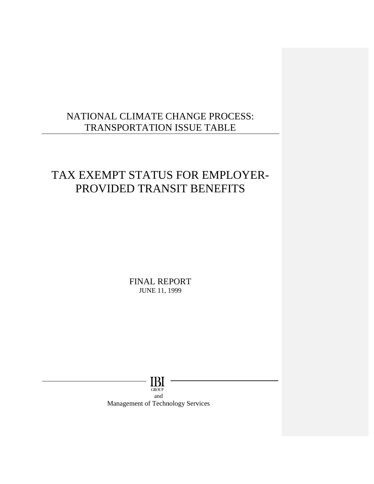## NATIONAL CLIMATE CHANGE PROCESS:<br>TRANSPORTATION ISSUE TABLE<br>TAX EXEMPT STATUS FOR EMPLOYER-NATIONAL CLIMATE CHANGE PROCESS: TRANSPORTATION ISSUE TABLE

# PROVIDED TRANSIT BENEFITS

FIN NAL RE PORT J JUNE 11, 1 1999

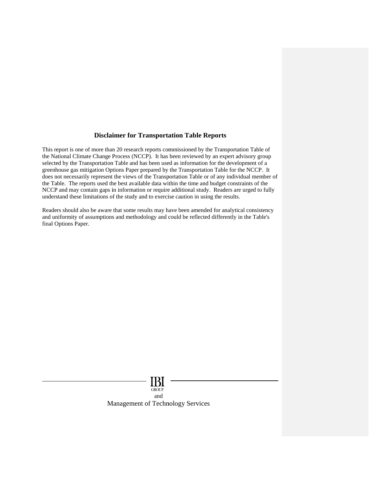#### **Disclaimer for Transportation Table Reports**

This report is one of more than 20 research reports commissioned by the Transportation Table of the National Climate Change Process (NCCP). It has been reviewed by an expert advisory group selected by the Transportation Table and has been used as information for the development of a greenhouse gas mitigation Options Paper prepared by the Transportation Table for the NCCP. It does not necessarily represent the views of the Transportation Table or of any individual member of the Table. The reports used the best available data within the time and budget constraints of the NCCP and may contain gaps in information or require additional study. Readers are urged to fully understand these limitations of the study and to exercise caution in using the results.

Readers should also be aware that some results may have been amended for analytical consistency and uniformity of assumptions and methodology and could be reflected differently in the Table's final Options Paper.

> Ы **GROUP** and Management of Technology Services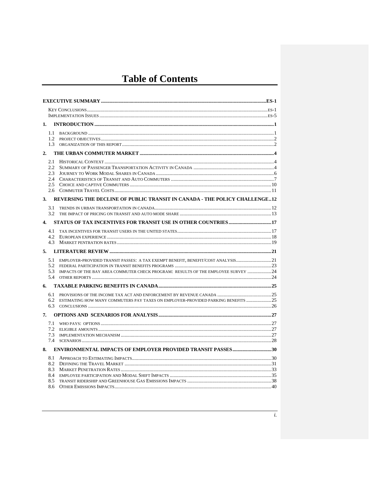## **Table of Contents**

| 1.            |                                                                                      |  |
|---------------|--------------------------------------------------------------------------------------|--|
| $1.1 -$       |                                                                                      |  |
|               |                                                                                      |  |
| 1.3           |                                                                                      |  |
| 2.            |                                                                                      |  |
| 2.1           |                                                                                      |  |
| $2.2^{\circ}$ |                                                                                      |  |
| 2.3<br>2.4    |                                                                                      |  |
| 2.5           |                                                                                      |  |
| 2.6           |                                                                                      |  |
| 3.            | REVERSING THE DECLINE OF PUBLIC TRANSIT IN CANADA - THE POLICY CHALLENGE12           |  |
|               |                                                                                      |  |
| 3.1           |                                                                                      |  |
|               |                                                                                      |  |
| 4.            |                                                                                      |  |
| 4.1           |                                                                                      |  |
| 4.2<br>4.3    |                                                                                      |  |
|               |                                                                                      |  |
|               |                                                                                      |  |
| 5.1           | EMPLOYER-PROVIDED TRANSIT PASSES: A TAX EXEMPT BENEFIT. BENEFIT/COST ANALYSIS21      |  |
| 5.2           |                                                                                      |  |
| 5.3<br>5.4    | IMPACTS OF THE BAY AREA COMMUTER CHECK PROGRAM: RESULTS OF THE EMPLOYEE SURVEY  24   |  |
| 6.            |                                                                                      |  |
|               |                                                                                      |  |
| 6.1           |                                                                                      |  |
|               | 6.2 ESTIMATING HOW MANY COMMUTERS PAY TAXES ON EMPLOYER-PROVIDED PARKING BENEFITS 25 |  |
|               |                                                                                      |  |
| 7.            |                                                                                      |  |
|               |                                                                                      |  |
| 7.2<br>7.3    |                                                                                      |  |
| 7.4           |                                                                                      |  |
| 8.            |                                                                                      |  |
|               |                                                                                      |  |
| 8.1           |                                                                                      |  |
| 8.2<br>8.3    |                                                                                      |  |
| 8.4           |                                                                                      |  |
| 8.5           |                                                                                      |  |
| 8.6           |                                                                                      |  |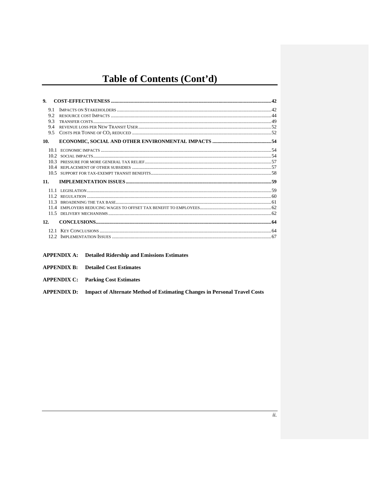## Table of Contents (Cont'd)

| 9.                              |  |
|---------------------------------|--|
| 9.1<br>9.2<br>9.3<br>9.4<br>9.5 |  |
| 10.                             |  |
| 10.1<br>10.3<br>104             |  |
| 11.                             |  |
| 11.3<br>11.4<br>11.5            |  |
| 12.                             |  |
|                                 |  |

- **APPENDIX A:** Detailed Ridership and Emissions Estimates
- **APPENDIX B:** Detailed Cost Estimates
- **APPENDIX C:** Parking Cost Estimates

**APPENDIX D:** Impact of Alternate Method of Estimating Changes in Personal Travel Costs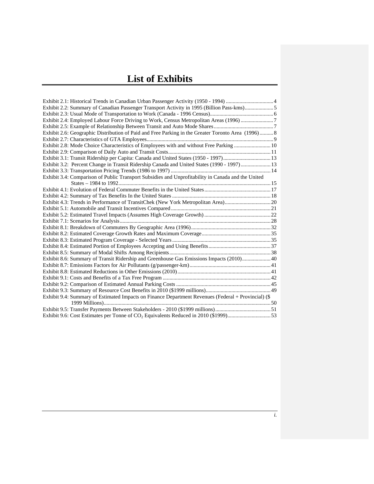## **List of Exhibits**

| Exhibit 2.2: Summary of Canadian Passenger Transport Activity in 1995 (Billion Pass-kms)5           |  |
|-----------------------------------------------------------------------------------------------------|--|
|                                                                                                     |  |
| Exhibit 2.4: Employed Labour Force Driving to Work, Census Metropolitan Areas (1996) 7              |  |
|                                                                                                     |  |
| Exhibit 2.6: Geographic Distribution of Paid and Free Parking in the Greater Toronto Area (1996) 8  |  |
|                                                                                                     |  |
| Exhibit 2.8: Mode Choice Characteristics of Employees with and without Free Parking  10             |  |
|                                                                                                     |  |
| Exhibit 3.1: Transit Ridership per Capita: Canada and United States (1950 - 1997) 13                |  |
| Exhibit 3.2: Percent Change in Transit Ridership Canada and United States (1990 - 1997) 13          |  |
|                                                                                                     |  |
| Exhibit 3.4: Comparison of Public Transport Subsidies and Unprofitability in Canada and the United  |  |
|                                                                                                     |  |
|                                                                                                     |  |
|                                                                                                     |  |
| Exhibit 4.3: Trends in Performance of TransitChek (New York Metropolitan Area) 20                   |  |
|                                                                                                     |  |
|                                                                                                     |  |
|                                                                                                     |  |
|                                                                                                     |  |
|                                                                                                     |  |
|                                                                                                     |  |
|                                                                                                     |  |
|                                                                                                     |  |
| Exhibit 8.6: Summary of Transit Ridership and Greenhouse Gas Emissions Impacts (2010) 40            |  |
|                                                                                                     |  |
|                                                                                                     |  |
|                                                                                                     |  |
|                                                                                                     |  |
|                                                                                                     |  |
| Exhibit 9.4: Summary of Estimated Impacts on Finance Department Revenues (Federal + Provincial) (\$ |  |
|                                                                                                     |  |
|                                                                                                     |  |
| Exhibit 9.6: Cost Estimates per Tonne of CO <sub>2</sub> Equivalents Reduced in 2010 (\$1999)53     |  |
|                                                                                                     |  |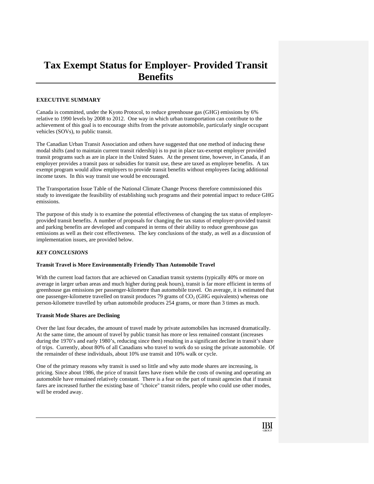## **Tax Exempt Status for Employer- Provided Transit Benefits**

#### **EXECUTIVE SUMMARY**

Canada is committed, under the Kyoto Protocol, to reduce greenhouse gas (GHG) emissions by 6% relative to 1990 levels by 2008 to 2012. One way in which urban transportation can contribute to the achievement of this goal is to encourage shifts from the private automobile, particularly single occupant vehicles (SOVs), to public transit.

The Canadian Urban Transit Association and others have suggested that one method of inducing these modal shifts (and to maintain current transit ridership) is to put in place tax-exempt employer provided transit programs such as are in place in the United States. At the present time, however, in Canada, if an employer provides a transit pass or subsidies for transit use, these are taxed as employee benefits. A tax exempt program would allow employers to provide transit benefits without employees facing additional income taxes. In this way transit use would be encouraged.

The Transportation Issue Table of the National Climate Change Process therefore commissioned this study to investigate the feasibility of establishing such programs and their potential impact to reduce GHG emissions.

The purpose of this study is to examine the potential effectiveness of changing the tax status of employerprovided transit benefits. A number of proposals for changing the tax status of employer-provided transit and parking benefits are developed and compared in terms of their ability to reduce greenhouse gas emissions as well as their cost effectiveness. The key conclusions of the study, as well as a discussion of implementation issues, are provided below.

#### *KEY CONCLUSIONS*

#### **Transit Travel is More Environmentally Friendly Than Automobile Travel**

With the current load factors that are achieved on Canadian transit systems (typically 40% or more on average in larger urban areas and much higher during peak hours), transit is far more efficient in terms of greenhouse gas emissions per passenger-kilometre than automobile travel. On average, it is estimated that one passenger-kilometre travelled on transit produces 79 grams of  $CO<sub>2</sub>$  (GHG equivalents) whereas one person-kilometre travelled by urban automobile produces 254 grams, or more than 3 times as much.

#### **Transit Mode Shares are Declining**

Over the last four decades, the amount of travel made by private automobiles has increased dramatically. At the same time, the amount of travel by public transit has more or less remained constant (increases during the 1970's and early 1980's, reducing since then) resulting in a significant decline in transit's share of trips. Currently, about 80% of all Canadians who travel to work do so using the private automobile. Of the remainder of these individuals, about 10% use transit and 10% walk or cycle.

One of the primary reasons why transit is used so little and why auto mode shares are increasing, is pricing. Since about 1986, the price of transit fares have risen while the costs of owning and operating an automobile have remained relatively constant. There is a fear on the part of transit agencies that if transit fares are increased further the existing base of "choice" transit riders, people who could use other modes, will be eroded away.

IBI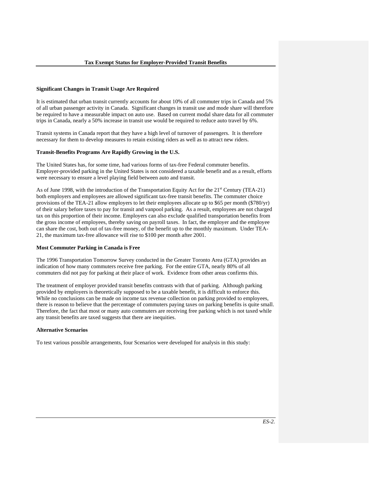#### **Significant Changes in Transit Usage Are Required**

It is estimated that urban transit currently accounts for about 10% of all commuter trips in Canada and 5% of all urban passenger activity in Canada. Significant changes in transit use and mode share will therefore be required to have a measurable impact on auto use. Based on current modal share data for all commuter trips in Canada, nearly a 50% increase in transit use would be required to reduce auto travel by 6%.

Transit systems in Canada report that they have a high level of turnover of passengers. It is therefore necessary for them to develop measures to retain existing riders as well as to attract new riders.

#### **Transit-Benefits Programs Are Rapidly Growing in the U.S.**

The United States has, for some time, had various forms of tax-free Federal commuter benefits. Employer-provided parking in the United States is not considered a taxable benefit and as a result, efforts were necessary to ensure a level playing field between auto and transit.

As of June 1998, with the introduction of the Transportation Equity Act for the 21<sup>st</sup> Century (TEA-21) both employers and employees are allowed significant tax-free transit benefits. The commuter choice provisions of the TEA-21 allow employers to let their employees allocate up to \$65 per month (\$780/yr) of their salary before taxes to pay for transit and vanpool parking. As a result, employees are not charged tax on this proportion of their income. Employers can also exclude qualified transportation benefits from the gross income of employees, thereby saving on payroll taxes. In fact, the employer and the employee can share the cost, both out of tax-free money, of the benefit up to the monthly maximum. Under TEA-21, the maximum tax-free allowance will rise to \$100 per month after 2001.

#### **Most Commuter Parking in Canada is Free**

The 1996 Transportation Tomorrow Survey conducted in the Greater Toronto Area (GTA) provides an indication of how many commuters receive free parking. For the entire GTA, nearly 80% of all commuters did not pay for parking at their place of work. Evidence from other areas confirms this.

The treatment of employer provided transit benefits contrasts with that of parking. Although parking provided by employers is theoretically supposed to be a taxable benefit, it is difficult to enforce this. While no conclusions can be made on income tax revenue collection on parking provided to employees, there is reason to believe that the percentage of commuters paying taxes on parking benefits is quite small. Therefore, the fact that most or many auto commuters are receiving free parking which is not taxed while any transit benefits are taxed suggests that there are inequities.

#### **Alternative Scenarios**

To test various possible arrangements, four Scenarios were developed for analysis in this study: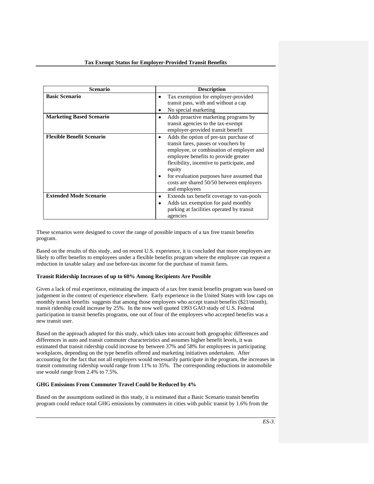| <b>Scenario</b>                  | <b>Description</b>                                                                                                                                                                                                                                                                                                                                |
|----------------------------------|---------------------------------------------------------------------------------------------------------------------------------------------------------------------------------------------------------------------------------------------------------------------------------------------------------------------------------------------------|
| <b>Basic Scenario</b>            | Tax exemption for employer-provided<br>٠<br>transit pass, with and without a cap<br>No special marketing<br>٠                                                                                                                                                                                                                                     |
| <b>Marketing Based Scenario</b>  | Adds proactive marketing programs by<br>٠<br>transit agencies to the tax-exempt<br>employer-provided transit benefit                                                                                                                                                                                                                              |
| <b>Flexible Benefit Scenario</b> | Adds the option of pre-tax purchase of<br>$\bullet$<br>transit fares, passes or vouchers by<br>employee, or combination of employer and<br>employee benefits to provide greater<br>flexibility, incentive to participate, and<br>equity<br>for evaluation purposes have assumed that<br>costs are shared 50/50 between employers<br>and employees |
| <b>Extended Mode Scenario</b>    | Extends tax benefit coverage to van-pools<br>٠<br>Adds tax exemption for paid monthly<br>٠<br>parking at facilities operated by transit<br>agencies                                                                                                                                                                                               |

These scenarios were designed to cover the range of possible impacts of a tax free transit benefits program.

Based on the results of this study, and on recent U.S. experience, it is concluded that more employers are likely to offer benefits to employees under a flexible benefits program where the employee can request a reduction in taxable salary and use before-tax income for the purchase of transit fares.

#### **Transit Ridership Increases of up to 60% Among Recipients Are Possible**

Given a lack of real experience, estimating the impacts of a tax free transit benefits program was based on judgement in the context of experience elsewhere. Early experience in the United States with low caps on monthly transit benefits suggests that among those employees who accept transit benefits (\$21/month), transit ridership could increase by 25%. In the now well quoted 1993 GAO study of U.S. Federal participation in transit benefits programs, one out of four of the employees who accepted benefits was a new transit user.

Based on the approach adopted for this study, which takes into account both geographic differences and differences in auto and transit commuter characteristics and assumes higher benefit levels, it was estimated that transit ridership could increase by between 37% and 58% for employees in participating workplaces, depending on the type benefits offered and marketing initiatives undertaken. After accounting for the fact that not all employers would necessarily participate in the program, the increases in transit commuting ridership would range from 11% to 35%. The corresponding reductions in automobile use would range from 2.4% to 7.5%.

#### **GHG Emissions From Commuter Travel Could be Reduced by 4%**

Based on the assumptions outlined in this study, it is estimated that a Basic Scenario transit benefits program could reduce total GHG emissions by commuters in cities with public transit by 1.6% from the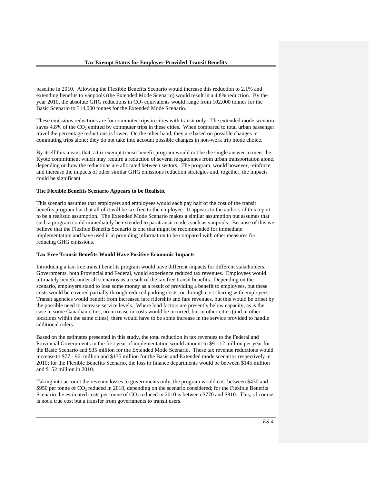baseline in 2010. Allowing the Flexible Benefits Scenario would increase this reduction to 2.1% and extending benefits to vanpools (the Extended Mode Scenario) would result in a 4.8% reduction. By the year 2010, the absolute GHG reductions in  $CO<sub>2</sub>$  equivalents would range from 102,000 tonnes for the Basic Scenario to 314,000 tonnes for the Extended Mode Scenario.

These emissions reductions are for commuter trips in cities with transit only. The extended mode scenario saves  $4.8\%$  of the  $CO<sub>2</sub>$  emitted by commuter trips in these cities. When compared to total urban passenger travel the percentage reductions is lower. On the other hand, they are based on possible changes in commuting trips alone; they do not take into account possible changes in non-work trip mode choice.

By itself this means that, a tax exempt transit benefit program would not be the single answer to meet the Kyoto commitment which may require a reduction of several megatonnes from urban transportation alone. depending on how the reductions are allocated between sectors. The program, would however, reinforce and increase the impacts of other similar GHG emissions reduction strategies and, together, the impacts could be significant.

#### **The Flexible Benefits Scenario Appears to be Realistic**

This scenario assumes that employers and employees would each pay half of the cost of the transit benefits program but that all of it will be tax-free to the employee. It appears to the authors of this report to be a realistic assumption. The Extended Mode Scenario makes a similar assumption but assumes that such a program could immediately be extended to paratransit modes such as vanpools. Because of this we believe that the Flexible Benefits Scenario is one that might be recommended for immediate implementation and have used it in providing information to be compared with other measures for reducing GHG emissions.

#### **Tax Free Transit Benefits Would Have Positive Economic Impacts**

Introducing a tax-free transit benefits program would have different impacts for different stakeholders. Governments, both Provincial and Federal, would experience reduced tax revenues. Employees would ultimately benefit under all scenarios as a result of the tax free transit benefits. Depending on the scenario, employers stand to lose some money as a result of providing a benefit to employees, but these costs would be covered partially through reduced parking costs, or through cost sharing with employees. Transit agencies would benefit from increased fare ridership and fare revenues, but this would be offset by the possible need to increase service levels. Where load factors are presently below capacity, as is the case in some Canadian cities, no increase in costs would be incurred, but in other cities (and in other locations within the same cities), there would have to be some increase in the service provided to handle additional riders.

Based on the estimates presented in this study, the total reduction in tax revenues to the Federal and Provincial Governments in the first year of implementation would amount to \$9 - 12 million per year for the Basic Scenario and \$35 million for the Extended Mode Scenario. These tax revenue reductions would increase to \$77 - 96 million and \$135 million for the Basic and Extended mode scenarios respectively in 2010; for the Flexible Benefits Scenario, the loss to finance departments would be between \$145 million and \$152 million in 2010.

Taking into account the revenue losses to governments only, the program would cost between \$430 and \$950 per tonne of  $CO<sub>2</sub>$  reduced in 2010, depending on the scenario considered; for the Flexible Benefits Scenario the estimated costs per tonne of  $CO<sub>2</sub>$  reduced in 2010 is between \$770 and \$810. This, of course, is not a true cost but a transfer from governments to transit users.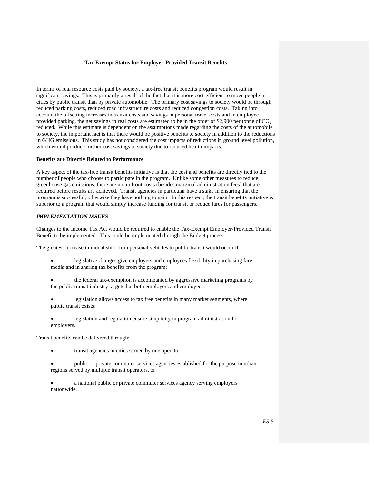In terms of real resource costs paid by society, a tax-free transit benefits program would result in significant savings. This is primarily a result of the fact that it is more cost-efficient to move people in cities by public transit than by private automobile. The primary cost savings to society would be through reduced parking costs, reduced road infrastructure costs and reduced congestion costs. Taking into account the offsetting increases in transit costs and savings in personal travel costs and in employee provided parking, the net savings in real costs are estimated to be in the order of \$2,900 per tonne of  $CO<sub>2</sub>$ reduced. While this estimate is dependent on the assumptions made regarding the costs of the automobile to society, the important fact is that there would be positive benefits to society in addition to the reductions in GHG emissions. This study has not considered the cost impacts of reductions in ground level pollution, which would produce further cost savings to society due to reduced health impacts.

#### **Benefits are Directly Related to Performance**

A key aspect of the tax-free transit benefits initiative is that the cost and benefits are directly tied to the number of people who choose to participate in the program. Unlike some other measures to reduce greenhouse gas emissions, there are no up front costs (besides marginal administration fees) that are required before results are achieved. Transit agencies in particular have a stake in ensuring that the program is successful, otherwise they have nothing to gain. In this respect, the transit benefits initiative is superior to a program that would simply increase funding for transit or reduce fares for passengers.

#### *IMPLEMENTATION ISSUES*

Changes to the Income Tax Act would be required to enable the Tax-Exempt Employer-Provided Transit Benefit to be implemented. This could be implemented through the Budget process.

The greatest increase in modal shift from personal vehicles to public transit would occur if:

- legislative changes give employers and employees flexibility in purchasing fare media and in sharing tax benefits from the program;
- the federal tax-exemption is accompanied by aggressive marketing programs by the public transit industry targeted at both employers and employees;
- legislation allows access to tax free benefits in many market segments, where public transit exists;
- legislation and regulation ensure simplicity in program administration for employers.

Transit benefits can be delivered through:

- transit agencies in cities served by one operator;
- public or private commuter services agencies established for the purpose in urban regions served by multiple transit operators, or
- a national public or private commuter services agency serving employers nationwide.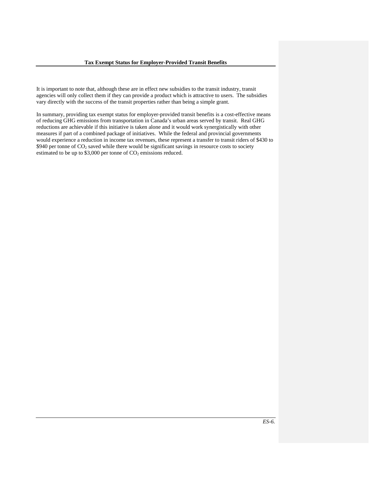It is important to note that, although these are in effect new subsidies to the transit industry, transit agencies will only collect them if they can provide a product which is attractive to users. The subsidies vary directly with the success of the transit properties rather than being a simple grant.

In summary, providing tax exempt status for employer-provided transit benefits is a cost-effective means of reducing GHG emissions from transportation in Canada's urban areas served by transit. Real GHG reductions are achievable if this initiative is taken alone and it would work synergistically with other measures if part of a combined package of initiatives. While the federal and provincial governments would experience a reduction in income tax revenues, these represent a transfer to transit riders of \$430 to  $$940$  per tonne of  $CO<sub>2</sub>$  saved while there would be significant savings in resource costs to society estimated to be up to  $$3,000$  per tonne of  $CO<sub>2</sub>$  emissions reduced.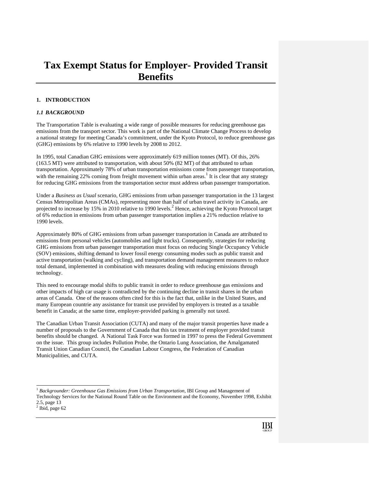### **Tax Exempt Status for Employer- Provided Transit Benefits**

#### **1. INTRODUCTION**

#### *1.1 BACKGROUND*

The Transportation Table is evaluating a wide range of possible measures for reducing greenhouse gas emissions from the transport sector. This work is part of the National Climate Change Process to develop a national strategy for meeting Canada's commitment, under the Kyoto Protocol, to reduce greenhouse gas (GHG) emissions by 6% relative to 1990 levels by 2008 to 2012.

In 1995, total Canadian GHG emissions were approximately 619 million tonnes (MT). Of this, 26% (163.5 MT) were attributed to transportation, with about 50% (82 MT) of that attributed to urban transportation. Approximately 78% of urban transportation emissions come from passenger transportation, with the remaining 22% coming from freight movement within urban areas.<sup>1</sup> It is clear that any strategy for reducing GHG emissions from the transportation sector must address urban passenger transportation.

Under a *Business as Usual* scenario, GHG emissions from urban passenger transportation in the 13 largest Census Metropolitan Areas (CMAs), representing more than half of urban travel activity in Canada, are projected to increase by 15% in 2010 relative to 1990 levels.<sup>2</sup> Hence, achieving the Kyoto Protocol target of 6% reduction in emissions from urban passenger transportation implies a 21% reduction relative to 1990 levels.

Approximately 80% of GHG emissions from urban passenger transportation in Canada are attributed to emissions from personal vehicles (automobiles and light trucks). Consequently, strategies for reducing GHG emissions from urban passenger transportation must focus on reducing Single Occupancy Vehicle (SOV) emissions, shifting demand to lower fossil energy consuming modes such as public transit and active transportation (walking and cycling), and transportation demand management measures to reduce total demand, implemented in combination with measures dealing with reducing emissions through technology.

This need to encourage modal shifts to public transit in order to reduce greenhouse gas emissions and other impacts of high car usage is contradicted by the continuing decline in transit shares in the urban areas of Canada. One of the reasons often cited for this is the fact that, unlike in the United States, and many European countrie any assistance for transit use provided by employers is treated as a taxable benefit in Canada; at the same time, employer-provided parking is generally not taxed.

The Canadian Urban Transit Association (CUTA) and many of the major transit properties have made a number of proposals to the Government of Canada that this tax treatment of employer provided transit benefits should be changed. A National Task Force was formed in 1997 to press the Federal Government on the issue. This group includes Pollution Probe, the Ontario Lung Association, the Amalgamated Transit Union Canadian Council, the Canadian Labour Congress, the Federation of Canadian Municipalities, and CUTA.

```
2 Ibid, page 62
```
 $\overline{a}$ 

<sup>&</sup>lt;sup>1</sup> Backgrounder: Greenhouse Gas Emissions from Urban Transportation, IBI Group and Management of Technology Services for the National Round Table on the Environment and the Economy, November 1998, Exhibit 2.5, page 13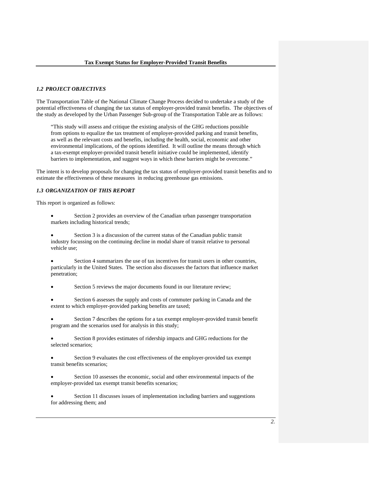#### *1.2 PROJECT OBJECTIVES*

The Transportation Table of the National Climate Change Process decided to undertake a study of the potential effectiveness of changing the tax status of employer-provided transit benefits. The objectives of the study as developed by the Urban Passenger Sub-group of the Transportation Table are as follows:

"This study will assess and critique the existing analysis of the GHG reductions possible from options to equalize the tax treatment of employer-provided parking and transit benefits, as well as the relevant costs and benefits, including the health, social, economic and other environmental implications, of the options identified. It will outline the means through which a tax-exempt employer-provided transit benefit initiative could be implemented, identify barriers to implementation, and suggest ways in which these barriers might be overcome."

The intent is to develop proposals for changing the tax status of employer-provided transit benefits and to estimate the effectiveness of these measures in reducing greenhouse gas emissions.

#### *1.3 ORGANIZATION OF THIS REPORT*

This report is organized as follows:

- Section 2 provides an overview of the Canadian urban passenger transportation markets including historical trends;
- Section 3 is a discussion of the current status of the Canadian public transit industry focussing on the continuing decline in modal share of transit relative to personal vehicle use;
- Section 4 summarizes the use of tax incentives for transit users in other countries, particularly in the United States. The section also discusses the factors that influence market penetration;
- Section 5 reviews the major documents found in our literature review;
- Section 6 assesses the supply and costs of commuter parking in Canada and the extent to which employer-provided parking benefits are taxed;
- Section 7 describes the options for a tax exempt employer-provided transit benefit program and the scenarios used for analysis in this study;
- Section 8 provides estimates of ridership impacts and GHG reductions for the selected scenarios;
- Section 9 evaluates the cost effectiveness of the employer-provided tax exempt transit benefits scenarios;
- Section 10 assesses the economic, social and other environmental impacts of the employer-provided tax exempt transit benefits scenarios;
- Section 11 discusses issues of implementation including barriers and suggestions for addressing them; and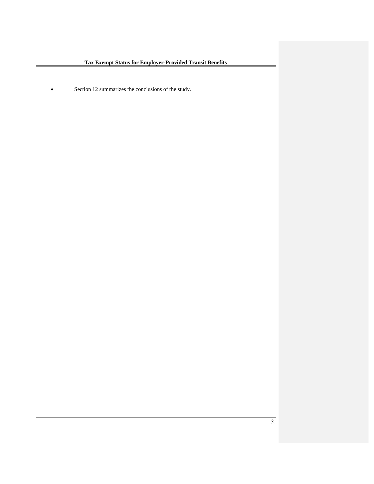• Section 12 summarizes the conclusions of the study.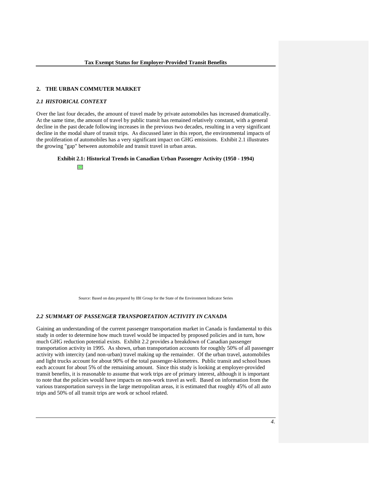#### **2. THE URBAN COMMUTER MARKET**

#### *2.1 HISTORICAL CONTEXT*

Over the last four decades, the amount of travel made by private automobiles has increased dramatically. At the same time, the amount of travel by public transit has remained relatively constant, with a general decline in the past decade following increases in the previous two decades, resulting in a very significant decline in the modal share of transit trips. As discussed later in this report, the environmental impacts of the proliferation of automobiles has a very significant impact on GHG emissions. Exhibit 2.1 illustrates the growing "gap" between automobile and transit travel in urban areas.





Source: Based on data prepared by IBI Group for the State of the Environment Indicator Series

#### *2.2 SUMMARY OF PASSENGER TRANSPORTATION ACTIVITY IN CANADA*

Gaining an understanding of the current passenger transportation market in Canada is fundamental to this study in order to determine how much travel would be impacted by proposed policies and in turn, how much GHG reduction potential exists. Exhibit 2.2 provides a breakdown of Canadian passenger transportation activity in 1995. As shown, urban transportation accounts for roughly 50% of all passenger activity with intercity (and non-urban) travel making up the remainder. Of the urban travel, automobiles and light trucks account for about 90% of the total passenger-kilometres. Public transit and school buses each account for about 5% of the remaining amount. Since this study is looking at employer-provided transit benefits, it is reasonable to assume that work trips are of primary interest, although it is important to note that the policies would have impacts on non-work travel as well. Based on information from the various transportation surveys in the large metropolitan areas, it is estimated that roughly 45% of all auto trips and 50% of all transit trips are work or school related.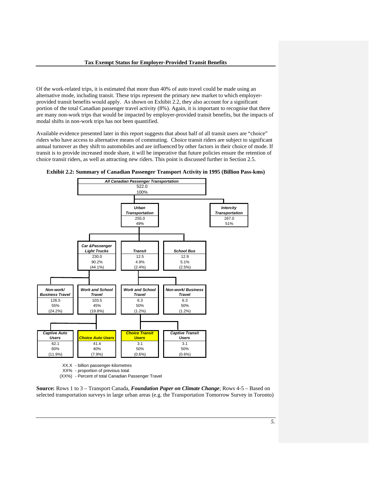Of the work-related trips, it is estimated that more than 40% of auto travel could be made using an alternative mode, including transit. These trips represent the primary new market to which employerprovided transit benefits would apply. As shown on Exhibit 2.2, they also account for a significant portion of the total Canadian passenger travel activity (8%). Again, it is important to recognise that there are many non-work trips that would be impacted by employer-provided transit benefits, but the impacts of modal shifts in non-work trips has not been quantified.

Available evidence presented later in this report suggests that about half of all transit users are "choice" riders who have access to alternative means of commuting. Choice transit riders are subject to significant annual turnover as they shift to automobiles and are influenced by other factors in their choice of mode. If transit is to provide increased mode share, it will be imperative that future policies ensure the retention of choice transit riders, as well as attracting new riders. This point is discussed further in Section 2.5.





**Source:** Rows 1 to 3 – Transport Canada, *Foundation Paper on Climate Change*; Rows 4-5 – Based on selected transportation surveys in large urban areas (e.g. the Transportation Tomorrow Survey in Toronto)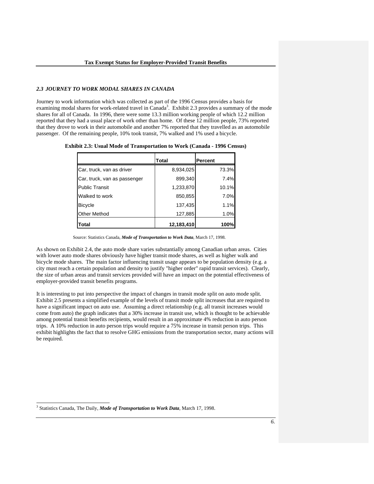#### *2.3 JOURNEY TO WORK MODAL SHARES IN CANADA*

Journey to work information which was collected as part of the 1996 Census provides a basis for examining modal shares for work-related travel in Canada<sup>3</sup>. Exhibit 2.3 provides a summary of the mode shares for all of Canada. In 1996, there were some 13.3 million working people of which 12.2 million reported that they had a usual place of work other than home. Of these 12 million people, 73% reported that they drove to work in their automobile and another 7% reported that they travelled as an automobile passenger. Of the remaining people, 10% took transit, 7% walked and 1% used a bicycle.

|                              | Total      | <b>Percent</b> |
|------------------------------|------------|----------------|
| Car, truck, van as driver    | 8,934,025  | 73.3%          |
| Car, truck, van as passenger | 899,340    | 7.4%           |
| <b>Public Transit</b>        | 1,233,870  | 10.1%          |
| Walked to work               | 850,855    | 7.0%           |
| <b>Bicycle</b>               | 137,435    | 1.1%           |
| <b>Other Method</b>          | 127,885    | 1.0%           |
| Total                        | 12,183,410 | 100%           |

**Exhibit 2.3: Usual Mode of Transportation to Work (Canada - 1996 Census)** 

As shown on Exhibit 2.4, the auto mode share varies substantially among Canadian urban areas. Cities with lower auto mode shares obviously have higher transit mode shares, as well as higher walk and bicycle mode shares. The main factor influencing transit usage appears to be population density (e.g. a city must reach a certain population and density to justify "higher order" rapid transit services). Clearly, the size of urban areas and transit services provided will have an impact on the potential effectiveness of employer-provided transit benefits programs.

It is interesting to put into perspective the impact of changes in transit mode split on auto mode split. Exhibit 2.5 presents a simplified example of the levels of transit mode split increases that are required to have a significant impact on auto use. Assuming a direct relationship (e.g. all transit increases would come from auto) the graph indicates that a 30% increase in transit use, which is thought to be achievable among potential transit benefits recipients, would result in an approximate 4% reduction in auto person trips. A 10% reduction in auto person trips would require a 75% increase in transit person trips. This exhibit highlights the fact that to resolve GHG emissions from the transportation sector, many actions will be required.

3 Statistics Canada, The Daily, *Mode of Transportation to Work Data*, March 17, 1998.

l

Source: Statistics Canada, *Mode of Transportation to Work Data*, March 17, 1998.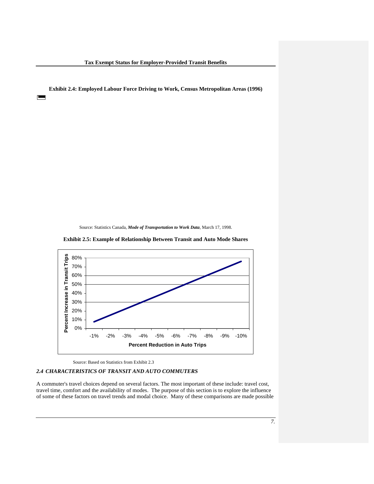**Exhibit 2.4: Employed Labour Force Driving to Work, Census Metropolitan Areas (1996)** 

▀

Source: Statistics Canada, *Mode of Transportation to Work Data*, March 17, 1998.



**Exhibit 2.5: Example of Relationship Between Transit and Auto Mode Shares** 

Source: Based on Statistics from Exhibit 2.3

#### *2.4 CHARACTERISTICS OF TRANSIT AND AUTO COMMUTERS*

A commuter's travel choices depend on several factors. The most important of these include: travel cost, travel time, comfort and the availability of modes. The purpose of this section is to explore the influence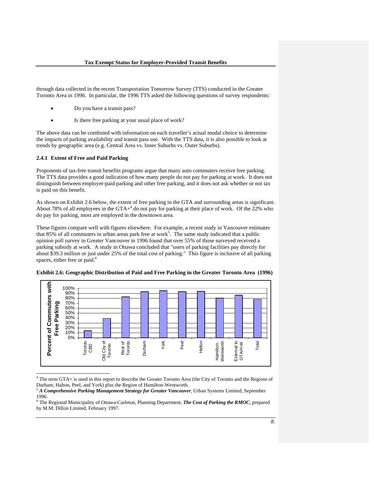through data collected in the recent Transportation Tomorrow Survey (TTS) conducted in the Greater Toronto Area in 1996. In particular, the 1996 TTS asked the following questions of survey respondents:

- Do you have a transit pass?
- Is there free parking at your usual place of work?

The above data can be combined with information on each traveller's actual modal choice to determine the impacts of parking availability and transit pass use. With the TTS data, it is also possible to look at trends by geographic area (e.g. Central Area vs. Inner Suburbs vs. Outer Suburbs).

#### **2.4.1 Extent of Free and Paid Parking**

Proponents of tax-free transit benefits programs argue that many auto commuters receive free parking. The TTS data provides a good indication of how many people do not pay for parking at work. It does not distinguish between employer-paid parking and other free parking, and it does not ask whether or not tax is paid on this benefit.

As shown on Exhibit 2.6 below, the extent of free parking in the GTA and surrounding areas is significant. About 78% of all employees in the  $GTA<sup>4</sup>$  do not pay for parking at their place of work. Of the 22% who do pay for parking, most are employed in the downtown area.

These figures compare well with figures elsewhere. For example, a recent study in Vancouver estimates that  $85\%$  of all commuters in urban areas park free at work<sup>5</sup>. The same study indicated that a public opinion poll survey in Greater Vancouver in 1996 found that over 55% of those surveyed received a parking subsidy at work. A study in Ottawa concluded that "users of parking facilities pay directly for about \$39.3 million or just under 25% of the total cost of parking." This figure is inclusive of all parking spaces, either free or paid.<sup>6</sup>





 4 The term GTA+ is used in this report to describe the Greater Toronto Area (the City of Toronto and the Regions of Durham, Halton, Peel, and York) plus the Region of Hamilton-Wentworth.

<sup>5</sup> *A Comprehensive Parking Management Strategy for Greater Vancouver*, Urban Systems Limited, September 1996.

<sup>6</sup> The Regional Municipality of Ottawa-Carleton, Planning Department, *The Cost of Parking the RMOC*, prepared by M.M. Dillon Limited, February 1997.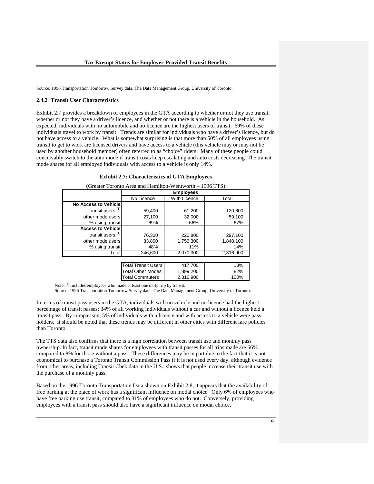Source: 1996 Transportation Tomorrow Survey data, The Data Management Group, University of Toronto.

#### **2.4.2 Transit User Characteristics**

Exhibit 2.7 provides a breakdown of employees in the GTA according to whether or not they use transit, whether or not they have a driver's licence, and whether or not there is a vehicle in the household. As expected, individuals with no automobile and no licence are the highest users of transit. 69% of these individuals travel to work by transit. Trends are similar for individuals who have a driver's licence, but do not have access to a vehicle. What is somewhat surprising is that more than 50% of all employees using transit to get to work are licensed drivers and have access to a vehicle (this vehicle may or may not be used by another household member) often referred to as "choice" riders. Many of these people could conceivably switch to the auto mode if transit costs keep escalating and auto costs decreasing. The transit mode shares for all employed individuals with access to a vehicle is only 14%.

| (Greater Toronto Area and Hamilton-Wentworth – 1996 TTS) |                                            |                  |           |  |  |  |  |  |
|----------------------------------------------------------|--------------------------------------------|------------------|-----------|--|--|--|--|--|
|                                                          |                                            | <b>Employees</b> |           |  |  |  |  |  |
|                                                          | <b>With Licence</b><br>No Licence<br>Total |                  |           |  |  |  |  |  |
| No Access to Vehicle                                     |                                            |                  |           |  |  |  |  |  |
| transit users $(1)$                                      | 59,400                                     | 61,200           | 120,600   |  |  |  |  |  |
| other mode users                                         | 27,100                                     | 32.000           | 59,100    |  |  |  |  |  |
| % using transit                                          | 69%                                        | 66%              | 67%       |  |  |  |  |  |
| <b>Access to Vehicle</b>                                 |                                            |                  |           |  |  |  |  |  |
| transit users $(1)$                                      | 76,300                                     | 220,800          | 297,100   |  |  |  |  |  |
| other mode users                                         | 83,800                                     | 1,756,300        | 1,840,100 |  |  |  |  |  |
| % using transit                                          | 48%                                        | 11%              | 14%       |  |  |  |  |  |
| Totall                                                   | 246,600                                    | 2,070,300        | 2,316,900 |  |  |  |  |  |
|                                                          |                                            |                  |           |  |  |  |  |  |
|                                                          | <b>Total Transit Users</b>                 | 417,700          | 18%       |  |  |  |  |  |
|                                                          | <b>Total Other Modes</b>                   | 1,899,200        | 82%       |  |  |  |  |  |

**Exhibit 2.7: Characteristics of GTA Employees** 

Note: (1) Includes employees who made at least one daily trip by transit.

Source: 1996 Transportation Tomorrow Survey data, The Data Management Group, University of Toronto.

Total Commuters | 2,316,900 | 100%

In terms of transit pass users in the GTA, individuals with no vehicle and no licence had the highest percentage of transit passes; 34% of all working individuals without a car and without a licence held a transit pass. By comparison, 5% of individuals with a licence and with access to a vehicle were pass holders. It should be noted that these trends may be different in other cities with different fare policies than Toronto.

The TTS data also confirms that there is a high correlation between transit use and monthly pass ownership. In fact, transit mode shares for employees with transit passes for all trips made are 66% compared to 8% for those without a pass. These differences may be in part due to the fact that it is not economical to purchase a Toronto Transit Commission Pass if it is not used every day, although evidence from other areas, including Transit Chek data in the U.S., shows that people increase their transit use with the purchase of a monthly pass.

Based on the 1996 Toronto Transportation Data shown on Exhibit 2.8, it appears that the availability of free parking at the place of work has a significant influence on modal choice. Only 6% of employees who have free parking use transit, compared to 31% of employees who do not. Conversely, providing employees with a transit pass should also have a significant influence on modal choice.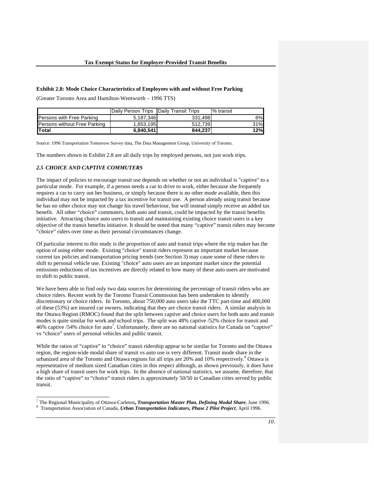#### **Exhibit 2.8: Mode Choice Characteristics of Employees with and without Free Parking**

(Greater Toronto Area and Hamilton-Wentworth – 1996 TTS)

|                                     | Daily Person Trips IDaily Transit Trips |         | <b>1%</b> transit |
|-------------------------------------|-----------------------------------------|---------|-------------------|
| <b>Persons with Free Parking</b>    | 5,187,346                               | 331.498 | 6%                |
| <b>Persons without Free Parking</b> | 1,653,195                               | 512,739 | 31%               |
| <b>ITotal</b>                       | 6,840,541                               | 844.237 | 12%l              |

Source: 1996 Transportation Tomorrow Survey data, The Data Management Group, University of Toronto.

The numbers shown in Exhibit 2.8 are all daily trips by employed persons, not just work trips.

#### *2.5 CHOICE AND CAPTIVE COMMUTERS*

The impact of policies to encourage transit use depends on whether or not an individual is "captive" to a particular mode. For example, if a person needs a car to drive to work, either because she frequently requires a car to carry out her business, or simply because there is no other mode available, then this individual may not be impacted by a tax incentive for transit use. A person already using transit because he has no other choice may not change his travel behaviour, but will instead simply receive an added tax benefit. All other "choice" commuters, both auto and transit, could be impacted by the transit benefits initiative. Attracting choice auto users to transit and maintaining existing choice transit users is a key objective of the transit benefits initiative. It should be noted that many "captive" transit riders may become "choice" riders over time as their personal circumstances change.

Of particular interest to this study is the proportion of auto and transit trips where the trip maker has the option of using either mode. Existing "choice" transit riders represent an important market because current tax policies and transportation pricing trends (see Section 3) may cause some of these riders to shift to personal vehicle use. Existing "choice" auto users are an important market since the potential emissions reductions of tax incentives are directly related to how many of these auto users are motivated to shift to public transit.

We have been able to find only two data sources for determining the percentage of transit riders who are choice riders. Recent work by the Toronto Transit Commission has been undertaken to identify discretionary or choice riders. In Toronto, about 750,000 auto users take the TTC part-time and 400,000 of these (53%) are insured car owners, indicating that they are choice transit riders. A similar analysis in the Ottawa Region (RMOC) found that the split between captive and choice users for both auto and transit modes is quite similar for work and school trips. The split was 48% captive /52% choice for transit and 46% captive /54% choice for auto<sup>7</sup> . Unfortunately, there are no national statistics for Canada on "captive" vs "choice" users of personal vehicles and public transit.

While the ratios of "captive" to "choice" transit ridership appear to be similar for Toronto and the Ottawa region, the region-wide modal share of transit vs auto use is very different. Transit mode share in the urbanized area of the Toronto and Ottawa regions for all trips are 20% and 10% respectively.<sup>8</sup> Ottawa is representative of medium sized Canadian cities in this respect although, as shown previously, it does have a high share of transit users for work trips. In the absence of national statistics, we assume, therefore, that the ratio of "captive" to "choice" transit riders is approximately 50/50 in Canadian cities served by public transit.

<sup>7&</sup>lt;br>The Regional Municipality of Ottawa-Carleton, *Transportation Master Plan, Defining Modal Share*, June 1996.<br><sup>8</sup> Transportation Association of Canada, *Urban Transportation Indicators, Phase 2 Pilot Project*, April 1996.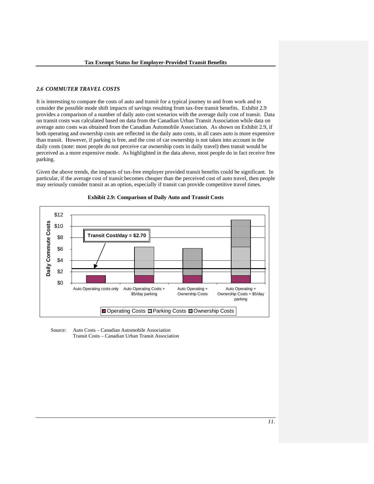#### *2.6 COMMUTER TRAVEL COSTS*

It is interesting to compare the costs of auto and transit for a typical journey to and from work and to consider the possible mode shift impacts of savings resulting from tax-free transit benefits. Exhibit 2.9 provides a comparison of a number of daily auto cost scenarios with the average daily cost of transit. Data on transit costs was calculated based on data from the Canadian Urban Transit Association while data on average auto costs was obtained from the Canadian Automobile Association. As shown on Exhibit 2.9, if both operating and ownership costs are reflected in the daily auto costs, in all cases auto is more expensive than transit. However, if parking is free, and the cost of car ownership is not taken into account in the daily costs (note: most people do not perceive car ownership costs in daily travel) then transit would be perceived as a more expensive mode. As highlighted in the data above, most people do in fact receive free parking.

Given the above trends, the impacts of tax-free employer provided transit benefits could be significant. In particular, if the average cost of transit becomes cheaper than the perceived cost of auto travel, then people may seriously consider transit as an option, especially if transit can provide competitive travel times.





 Source: Auto Costs – Canadian Automobile Association Transit Costs – Canadian Urban Transit Association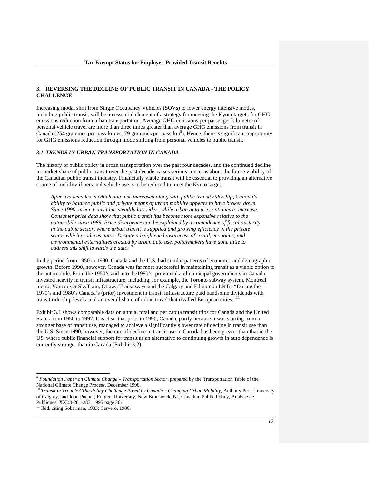#### **3. REVERSING THE DECLINE OF PUBLIC TRANSIT IN CANADA - THE POLICY CHALLENGE**

Increasing modal shift from Single Occupancy Vehicles (SOVs) to lower energy intensive modes, including public transit, will be an essential element of a strategy for meeting the Kyoto targets for GHG emissions reduction from urban transportation. Average GHG emissions per passenger kilometre of personal vehicle travel are more than three times greater than average GHG emissions from transit in Canada (254 grammes per pass-km vs. 79 grammes per pass-km<sup>9</sup>). Hence, there is significant opportunity for GHG emissions reduction through mode shifting from personal vehicles to public transit.

#### *3.1 TRENDS IN URBAN TRANSPORTATION IN CANADA*

The history of public policy in urban transportation over the past four decades, and the continued decline in market share of public transit over the past decade, raises serious concerns about the future viability of the Canadian public transit industry. Financially viable transit will be essential to providing an alternative source of mobility if personal vehicle use is to be reduced to meet the Kyoto target.

*After two decades in which auto use increased along with public transit ridership, Canada's ability to balance public and private means of urban mobility appears to have broken down. Since 1990, urban transit has steadily lost riders while urban auto use continues to increase. Consumer price data show that public transit has become more expensive relative to the automobile since 1989. Price divergence can be explained by a coincidence of fiscal austerity in the public sector, where urban transit is supplied and growing efficiency in the private sector which produces autos. Despite a heightened awareness of social, economic, and environmental externalities created by urban auto use, policymakers have done little to address this shift towards the auto.<sup>10</sup>*

In the period from 1950 to 1990, Canada and the U.S. had similar patterns of economic and demographic growth. Before 1990, however, Canada was far more successful in maintaining transit as a viable option to the automobile. From the 1950's and into the1980's, provincial and municipal governments in Canada invested heavily in transit infrastructure, including, for example, the Toronto subway system, Montreal metro, Vancouver SkyTrain, Ottawa Transitways and the Calgary and Edmonton LRTs. "During the 1970's and 1980's Canada's (prior) investment in transit infrastructure paid handsome dividends with transit ridership levels and an overall share of urban travel that rivalled European cities."<sup>11</sup>

Exhibit 3.1 shows comparable data on annual total and per capita transit trips for Canada and the United States from 1950 to 1997. It is clear that prior to 1990, Canada, partly because it was starting from a stronger base of transit use, managed to achieve a significantly slower rate of decline in transit use than the U.S. Since 1990, however, the rate of decline in transit use in Canada has been greater than that in the US, where public financial support for transit as an alternative to continuing growth in auto dependence is currently stronger than in Canada (Exhibit 3.2).

 $\overline{a}$ 

<sup>9</sup> *Foundation Paper on Climate Change – Transportation Sector*, prepared by the Transportation Table of the National Climate Change Process, December 1998.

<sup>&</sup>lt;sup>10</sup> Transit in Trouble? The Policy Challenge Posed by Canada's Changing Urban Mobility, Anthony Perl, University of Calgary, and John Pucher, Rutgers University, New Brunswick, NJ, Canadian Public Policy, Analyse de Publiques, XXI:3-261-283, 1995 page 261

<sup>&</sup>lt;sup>11</sup> Ibid, citing Soberman, 1983; Cervero, 1986.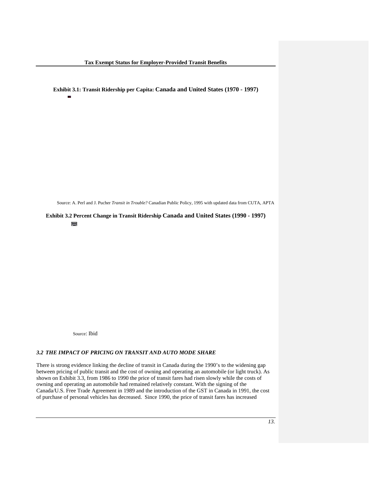**Exhibit 3.1: Transit Ridership per Capita: Canada and United States (1970 - 1997)**  <sup>0</sup> <sup>2040</sup> 6080100 <sup>120</sup> <sup>1970</sup> <sup>197219741976</sup> <sup>197819801982</sup> <sup>1984198619881990</sup> <sup>1992199419961998</sup> <sup>2000</sup>**Tr ansi tRidership perCapi ta**CanadaUnited States

Source: A. Perl and J. Pucher *Transit in Trouble?* Canadian Public Policy, 1995 with updated data from CUTA, APTA

**Exhibit 3.2 Percent Change in Transit Ridership Canada and United States (1990 - 1997)**  <sup>85</sup> <sup>90</sup> <sup>95</sup> <sup>100</sup> <sup>105</sup> 1990 1991 1992 1993 1994 1995 1996 1997 **Percent change from 1990 ridership**Canada United States

Source: Ibid

#### *3.2 THE IMPACT OF PRICING ON TRANSIT AND AUTO MODE SHARE*

There is strong evidence linking the decline of transit in Canada during the 1990's to the widening gap between pricing of public transit and the cost of owning and operating an automobile (or light truck). As shown on Exhibit 3.3, from 1986 to 1990 the price of transit fares had risen slowly while the costs of owning and operating an automobile had remained relatively constant. With the signing of the Canada/U.S. Free Trade Agreement in 1989 and the introduction of the GST in Canada in 1991, the cost of purchase of personal vehicles has decreased. Since 1990, the price of transit fares has increased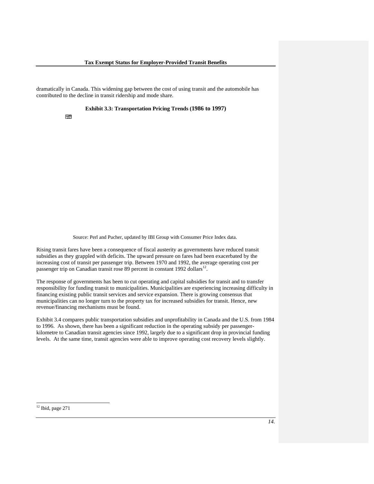dramatically in Canada. This widening gap between the cost of using transit and the automobile has contributed to the decline in transit ridership and mode share.

**Exhibit 3.3: Transportation Pricing Trends (1986 to 1997)** 

Source: Perl and Pucher, updated by IBI Group with Consumer Price Index data.

Rising transit fares have been a consequence of fiscal austerity as governments have reduced transit subsidies as they grappled with deficits. The upward pressure on fares had been exacerbated by the increasing cost of transit per passenger trip. Between 1970 and 1992, the average operating cost per passenger trip on Canadian transit rose 89 percent in constant 1992 dollars<sup>12</sup>.

The response of governments has been to cut operating and capital subsidies for transit and to transfer responsibility for funding transit to municipalities. Municipalities are experiencing increasing difficulty in financing existing public transit services and service expansion. There is growing consensus that municipalities can no longer turn to the property tax for increased subsidies for transit. Hence, new revenue/financing mechanisms must be found.

Exhibit 3.4 compares public transportation subsidies and unprofitability in Canada and the U.S. from 1984 to 1996. As shown, there has been a significant reduction in the operating subsidy per passengerkilometre to Canadian transit agencies since 1992, largely due to a significant drop in provincial funding levels. At the same time, transit agencies were able to improve operating cost recovery levels slightly.

 $12$  Ibid, page 271

**Index of Automotive vehicle** 

l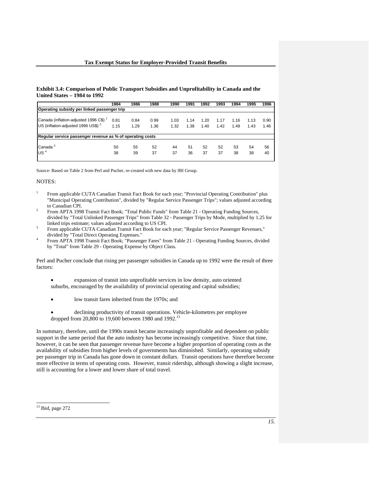#### **Exhibit 3.4: Comparison of Public Transport Subsidies and Unprofitability in Canada and the United States – 1984 to 1992**

| 1984                                        | 1986 | 1988 | 1990                                                              | 1991 | 1992 | 1993       | 1994 | 1995 | 1996 |
|---------------------------------------------|------|------|-------------------------------------------------------------------|------|------|------------|------|------|------|
| Operating subsidy per linked passenger trip |      |      |                                                                   |      |      |            |      |      |      |
|                                             |      |      |                                                                   |      |      |            |      |      |      |
|                                             |      |      |                                                                   |      |      |            |      |      | 0.90 |
| 1.15                                        | 1.29 | 1.36 | 1.32                                                              | 1.38 | 1.40 | 1.42       | 1.49 | 1.43 | 1.46 |
|                                             |      |      |                                                                   |      |      |            |      |      |      |
| 50                                          | 55   | 52   | 44                                                                | 51   |      | 52         | 53   | 54   | 56   |
| 38                                          | 39   | 37   | 37                                                                | 36   | 37   | 37         | 38   | 38   | 40   |
|                                             | 0.81 | 0.84 | 0.99<br>Regular service passenger revenue as % of operating costs | 1.03 | 1.14 | 1.20<br>52 | 1.17 | 1.16 | 1.13 |

Source: Based on Table 2 from Perl and Pucher, re-created with new data by IBI Group.

#### NOTES:

- 1 From applicable CUTA Canadian Transit Fact Book for each year; "Provincial Operating Contribution" plus "Municipal Operating Contribution", divided by "Regular Service Passenger Trips"; values adjusted according to Canadian CPI.
- From APTA 1998 Transit Fact Book; "Total Public Funds" from Table 21 Operating Funding Sources, divided by "Total Unlinked Passenger Trips" from Table 32 - Passenger Trips by Mode, multiplied by 1.25 for linked trips estimate; values adjusted according to US CPI.
- From applicable CUTA Canadian Transit Fact Book for each year; "Regular Service Passenger Revenues," divided by "Total Direct Operating Expenses."
- From APTA 1998 Transit Fact Book; "Passenger Fares" from Table 21 Operating Funding Sources, divided by "Total" from Table 29 - Operating Expense by Object Class.

Perl and Pucher conclude that rising per passenger subsidies in Canada up to 1992 were the result of three factors:

- expansion of transit into unprofitable services in low density, auto oriented suburbs, encouraged by the availability of provincial operating and capital subsidies;
- low transit fares inherited from the 1970s; and
- declining productivity of transit operations. Vehicle-kilometres per employee dropped from 20,800 to 19,600 between 1980 and 1992.<sup>13</sup>

In summary, therefore, until the 1990s transit became increasingly unprofitable and dependent on public support in the same period that the auto industry has become increasingly competitive. Since that time, however, it can be seen that passenger revenue have become a higher proportion of operating costs as the availability of subsidies from higher levels of governments has diminished. Similarly, operating subsidy per passenger trip in Canada has gone down in constant dollars. Transit operations have therefore become more effective in terms of operating costs. However, transit ridership, although showing a slight increase, still is accounting for a lower and lower share of total travel.

l

 $13$  Ibid, page 272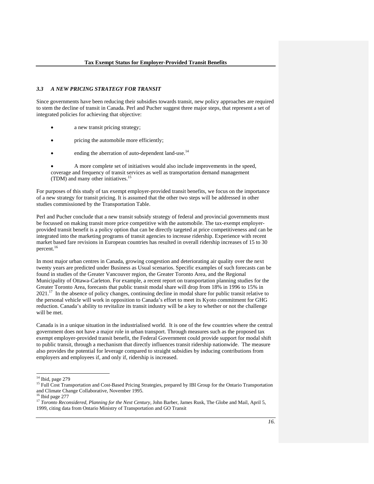#### *3.3 A NEW PRICING STRATEGY FOR TRANSIT*

Since governments have been reducing their subsidies towards transit, new policy approaches are required to stem the decline of transit in Canada. Perl and Pucher suggest three major steps, that represent a set of integrated policies for achieving that objective:

- a new transit pricing strategy;
- pricing the automobile more efficiently;
- ending the aberration of auto-dependent land-use.<sup>14</sup>

• A more complete set of initiatives would also include improvements in the speed, coverage and frequency of transit services as well as transportation demand management (TDM) and many other initiatives.15

For purposes of this study of tax exempt employer-provided transit benefits, we focus on the importance of a new strategy for transit pricing. It is assumed that the other two steps will be addressed in other studies commissioned by the Transportation Table.

Perl and Pucher conclude that a new transit subsidy strategy of federal and provincial governments must be focussed on making transit more price competitive with the automobile. The tax-exempt employerprovided transit benefit is a policy option that can be directly targeted at price competitiveness and can be integrated into the marketing programs of transit agencies to increase ridership. Experience with recent market based fare revisions in European countries has resulted in overall ridership increases of 15 to 30 percent.<sup>16</sup>

In most major urban centres in Canada, growing congestion and deteriorating air quality over the next twenty years are predicted under Business as Usual scenarios. Specific examples of such forecasts can be found in studies of the Greater Vancouver region, the Greater Toronto Area, and the Regional Municipality of Ottawa-Carleton. For example, a recent report on transportation planning studies for the Greater Toronto Area, forecasts that public transit modal share will drop from 18% in 1996 to 15% in  $2021$ <sup>17</sup> In the absence of policy changes, continuing decline in modal share for public transit relative to the personal vehicle will work in opposition to Canada's effort to meet its Kyoto commitment for GHG reduction. Canada's ability to revitalize its transit industry will be a key to whether or not the challenge will be met.

Canada is in a unique situation in the industrialised world. It is one of the few countries where the central government does not have a major role in urban transport. Through measures such as the proposed tax exempt employer-provided transit benefit, the Federal Government could provide support for modal shift to public transit, through a mechanism that directly influences transit ridership nationwide. The measure also provides the potential for leverage compared to straight subsidies by inducing contributions from employers and employees if, and only if, ridership is increased.

 $\overline{a}$ 

 $14$  Ibid, page 279

<sup>&</sup>lt;sup>15</sup> Full Cost Transportation and Cost-Based Pricing Strategies, prepared by IBI Group for the Ontario Transportation and Climate Change Collaborative, November 1995.

 $16$  Ibid page 277

<sup>&</sup>lt;sup>17</sup> *Toronto Reconsidered, Planning for the Next Century, John Barber, James Rusk, The Globe and Mail, April 5,* 1999, citing data from Ontario Ministry of Transportation and GO Transit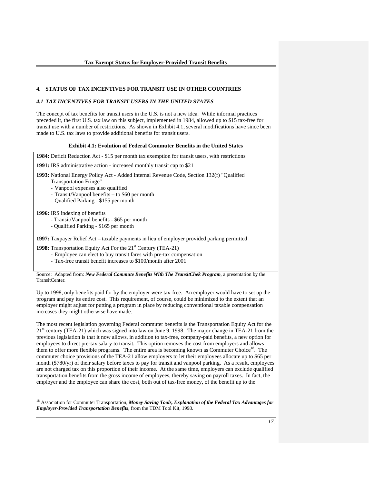#### **4. STATUS OF TAX INCENTIVES FOR TRANSIT USE IN OTHER COUNTRIES**

#### *4.1 TAX INCENTIVES FOR TRANSIT USERS IN THE UNITED STATES*

The concept of tax benefits for transit users in the U.S. is not a new idea. While informal practices preceded it, the first U.S. tax law on this subject, implemented in 1984, allowed up to \$15 tax-free for transit use with a number of restrictions. As shown in Exhibit 4.1, several modifications have since been made to U.S. tax laws to provide additional benefits for transit users.

#### **Exhibit 4.1: Evolution of Federal Commuter Benefits in the United States**

**1984:** Deficit Reduction Act - \$15 per month tax exemption for transit users, with restrictions **1991:** IRS administrative action - increased monthly transit cap to \$21 **1993:** National Energy Policy Act - Added Internal Revenue Code, Section 132(f) "Qualified Transportation Fringe" - Vanpool expenses also qualified - Transit/Vanpool benefits – to \$60 per month - Qualified Parking - \$155 per month **1996:** IRS indexing of benefits - Transit/Vanpool benefits - \$65 per month - Qualified Parking - \$165 per month **1997:** Taxpayer Relief Act – taxable payments in lieu of employer provided parking permitted **1998:** Transportation Equity Act For the 21<sup>st</sup> Century (TEA-21)  **-** Employee can elect to buy transit fares with pre-tax compensation

- Tax-free transit benefit increases to \$100/month after 2001

 $\overline{a}$ 

Source: Adapted from: *New Federal Commute Benefits With The TransitChek Program*, a presentation by the TransitCenter.

Up to 1998, only benefits paid for by the employer were tax-free. An employer would have to set up the program and pay its entire cost. This requirement, of course, could be minimized to the extent that an employer might adjust for putting a program in place by reducing conventional taxable compensation increases they might otherwise have made.

The most recent legislation governing Federal commuter benefits is the Transportation Equity Act for the  $21<sup>st</sup>$  century (TEA-21) which was signed into law on June 9, 1998. The major change in TEA-21 from the previous legislation is that it now allows, in addition to tax-free, company-paid benefits, a new option for employees to direct pre-tax salary to transit. This option removes the cost from employers and allows them to offer more flexible programs. The entire area is becoming known as Commuter Choice<sup>18</sup>. The commuter choice provisions of the TEA-21 allow employers to let their employees allocate up to \$65 per month (\$780/yr) of their salary before taxes to pay for transit and vanpool parking. As a result, employees are not charged tax on this proportion of their income. At the same time, employers can exclude qualified transportation benefits from the gross income of employees, thereby saving on payroll taxes. In fact, the employer and the employee can share the cost, both out of tax-free money, of the benefit up to the

<sup>&</sup>lt;sup>18</sup> Association for Commuter Transportation, *Money Saving Tools, Explanation of the Federal Tax Advantages for Employer-Provided Transportation Benefits*, from the TDM Tool Kit, 1998.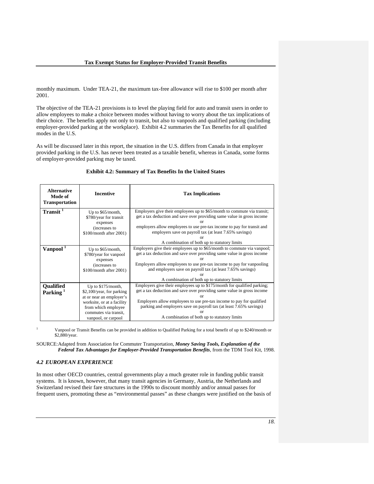monthly maximum. Under TEA-21, the maximum tax-free allowance will rise to \$100 per month after 2001.

The objective of the TEA-21 provisions is to level the playing field for auto and transit users in order to allow employees to make a choice between modes without having to worry about the tax implications of their choice. The benefits apply not only to transit, but also to vanpools and qualified parking (including employer-provided parking at the workplace). Exhibit 4.2 summaries the Tax Benefits for all qualified modes in the U.S.

As will be discussed later in this report, the situation in the U.S. differs from Canada in that employer provided parking in the U.S. has never been treated as a taxable benefit, whereas in Canada, some forms of employer-provided parking may be taxed.

| <b>Alternative</b><br>Mode of<br><b>Transportation</b> | <b>Incentive</b>                                                                                                                                                                   | <b>Tax Implications</b>                                                                                                                                                                                                                                                                                                                               |
|--------------------------------------------------------|------------------------------------------------------------------------------------------------------------------------------------------------------------------------------------|-------------------------------------------------------------------------------------------------------------------------------------------------------------------------------------------------------------------------------------------------------------------------------------------------------------------------------------------------------|
| $Transit$ <sup><math>\overline{1}</math></sup>         | Up to \$65/month,<br>\$780/year for transit<br>expenses<br>(increases to<br>$$100/m$ onth after 2001)                                                                              | Employers give their employees up to \$65/month to commute via transit;<br>get a tax deduction and save over providing same value in gross income<br>Ωr<br>employers allow employees to use pre-tax income to pay for transit and<br>employers save on payroll tax (at least 7.65% savings)<br>A combination of both up to statutory limits           |
| Vanpool <sup>1</sup>                                   | Up to \$65/month,<br>\$780/year for vanpool<br>expenses<br>(increases to<br>\$100/month after 2001)                                                                                | Employers give their employees up to \$65/month to commute via vanpool;<br>get a tax deduction and save over providing same value in gross income<br>Employers allow employees to use pre-tax income to pay for vanpooling<br>and employers save on payroll tax (at least 7.65% savings)<br>Ωr<br>A combination of both up to statutory limits        |
| <b>Qualified</b><br>Parking <sup>1</sup>               | Up to $$175/month$ ,<br>\$2,100/year, for parking<br>at or near an employer's<br>worksite, or at a facility<br>from which employee<br>commutes via transit.<br>vanpool, or carpool | Employers give their employees up to \$175/month for qualified parking;<br>get a tax deduction and save over providing same value in gross income<br>or<br>Employers allow employees to use pre-tax income to pay for qualified<br>parking and employers save on payroll tax (at least 7.65% savings)<br>A combination of both up to statutory limits |

#### **Exhibit 4.2: Summary of Tax Benefits In the United States**

1 Vanpool or Transit Benefits can be provided in addition to Qualified Parking for a total benefit of up to \$240/month or \$2,880/year.

SOURCE: Adapted from Association for Commuter Transportation, *Money Saving Tools, Explanation of the Federal Tax Advantages for Employer-Provided Transportation Benefits*, from the TDM Tool Kit, 1998.

#### *4.2 EUROPEAN EXPERIENCE*

In most other OECD countries, central governments play a much greater role in funding public transit systems. It is known, however, that many transit agencies in Germany, Austria, the Netherlands and Switzerland revised their fare structures in the 1990s to discount monthly and/or annual passes for frequent users, promoting these as "environmental passes" as these changes were justified on the basis of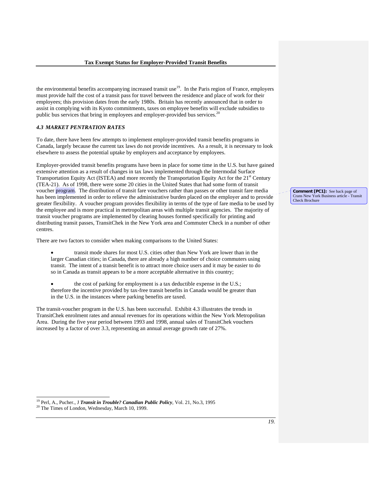the environmental benefits accompanying increased transit use $19$ . In the Paris region of France, employers must provide half the cost of a transit pass for travel between the residence and place of work for their employees; this provision dates from the early 1980s. Britain has recently announced that in order to assist in complying with its Kyoto commitments, taxes on employee benefits will exclude subsidies to public bus services that bring in employees and employer-provided bus services.<sup>20</sup>

#### *4.3 MARKET PENTRATION RATES*

To date, there have been few attempts to implement employer-provided transit benefits programs in Canada, largely because the current tax laws do not provide incentives. As a result, it is necessary to look elsewhere to assess the potential uptake by employers and acceptance by employees.

Employer-provided transit benefits programs have been in place for some time in the U.S. but have gained extensive attention as a result of changes in tax laws implemented through the Intermodal Surface Transportation Equity Act (ISTEA) and more recently the Transportation Equity Act for the 21<sup>st</sup> Century (TEA-21). As of 1998, there were some 20 cities in the United States that had some form of transit voucher program. The distribution of transit fare vouchers rather than passes or other transit fare media has been implemented in order to relieve the administrative burden placed on the employer and to provide greater flexibility. A voucher program provides flexibility in terms of the type of fare media to be used by the employee and is more practical in metropolitan areas with multiple transit agencies. The majority of transit voucher programs are implemented by clearing houses formed specifically for printing and distributing transit passes, TransitChek in the New York area and Commuter Check in a number of other centres.

There are two factors to consider when making comparisons to the United States:

- transit mode shares for most U.S. cities other than New York are lower than in the larger Canadian cities; in Canada, there are already a high number of choice commuters using transit. The intent of a transit benefit is to attract more choice users and it may be easier to do so in Canada as transit appears to be a more acceptable alternative in this country;
- the cost of parking for employment is a tax deductible expense in the U.S.; therefore the incentive provided by tax-free transit benefits in Canada would be greater than in the U.S. in the instances where parking benefits are taxed.

The transit-voucher program in the U.S. has been successful. Exhibit 4.3 illustrates the trends in TransitChek enrolment rates and annual revenues for its operations within the New York Metropolitan Area. During the five year period between 1993 and 1998, annual sales of TransitChek vouchers increased by a factor of over 3.3, representing an annual average growth rate of 27%.

<sup>19</sup> Perl, A., Pucher., J *Transit in Trouble? Canadian Public Policy*, Vol. 21, No.3, 1995<sup>20</sup> The Times of London, Wednesday, March 10, 1999.

 $\overline{a}$ 

**Comment [PC1]:** See back page of Crans New York Business article - Transit Check Brochure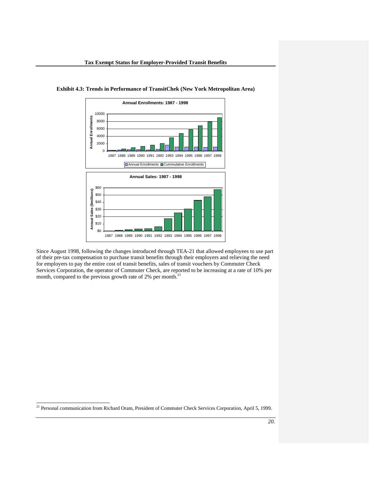

**Exhibit 4.3: Trends in Performance of TransitChek (New York Metropolitan Area)** 

Since August 1998, following the changes introduced through TEA-21 that allowed employees to use part of their pre-tax compensation to purchase transit benefits through their employers and relieving the need for employers to pay the entire cost of transit benefits, sales of transit vouchers by Commuter Check Services Corporation, the operator of Commuter Check, are reported to be increasing at a rate of 10% per month, compared to the previous growth rate of 2% per month.<sup>21</sup>

21 Personal communication from Richard Oram, President of Commuter Check Services Corporation, April 5, 1999.

l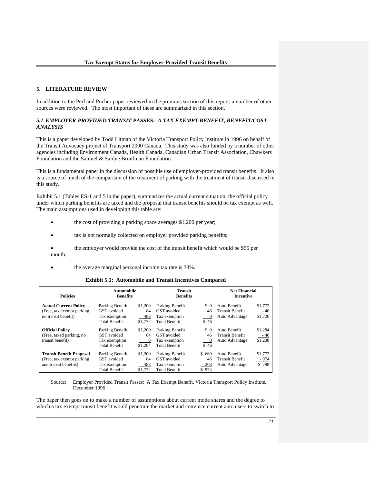#### **5. LITERATURE REVIEW**

In addition to the Perl and Pucher paper reviewed in the previous section of this report, a number of other sources were reviewed. The most important of these are summarized in this section.

#### *5.1 EMPLOYER-PROVIDED TRANSIT PASSES: A TAX EXEMPT BENEFIT, BENEFIT/COST ANALYSIS*

This is a paper developed by Todd Litman of the Victoria Transport Policy Institute in 1996 on behalf of the Transit Advocacy project of Transport 2000 Canada. This study was also funded by a number of other agencies including Environment Canada, Health Canada, Canadian Urban Transit Association, Chawkers Foundation and the Samuel & Saidye Bronfman Foundation.

This is a fundamental paper in the discussion of possible use of employer-provided transit benefits. It also is a source of much of the comparison of the treatment of parking with the treatment of transit discussed in this study.

Exhibit 5.1 (Tables ES-1 and 5 in the paper), summarizes the actual current situation, the official policy under which parking benefits are taxed and the proposal that transit benefits should be tax exempt as well. The main assumptions used in developing this table are:

- the cost of providing a parking space averages \$1,200 per year;
- tax is not normally collected on employer provided parking benefits;
- the employer would provide the cost of the transit benefit which would be \$55 per month;
- the average marginal personal income tax rate is 38%.

#### **Exhibit 5.1: Automobile and Transit Incentives Compared**

| <b>Policies</b>                                                                        |                                                                         | <b>Automobile</b><br><b>Benefits</b> |                                                                         | <b>Transit</b><br><b>Benefits</b> |                                                          | <b>Net Financial</b><br><b>Incentive</b> |  |
|----------------------------------------------------------------------------------------|-------------------------------------------------------------------------|--------------------------------------|-------------------------------------------------------------------------|-----------------------------------|----------------------------------------------------------|------------------------------------------|--|
| <b>Actual Current Policy</b><br>(Free, tax exempt parking,<br>no transit benefit)      | Parking Benefit<br>GST avoided<br>Tax exemption<br><b>Total Benefit</b> | \$1,200<br>84<br>488<br>\$1.772      | Parking Benefit<br>GST avoided<br>Tax exemption<br><b>Total Benefit</b> | $\Omega$<br>46<br>0<br>\$46       | Auto Benefit<br><b>Transit Benefit</b><br>Auto Advantage | \$1,772<br>- 46<br>\$1,726               |  |
| <b>Official Policy</b><br>(Free, taxed parking, no<br>transit benefit)                 | Parking Benefit<br>GST avoided<br>Tax exemption<br><b>Total Benefit</b> | \$1,200<br>84<br>$\theta$<br>\$1.284 | Parking Benefit<br>GST avoided<br>Tax exemption<br><b>Total Benefit</b> | \$ 0<br>46<br>$\theta$<br>\$46    | Auto Benefit<br><b>Transit Benefit</b><br>Auto Advantage | \$1,284<br>- 46<br>\$1,238               |  |
| <b>Transit Benefit Proposal</b><br>(Free, tax exempt parking)<br>and transit benefits) | Parking Benefit<br>GST avoided<br>Tax exemption<br><b>Total Benefit</b> | \$1,200<br>84<br>488<br>\$1,772      | Parking Benefit<br>GST avoided<br>Tax exemption<br><b>Total Benefit</b> | \$660<br>46<br>268<br>\$974       | Auto Benefit<br><b>Transit Benefit</b><br>Auto Advantage | \$1,772<br>- 974<br>\$798                |  |

Source: Employer Provided Transit Passes: A Tax Exempt Benefit, Victoria Transport Policy Institute, December 1996

The paper then goes on to make a number of assumptions about current mode shares and the degree to which a tax exempt transit benefit would penetrate the market and convince current auto users to switch to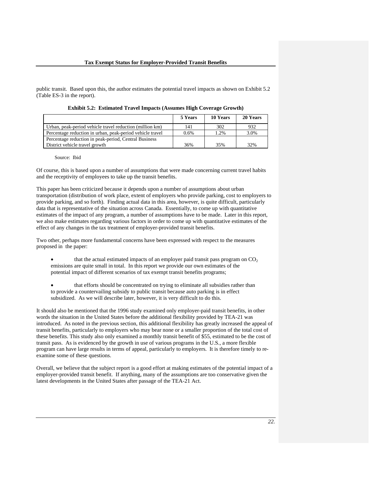public transit. Based upon this, the author estimates the potential travel impacts as shown on Exhibit 5.2 (Table ES-3 in the report).

|                                                           | 5 Years | 10 Years | 20 Years |
|-----------------------------------------------------------|---------|----------|----------|
| Urban, peak-period vehicle travel reduction (million km)  | 141     | 302      | 932      |
| Percentage reduction in urban, peak-period vehicle travel | $0.6\%$ | 1.2%     | 3.0%     |
| Percentage reduction in peak-period, Central Business     |         |          |          |
| District vehicle travel growth                            | 36%     | 35%      | 32%      |

**Exhibit 5.2: Estimated Travel Impacts (Assumes High Coverage Growth)** 

Source: Ibid

Of course, this is based upon a number of assumptions that were made concerning current travel habits and the receptivity of employees to take up the transit benefits.

This paper has been criticized because it depends upon a number of assumptions about urban transportation (distribution of work place, extent of employers who provide parking, cost to employers to provide parking, and so forth). Finding actual data in this area, however, is quite difficult, particularly data that is representative of the situation across Canada. Essentially, to come up with quantitative estimates of the impact of any program, a number of assumptions have to be made. Later in this report, we also make estimates regarding various factors in order to come up with quantitative estimates of the effect of any changes in the tax treatment of employer-provided transit benefits.

Two other, perhaps more fundamental concerns have been expressed with respect to the measures proposed in the paper:

- that the actual estimated impacts of an employer paid transit pass program on  $CO<sub>2</sub>$ emissions are quite small in total. In this report we provide our own estimates of the potential impact of different scenarios of tax exempt transit benefits programs;
- that efforts should be concentrated on trying to eliminate all subsidies rather than to provide a countervailing subsidy to public transit because auto parking is in effect subsidized. As we will describe later, however, it is very difficult to do this.

It should also be mentioned that the 1996 study examined only employer-paid transit benefits, in other words the situation in the United States before the additional flexibility provided by TEA-21 was introduced. As noted in the previous section, this additional flexibility has greatly increased the appeal of transit benefits, particularly to employers who may bear none or a smaller proportion of the total cost of these benefits. This study also only examined a monthly transit benefit of \$55, estimated to be the cost of transit pass. As is evidenced by the growth in use of various programs in the U.S., a more flexible program can have large results in terms of appeal, particularly to employers. It is therefore timely to reexamine some of these questions.

Overall, we believe that the subject report is a good effort at making estimates of the potential impact of a employer-provided transit benefit. If anything, many of the assumptions are too conservative given the latest developments in the United States after passage of the TEA-21 Act.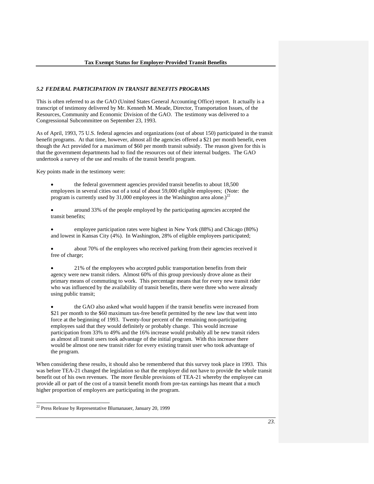#### *5.2 FEDERAL PARTICIPATION IN TRANSIT BENEFITS PROGRAMS*

This is often referred to as the GAO (United States General Accounting Office) report. It actually is a transcript of testimony delivered by Mr. Kenneth M. Meade, Director, Transportation Issues, of the Resources, Community and Economic Division of the GAO. The testimony was delivered to a Congressional Subcommittee on September 23, 1993.

As of April, 1993, 75 U.S. federal agencies and organizations (out of about 150) participated in the transit benefit programs. At that time, however, almost all the agencies offered a \$21 per month benefit, even though the Act provided for a maximum of \$60 per month transit subsidy. The reason given for this is that the government departments had to find the resources out of their internal budgets. The GAO undertook a survey of the use and results of the transit benefit program.

Key points made in the testimony were:

• the federal government agencies provided transit benefits to about 18,500 employees in several cities out of a total of about 59,000 eligible employees; (Note: the program is currently used by 31,000 employees in the Washington area alone.)<sup>22</sup>

• around 33% of the people employed by the participating agencies accepted the transit benefits;

• employee participation rates were highest in New York (88%) and Chicago (80%) and lowest in Kansas City (4%). In Washington, 28% of eligible employees participated;

about 70% of the employees who received parking from their agencies received it free of charge;

• 21% of the employees who accepted public transportation benefits from their agency were new transit riders. Almost 60% of this group previously drove alone as their primary means of commuting to work. This percentage means that for every new transit rider who was influenced by the availability of transit benefits, there were three who were already using public transit;

• the GAO also asked what would happen if the transit benefits were increased from \$21 per month to the \$60 maximum tax-free benefit permitted by the new law that went into force at the beginning of 1993. Twenty-four percent of the remaining non-participating employees said that they would definitely or probably change. This would increase participation from 33% to 49% and the 16% increase would probably all be new transit riders as almost all transit users took advantage of the initial program. With this increase there would be almost one new transit rider for every existing transit user who took advantage of the program.

When considering these results, it should also be remembered that this survey took place in 1993. This was before TEA-21 changed the legislation so that the employer did not have to provide the whole transit benefit out of his own revenues. The more flexible provisions of TEA-21 whereby the employee can provide all or part of the cost of a transit benefit month from pre-tax earnings has meant that a much higher proportion of employers are participating in the program.

l

<sup>22</sup> Press Release by Representative Blumanauer, January 20, 1999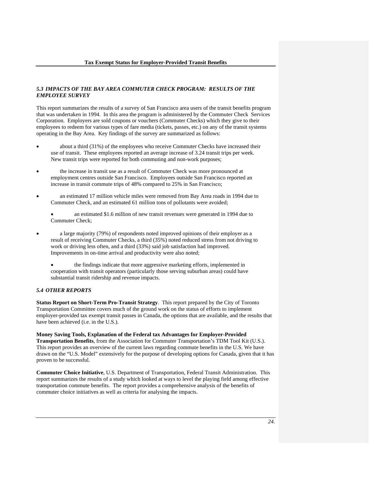#### *5.3 IMPACTS OF THE BAY AREA COMMUTER CHECK PROGRAM: RESULTS OF THE EMPLOYEE SURVEY*

This report summarizes the results of a survey of San Francisco area users of the transit benefits program that was undertaken in 1994. In this area the program is administered by the Commuter Check Services Corporation. Employers are sold coupons or vouchers (Commuter Checks) which they give to their employees to redeem for various types of fare media (tickets, passes, etc.) on any of the transit systems operating in the Bay Area. Key findings of the survey are summarized as follows:

- about a third (31%) of the employees who receive Commuter Checks have increased their use of transit. These employees reported an average increase of 3.24 transit trips per week. New transit trips were reported for both commuting and non-work purposes;
- the increase in transit use as a result of Commuter Check was more pronounced at employment centres outside San Francisco. Employees outside San Francisco reported an increase in transit commute trips of 48% compared to 25% in San Francisco;
- an estimated 17 million vehicle miles were removed from Bay Area roads in 1994 due to Commuter Check, and an estimated 61 million tons of pollutants were avoided;
	- an estimated \$1.6 million of new transit revenues were generated in 1994 due to Commuter Check;
- a large majority (79%) of respondents noted improved opinions of their employer as a result of receiving Commuter Checks, a third (35%) noted reduced stress from not driving to work or driving less often, and a third (33%) said job satisfaction had improved. Improvements in on-time arrival and productivity were also noted;
	- the findings indicate that more aggressive marketing efforts, implemented in cooperation with transit operators (particularly those serving suburban areas) could have substantial transit ridership and revenue impacts.

#### *5.4 OTHER REPORTS*

**Status Report on Short-Term Pro-Transit Strategy**. This report prepared by the City of Toronto Transportation Committee covers much of the ground work on the status of efforts to implement employer-provided tax exempt transit passes in Canada, the options that are available, and the results that have been achieved (i.e. in the U.S.).

**Money Saving Tools, Explanation of the Federal tax Advantages for Employer-Provided Transportation Benefits**, from the Association for Commuter Transportation's TDM Tool Kit (U.S.). This report provides an overview of the current laws regarding commute benefits in the U.S. We have drawn on the "U.S. Model" extensively for the purpose of developing options for Canada, given that it has proven to be successful.

**Commuter Choice Initiative**, U.S. Department of Transportation, Federal Transit Administration. This report summarizes the results of a study which looked at ways to level the playing field among effective transportation commute benefits. The report provides a comprehensive analysis of the benefits of commuter choice initiatives as well as criteria for analysing the impacts.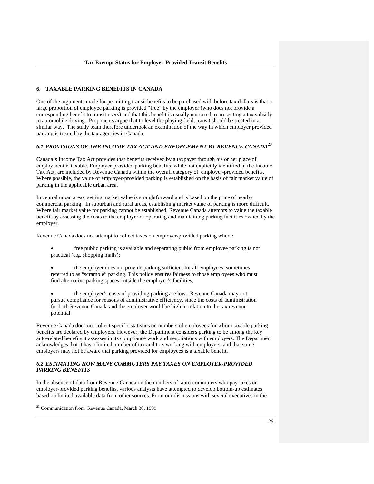#### **6. TAXABLE PARKING BENEFITS IN CANADA**

One of the arguments made for permitting transit benefits to be purchased with before tax dollars is that a large proportion of employee parking is provided "free" by the employer (who does not provide a corresponding benefit to transit users) and that this benefit is usually not taxed, representing a tax subsidy to automobile driving. Proponents argue that to level the playing field, transit should be treated in a similar way. The study team therefore undertook an examination of the way in which employer provided parking is treated by the tax agencies in Canada.

#### *6.1 PROVISIONS OF THE INCOME TAX ACT AND ENFORCEMENT BY REVENUE CANADA*<sup>23</sup>

Canada's Income Tax Act provides that benefits received by a taxpayer through his or her place of employment is taxable. Employer-provided parking benefits, while not explicitly identified in the Income Tax Act, are included by Revenue Canada within the overall category of employer-provided benefits. Where possible, the value of employer-provided parking is established on the basis of fair market value of parking in the applicable urban area.

In central urban areas, setting market value is straightforward and is based on the price of nearby commercial parking. In suburban and rural areas, establishing market value of parking is more difficult. Where fair market value for parking cannot be established, Revenue Canada attempts to value the taxable benefit by assessing the costs to the employer of operating and maintaining parking facilities owned by the employer.

Revenue Canada does not attempt to collect taxes on employer-provided parking where:

- free public parking is available and separating public from employee parking is not practical (e.g. shopping malls);
- the employer does not provide parking sufficient for all employees, sometimes referred to as "scramble" parking. This policy ensures fairness to those employees who must find alternative parking spaces outside the employer's facilities;
- the employer's costs of providing parking are low. Revenue Canada may not pursue compliance for reasons of administrative efficiency, since the costs of administration for both Revenue Canada and the employer would be high in relation to the tax revenue potential.

Revenue Canada does not collect specific statistics on numbers of employees for whom taxable parking benefits are declared by employers. However, the Department considers parking to be among the key auto-related benefits it assesses in its compliance work and negotiations with employers. The Department acknowledges that it has a limited number of tax auditors working with employers, and that some employers may not be aware that parking provided for employees is a taxable benefit.

#### *6.2 ESTIMATING HOW MANY COMMUTERS PAY TAXES ON EMPLOYER-PROVIDED PARKING BENEFITS*

In the absence of data from Revenue Canada on the numbers of auto-commuters who pay taxes on employer-provided parking benefits, various analysts have attempted to develop bottom-up estimates based on limited available data from other sources. From our discussions with several executives in the

23 Communication from Revenue Canada, March 30, 1999

l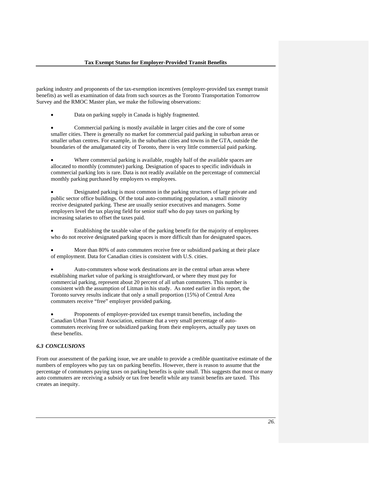parking industry and proponents of the tax-exemption incentives (employer-provided tax exempt transit benefits) as well as examination of data from such sources as the Toronto Transportation Tomorrow Survey and the RMOC Master plan, we make the following observations:

Data on parking supply in Canada is highly fragmented.

• Commercial parking is mostly available in larger cities and the core of some smaller cities. There is generally no market for commercial paid parking in suburban areas or smaller urban centres. For example, in the suburban cities and towns in the GTA, outside the boundaries of the amalgamated city of Toronto, there is very little commercial paid parking.

• Where commercial parking is available, roughly half of the available spaces are allocated to monthly (commuter) parking. Designation of spaces to specific individuals in commercial parking lots is rare. Data is not readily available on the percentage of commercial monthly parking purchased by employers vs employees.

• Designated parking is most common in the parking structures of large private and public sector office buildings. Of the total auto-commuting population, a small minority receive designated parking. These are usually senior executives and managers. Some employers level the tax playing field for senior staff who do pay taxes on parking by increasing salaries to offset the taxes paid.

• Establishing the taxable value of the parking benefit for the majority of employees who do not receive designated parking spaces is more difficult than for designated spaces.

More than 80% of auto commuters receive free or subsidized parking at their place of employment. Data for Canadian cities is consistent with U.S. cities.

• Auto-commuters whose work destinations are in the central urban areas where establishing market value of parking is straightforward, or where they must pay for commercial parking, represent about 20 percent of all urban commuters. This number is consistent with the assumption of Litman in his study. As noted earlier in this report, the Toronto survey results indicate that only a small proportion (15%) of Central Area commuters receive "free" employer provided parking.

• Proponents of employer-provided tax exempt transit benefits, including the Canadian Urban Transit Association, estimate that a very small percentage of autocommuters receiving free or subsidized parking from their employers, actually pay taxes on these benefits.

## *6.3 CONCLUSIONS*

From our assessment of the parking issue, we are unable to provide a credible quantitative estimate of the numbers of employees who pay tax on parking benefits. However, there is reason to assume that the percentage of commuters paying taxes on parking benefits is quite small. This suggests that most or many auto commuters are receiving a subsidy or tax free benefit while any transit benefits are taxed. This creates an inequity.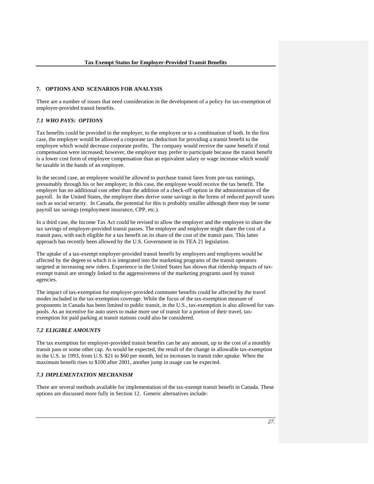#### **7. OPTIONS AND SCENARIOS FOR ANALYSIS**

There are a number of issues that need consideration in the development of a policy for tax-exemption of employer-provided transit benefits.

## *7.1 WHO PAYS: OPTIONS*

Tax benefits could be provided to the employer, to the employee or to a combination of both. In the first case, the employer would be allowed a corporate tax deduction for providing a transit benefit to the employee which would decrease corporate profits. The company would receive the same benefit if total compensation were increased; however, the employer may prefer to participate because the transit benefit is a lower cost form of employee compensation than an equivalent salary or wage increase which would be taxable in the hands of an employee.

In the second case, an employee would be allowed to purchase transit fares from pre-tax earnings, presumably through his or her employer; in this case, the employee would receive the tax benefit. The employer has no additional cost other than the addition of a check-off option in the administration of the payroll. In the United States, the employer does derive some savings in the forms of reduced payroll taxes such as social security. In Canada, the potential for this is probably smaller although there may be some payroll tax savings (employment insurance, CPP, etc.).

In a third case, the Income Tax Act could be revised to allow the employer and the employee to share the tax savings of employer-provided transit passes. The employer and employee might share the cost of a transit pass, with each eligible for a tax benefit on its share of the cost of the transit pass. This latter approach has recently been allowed by the U.S. Government in its TEA 21 legislation.

The uptake of a tax-exempt employer-provided transit benefit by employers and employees would be affected by the degree to which it is integrated into the marketing programs of the transit operators targeted at increasing new riders. Experience in the United States has shown that ridership impacts of taxexempt transit are strongly linked to the aggressiveness of the marketing programs used by transit agencies.

The impact of tax-exemption for employer-provided commuter benefits could be affected by the travel modes included in the tax-exemption coverage. While the focus of the tax-exemption measure of proponents in Canada has been limited to public transit, in the U.S., tax-exemption is also allowed for vanpools. As an incentive for auto users to make more use of transit for a portion of their travel, taxexemption for paid parking at transit stations could also be considered.

## *7.2 ELIGIBLE AMOUNTS*

The tax exemption for employer-provided transit benefits can be any amount, up to the cost of a monthly transit pass or some other cap. As would be expected, the result of the change in allowable tax-exemption in the U.S. in 1993, from U.S. \$21 to \$60 per month, led to increases in transit rider uptake. When the maximum benefit rises to \$100 after 2001, another jump in usage can be expected.

### *7.3 IMPLEMENTATION MECHANISM*

There are several methods available for implementation of the tax-exempt transit benefit in Canada. These options are discussed more fully in Section 12. Generic alternatives include: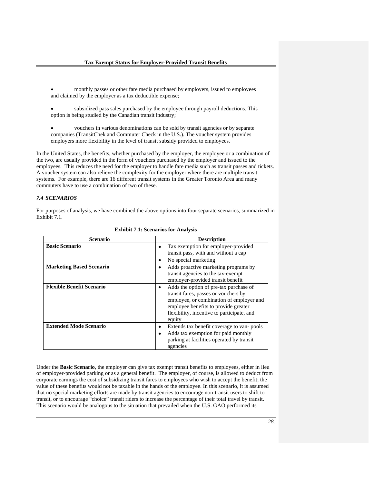- monthly passes or other fare media purchased by employers, issued to employees and claimed by the employer as a tax deductible expense;
- subsidized pass sales purchased by the employee through payroll deductions. This option is being studied by the Canadian transit industry;
- vouchers in various denominations can be sold by transit agencies or by separate companies (TransitChek and Commuter Check in the U.S.). The voucher system provides employers more flexibility in the level of transit subsidy provided to employees.

In the United States, the benefits, whether purchased by the employer, the employee or a combination of the two, are usually provided in the form of vouchers purchased by the employer and issued to the employees. This reduces the need for the employer to handle fare media such as transit passes and tickets. A voucher system can also relieve the complexity for the employer where there are multiple transit systems. For example, there are 16 different transit systems in the Greater Toronto Area and many commuters have to use a combination of two of these.

## *7.4 SCENARIOS*

For purposes of analysis, we have combined the above options into four separate scenarios, summarized in Exhibit 7.1.

| <b>Scenario</b>                  | <b>Description</b>                                                                                                                                                                                                                      |
|----------------------------------|-----------------------------------------------------------------------------------------------------------------------------------------------------------------------------------------------------------------------------------------|
| <b>Basic Scenario</b>            | Tax exemption for employer-provided<br>٠<br>transit pass, with and without a cap<br>No special marketing<br>٠                                                                                                                           |
| <b>Marketing Based Scenario</b>  | Adds proactive marketing programs by<br>$\bullet$<br>transit agencies to the tax-exempt<br>employer-provided transit benefit                                                                                                            |
| <b>Flexible Benefit Scenario</b> | Adds the option of pre-tax purchase of<br>$\bullet$<br>transit fares, passes or vouchers by<br>employee, or combination of employer and<br>employee benefits to provide greater<br>flexibility, incentive to participate, and<br>equity |
| <b>Extended Mode Scenario</b>    | Extends tax benefit coverage to van-pools<br>٠<br>Adds tax exemption for paid monthly<br>٠<br>parking at facilities operated by transit<br>agencies                                                                                     |

**Exhibit 7.1: Scenarios for Analysis** 

Under the **Basic Scenario**, the employer can give tax exempt transit benefits to employees, either in lieu of employer-provided parking or as a general benefit. The employer, of course, is allowed to deduct from corporate earnings the cost of subsidizing transit fares to employees who wish to accept the benefit; the value of these benefits would not be taxable in the hands of the employee. In this scenario, it is assumed that no special marketing efforts are made by transit agencies to encourage non-transit users to shift to transit, or to encourage "choice" transit riders to increase the percentage of their total travel by transit. This scenario would be analogous to the situation that prevailed when the U.S. GAO performed its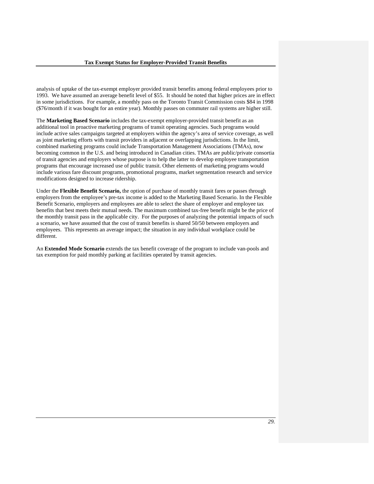analysis of uptake of the tax-exempt employer provided transit benefits among federal employees prior to 1993. We have assumed an average benefit level of \$55. It should be noted that higher prices are in effect in some jurisdictions. For example, a monthly pass on the Toronto Transit Commission costs \$84 in 1998 (\$76/month if it was bought for an entire year). Monthly passes on commuter rail systems are higher still.

The **Marketing Based Scenario** includes the tax-exempt employer-provided transit benefit as an additional tool in proactive marketing programs of transit operating agencies. Such programs would include active sales campaigns targeted at employers within the agency's area of service coverage, as well as joint marketing efforts with transit providers in adjacent or overlapping jurisdictions. In the limit, combined marketing programs could include Transportation Management Associations (TMAs), now becoming common in the U.S. and being introduced in Canadian cities. TMAs are public/private consortia of transit agencies and employers whose purpose is to help the latter to develop employee transportation programs that encourage increased use of public transit. Other elements of marketing programs would include various fare discount programs, promotional programs, market segmentation research and service modifications designed to increase ridership.

Under the **Flexible Benefit Scenario,** the option of purchase of monthly transit fares or passes through employers from the employee's pre-tax income is added to the Marketing Based Scenario. In the Flexible Benefit Scenario, employers and employees are able to select the share of employer and employee tax benefits that best meets their mutual needs. The maximum combined tax-free benefit might be the price of the monthly transit pass in the applicable city. For the purposes of analyzing the potential impacts of such a scenario, we have assumed that the cost of transit benefits is shared 50/50 between employers and employees. This represents an average impact; the situation in any individual workplace could be different.

An **Extended Mode Scenario** extends the tax benefit coverage of the program to include van-pools and tax exemption for paid monthly parking at facilities operated by transit agencies.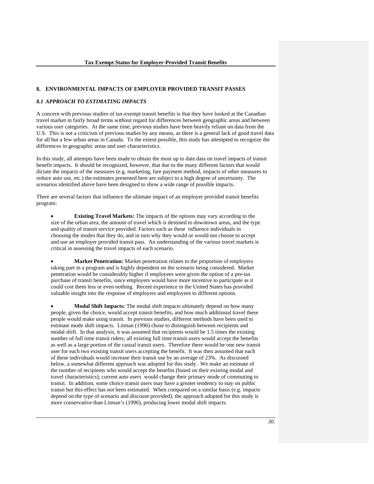### **8. ENVIRONMENTAL IMPACTS OF EMPLOYER PROVIDED TRANSIT PASSES**

#### *8.1 APPROACH TO ESTIMATING IMPACTS*

A concern with previous studies of tax-exempt transit benefits is that they have looked at the Canadian travel market in fairly broad terms without regard for differences between geographic areas and between various user categories. At the same time, previous studies have been heavily reliant on data from the U.S. This is not a criticism of previous studies by any means, as there is a general lack of good travel data for all but a few urban areas in Canada. To the extent possible, this study has attempted to recognize the differences in geographic areas and user characteristics.

In this study, all attempts have been made to obtain the most up to date data on travel impacts of transit benefit impacts. It should be recognized, however, that due to the many different factors that would dictate the impacts of the measures (e.g. marketing, fare payment method, impacts of other measures to reduce auto use, etc.) the estimates presented here are subject to a high degree of uncertainty. The scenarios identified above have been designed to show a wide range of possible impacts.

There are several factors that influence the ultimate impact of an employer provided transit benefits program:

**Existing Travel Markets:** The impacts of the options may vary according to the size of the urban area, the amount of travel which is destined to downtown areas, and the type and quality of transit service provided. Factors such as these influence individuals in choosing the modes that they do, and in turn why they would or would not choose to accept and use an employer provided transit pass. An understanding of the various travel markets is critical in assessing the travel impacts of each scenario.

**Market Penetration:** Market penetration relates to the proportion of employers taking part in a program and is highly dependent on the scenario being considered. Market penetration would be considerably higher if employees were given the option of a pre-tax purchase of transit benefits, since employers would have more incentive to participate as it could cost them less or even nothing. Recent experience in the United States has provided valuable insight into the response of employers and employees to different options.

• **Modal Shift Impacts:** The modal shift impacts ultimately depend on how many people, given the choice, would accept transit benefits, and how much additional travel these people would make using transit. In previous studies, different methods have been used to estimate mode shift impacts. Litman (1996) chose to distinguish between recipients and modal shift. In that analysis, it was assumed that recipients would be 1.5 times the existing number of full time transit riders; all existing full time transit users would accept the benefits as well as a large portion of the casual transit users. Therefore there would be one new transit user for each two existing transit users accepting the benefit. It was then assumed that each of these individuals would increase their transit use by an average of 23%. As discussed below, a somewhat different approach was adopted for this study. We make an estimate of the number of recipients who would accept the benefits (based on their existing modal and travel characteristics); current auto users would change their primary mode of commuting to transit. In addition, some choice transit users may have a greater tendency to stay on public transit but this effect has not been estimated. When compared on a similar basis (e.g. impacts depend on the type of scenario and discount provided), the approach adopted for this study is more conservative than Litman's (1996), producing lower modal shift impacts.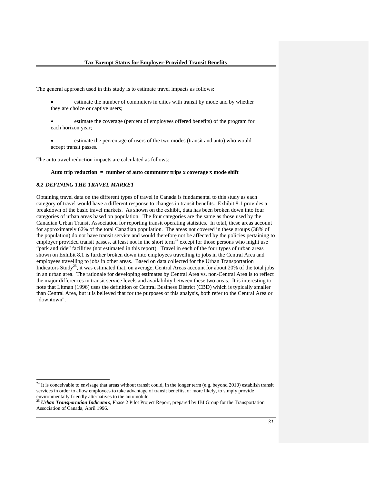The general approach used in this study is to estimate travel impacts as follows:

- estimate the number of commuters in cities with transit by mode and by whether they are choice or captive users;
- estimate the coverage (percent of employees offered benefits) of the program for each horizon year;
- estimate the percentage of users of the two modes (transit and auto) who would accept transit passes.

The auto travel reduction impacts are calculated as follows:

#### **Auto trip reduction = number of auto commuter trips x coverage x mode shift**

## *8.2 DEFINING THE TRAVEL MARKET*

l

Obtaining travel data on the different types of travel in Canada is fundamental to this study as each category of travel would have a different response to changes in transit benefits. Exhibit 8.1 provides a breakdown of the basic travel markets. As shown on the exhibit, data has been broken down into four categories of urban areas based on population. The four categories are the same as those used by the Canadian Urban Transit Association for reporting transit operating statistics. In total, these areas account for approximately 62% of the total Canadian population. The areas not covered in these groups (38% of the population) do not have transit service and would therefore not be affected by the policies pertaining to employer provided transit passes, at least not in the short term<sup>24</sup> except for those persons who might use "park and ride" facilities (not estimated in this report). Travel in each of the four types of urban areas shown on Exhibit 8.1 is further broken down into employees travelling to jobs in the Central Area and employees travelling to jobs in other areas. Based on data collected for the Urban Transportation Indicators Study<sup>25</sup>, it was estimated that, on average, Central Areas account for about 20% of the total jobs in an urban area. The rationale for developing estimates by Central Area vs. non-Central Area is to reflect the major differences in transit service levels and availability between these two areas. It is interesting to note that Litman (1996) uses the definition of Central Business District (CBD) which is typically smaller than Central Area, but it is believed that for the purposes of this analysis, both refer to the Central Area or "downtown".

 $24$  It is conceivable to envisage that areas without transit could, in the longer term (e.g. beyond 2010) establish transit services in order to allow employees to take advantage of transit benefits, or more likely, to simply provide environmentally friendly alternatives to the automobile.

<sup>25</sup> *Urban Transportation Indicators*, Phase 2 Pilot Project Report, prepared by IBI Group for the Transportation Association of Canada, April 1996.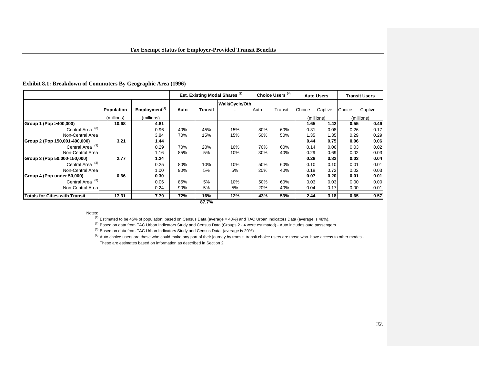# **Exhibit 8.1: Breakdown of Commuters By Geographic Area (1996)**

|                                       |            |                           | Est. Existing Modal Shares <sup>(2)</sup> |                | Choice Users <sup>(4)</sup> |      | <b>Auto Users</b> |        | <b>Transit Users</b> |            |         |
|---------------------------------------|------------|---------------------------|-------------------------------------------|----------------|-----------------------------|------|-------------------|--------|----------------------|------------|---------|
|                                       | Population | Employment <sup>(1)</sup> | Auto                                      | <b>Transit</b> | Walk/Cycle/Oth              | Auto | Transit           | Choice | Captive              | Choice     | Captive |
|                                       | (millions) | (millions)                |                                           |                |                             |      |                   |        | (millions)           | (millions) |         |
| Group 1 (Pop >400,000)                | 10.68      | 4.81                      |                                           |                |                             |      |                   | 1.65   | 1.42                 | 0.55       | 0.46    |
| Central Area <sup>(3)</sup>           |            | 0.96                      | 40%                                       | 45%            | 15%                         | 80%  | 60%               | 0.31   | 0.08                 | 0.26       | 0.17    |
| Non-Central Areal                     |            | 3.84                      | 70%                                       | 15%            | 15%                         | 50%  | 50%               | 1.35   | 1.35                 | 0.29       | 0.29    |
| Group 2 (Pop 150,001-400,000)         | 3.21       | 1.44                      |                                           |                |                             |      |                   | 0.44   | 0.75                 | 0.06       | 0.06    |
| Central Area <sup>(3)</sup>           |            | 0.29                      | 70%                                       | 20%            | 10%                         | 70%  | 60%               | 0.14   | 0.06                 | 0.03       | 0.02    |
| Non-Central Areal                     |            | 1.16                      | 85%                                       | 5%             | 10%                         | 30%  | 40%               | 0.29   | 0.69                 | 0.02       | 0.03    |
| Group 3 (Pop 50,000-150,000)          | 2.77       | 1.24                      |                                           |                |                             |      |                   | 0.28   | 0.82                 | 0.03       | 0.04    |
| Central Area <sup>(3)</sup>           |            | 0.25                      | 80%                                       | 10%            | 10%                         | 50%  | 60%               | 0.10   | 0.10                 | 0.01       | 0.01    |
| Non-Central Areal                     |            | 1.00                      | 90%                                       | 5%             | 5%                          | 20%  | 40%               | 0.18   | 0.72                 | 0.02       | 0.03    |
| Group 4 (Pop under 50,000)            | 0.66       | 0.30                      |                                           |                |                             |      |                   | 0.07   | 0.20                 | 0.01       | 0.01    |
| Central Area <sup>(3)</sup>           |            | 0.06                      | 85%                                       | 5%             | 10%                         | 50%  | 60%               | 0.03   | 0.03                 | 0.00       | 0.00    |
| Non-Central Area                      |            | 0.24                      | 90%                                       | 5%             | 5%                          | 20%  | 40%               | 0.04   | 0.17                 | 0.00       | 0.01    |
| <b>Totals for Cities with Transit</b> | 17.31      | 7.79                      | 72%                                       | 16%            | 12%                         | 43%  | 53%               | 2.44   | 3.18                 | 0.65       | 0.57    |
| 87.7%                                 |            |                           |                                           |                |                             |      |                   |        |                      |            |         |

Notes:

<sup>(1)</sup> Estimated to be 45% of population; based on Census Data (average = 43%) and TAC Urban Indicators Data (average is 48%).

(2) Based on data from TAC Urban Indicators Study and Census Data (Groups 2 - 4 were estimated) - Auto includes auto passengers

(3) Based on data from TAC Urban Indicators Study and Census Data (average is 20%)

(4) Auto choice users are those who could make any part of their journey by transit; transit choice users are those who have access to other modes . These are estimates based on information as described in Section 2.

*32.*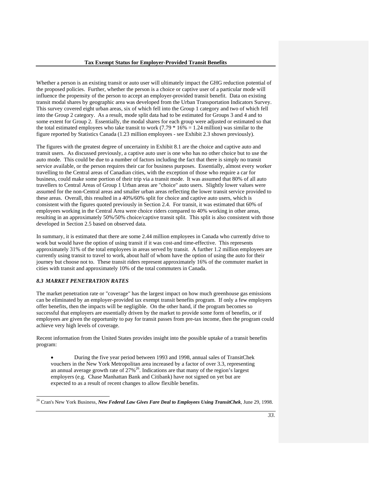Whether a person is an existing transit or auto user will ultimately impact the GHG reduction potential of the proposed policies. Further, whether the person is a choice or captive user of a particular mode will influence the propensity of the person to accept an employer-provided transit benefit. Data on existing transit modal shares by geographic area was developed from the Urban Transportation Indicators Survey. This survey covered eight urban areas, six of which fell into the Group 1 category and two of which fell into the Group 2 category. As a result, mode split data had to be estimated for Groups 3 and 4 and to some extent for Group 2. Essentially, the modal shares for each group were adjusted or estimated so that the total estimated employees who take transit to work (7.79  $*$  16% = 1.24 million) was similar to the figure reported by Statistics Canada (1.23 million employees - see Exhibit 2.3 shown previously).

The figures with the greatest degree of uncertainty in Exhibit 8.1 are the choice and captive auto and transit users. As discussed previously, a captive auto user is one who has no other choice but to use the auto mode. This could be due to a number of factors including the fact that there is simply no transit service available, or the person requires their car for business purposes. Essentially, almost every worker travelling to the Central areas of Canadian cities, with the exception of those who require a car for business, could make some portion of their trip via a transit mode. It was assumed that 80% of all auto travellers to Central Areas of Group 1 Urban areas are "choice" auto users. Slightly lower values were assumed for the non-Central areas and smaller urban areas reflecting the lower transit service provided to these areas. Overall, this resulted in a 40%/60% split for choice and captive auto users, which is consistent with the figures quoted previously in Section 2.4. For transit, it was estimated that 60% of employees working in the Central Area were choice riders compared to 40% working in other areas, resulting in an approximately 50%/50% choice/captive transit split. This split is also consistent with those developed in Section 2.5 based on observed data.

In summary, it is estimated that there are some 2.44 million employees in Canada who currently drive to work but would have the option of using transit if it was cost-and time-effective. This represents approximately 31% of the total employees in areas served by transit. A further 1.2 million employees are currently using transit to travel to work, about half of whom have the option of using the auto for their journey but choose not to. These transit riders represent approximately 16% of the commuter market in cities with transit and approximately 10% of the total commuters in Canada.

## *8.3 MARKET PENETRATION RATES*

l

The market penetration rate or "coverage" has the largest impact on how much greenhouse gas emissions can be eliminated by an employer-provided tax exempt transit benefits program. If only a few employers offer benefits, then the impacts will be negligible. On the other hand, if the program becomes so successful that employers are essentially driven by the market to provide some form of benefits, or if employees are given the opportunity to pay for transit passes from pre-tax income, then the program could achieve very high levels of coverage.

Recent information from the United States provides insight into the possible uptake of a transit benefits program:

• During the five year period between 1993 and 1998, annual sales of TransitChek vouchers in the New York Metropolitan area increased by a factor of over 3.3, representing an annual average growth rate of  $27\%$ <sup>26</sup>. Indications are that many of the region's largest employers (e.g. Chase Manhattan Bank and Citibank) have not signed on yet but are expected to as a result of recent changes to allow flexible benefits.

<sup>26</sup> Cran's New York Business, *New Federal Law Gives Fare Deal to Employees Using TransitChek*, June 29, 1998.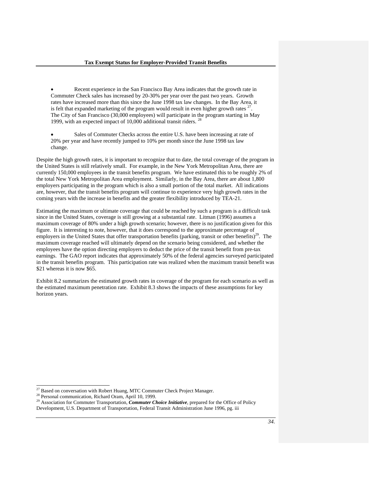- Recent experience in the San Francisco Bay Area indicates that the growth rate in Commuter Check sales has increased by 20-30% per year over the past two years. Growth rates have increased more than this since the June 1998 tax law changes. In the Bay Area, it is felt that expanded marketing of the program would result in even higher growth rates  $27$ . The City of San Francisco (30,000 employees) will participate in the program starting in May 1999, with an expected impact of 10,000 additional transit riders. <sup>28</sup>
- Sales of Commuter Checks across the entire U.S. have been increasing at rate of 20% per year and have recently jumped to 10% per month since the June 1998 tax law change.

Despite the high growth rates, it is important to recognize that to date, the total coverage of the program in the United States is still relatively small. For example, in the New York Metropolitan Area, there are currently 150,000 employees in the transit benefits program. We have estimated this to be roughly 2% of the total New York Metropolitan Area employment. Similarly, in the Bay Area, there are about 1,800 employers participating in the program which is also a small portion of the total market. All indications are, however, that the transit benefits program will continue to experience very high growth rates in the coming years with the increase in benefits and the greater flexibility introduced by TEA-21.

Estimating the maximum or ultimate coverage that could be reached by such a program is a difficult task since in the United States, coverage is still growing at a substantial rate. Litman (1996) assumes a maximum coverage of 80% under a high growth scenario; however, there is no justification given for this figure. It is interesting to note, however, that it does correspond to the approximate percentage of employers in the United States that offer transportation benefits (parking, transit or other benefits)<sup>29</sup>. The maximum coverage reached will ultimately depend on the scenario being considered, and whether the employees have the option directing employers to deduct the price of the transit benefit from pre-tax earnings. The GAO report indicates that approximately 50% of the federal agencies surveyed participated in the transit benefits program. This participation rate was realized when the maximum transit benefit was \$21 whereas it is now \$65.

Exhibit 8.2 summarizes the estimated growth rates in coverage of the program for each scenario as well as the estimated maximum penetration rate. Exhibit 8.3 shows the impacts of these assumptions for key horizon years.

 $\overline{a}$ 

 $^{27}$  Based on conversation with Robert Huang, MTC Commuter Check Project Manager.

<sup>&</sup>lt;sup>28</sup> Personal communication, Richard Oram, April 10, 1999.

<sup>&</sup>lt;sup>29</sup> Association for Commuter Transportation, *Commuter Choice Initiative*, prepared for the Office of Policy Development, U.S. Department of Transportation, Federal Transit Administration June 1996, pg. iii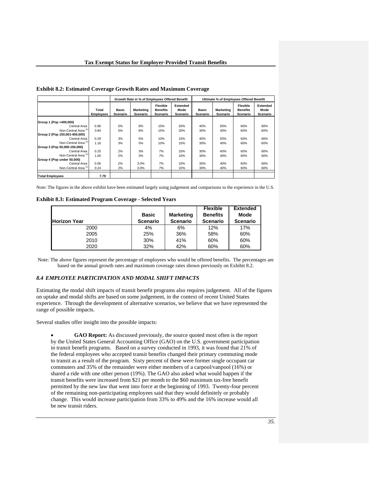|                                 |                           | Growth Rate in % of Employees Offered Benefit |                       |                                                |                              | Ultimate % of Employees Offered Benefit |                              |                                                |                              |
|---------------------------------|---------------------------|-----------------------------------------------|-----------------------|------------------------------------------------|------------------------------|-----------------------------------------|------------------------------|------------------------------------------------|------------------------------|
|                                 | Total<br><b>Employees</b> | Basic<br>Scenario                             | Marketing<br>Scenario | <b>Flexible</b><br><b>Benefits</b><br>Scenario | Extended<br>Mode<br>Scenario | Basic<br>Scenario                       | <b>Marketing</b><br>Scenario | <b>Flexible</b><br><b>Benefits</b><br>Scenario | Extended<br>Mode<br>Scenario |
| Group 1 (Pop >400,000)          |                           |                                               |                       |                                                |                              |                                         |                              |                                                |                              |
| Central Area                    | 0.96                      | 5%                                            | 8%                    | 15%                                            | 20%                          | 40%                                     | 50%                          | 60%                                            | 60%                          |
| Non-Central Area <sup>(1)</sup> | 3.84                      | 5%                                            | 8%                    | 15%                                            | 20%                          | 30%                                     | 40%                          | 60%                                            | 60%                          |
| Group 2 (Pop 150,001-400,000)   |                           |                                               |                       |                                                |                              |                                         |                              |                                                |                              |
| Central Area                    | 0.29                      | 3%                                            | 5%                    | 10%                                            | 15%                          | 40%                                     | 50%                          | 60%                                            | 60%                          |
| Non-Central Area <sup>(1)</sup> | 1.16                      | 3%                                            | 5%                    | 10%                                            | 15%                          | 30%                                     | 40%                          | 60%                                            | 60%                          |
| Group 3 (Pop 50,000-150,000)    |                           |                                               |                       |                                                |                              |                                         |                              |                                                |                              |
| Central Area                    | 0.25                      | 2%                                            | 3%                    | 7%                                             | 10%                          | 30%                                     | 40%                          | 60%                                            | 60%                          |
| Non-Central Area <sup>(1)</sup> | 1.00                      | 2%                                            | 3%                    | 7%                                             | 10%                          | 30%                                     | 40%                          | 60%                                            | 60%                          |
| Group 4 (Pop under 50,000)      |                           |                                               |                       |                                                |                              |                                         |                              |                                                |                              |
| Central Area                    | 0.06                      | 2%                                            | 3.0%                  | 7%                                             | 10%                          | 30%                                     | 40%                          | 60%                                            | 60%                          |
| Non-Central Area <sup>(1)</sup> | 0.24                      | 2%                                            | 3.0%                  | 7%                                             | 10%                          | 30%                                     | 40%                          | 60%                                            | 60%                          |
| <b>Total Employees</b>          | 7.79                      |                                               |                       |                                                |                              |                                         |                              |                                                |                              |

**Exhibit 8.2: Estimated Coverage Growth Rates and Maximum Coverage** 

Note: The figures in the above exhibit have been estimated largely using judgement and comparisons to the experience in the U.S.

**Exhibit 8.3: Estimated Program Coverage - Selected Years** 

|                     | <b>Basic</b>    | <b>Marketing</b> | <b>Flexible</b><br><b>Benefits</b> | <b>Extended</b><br>Mode |
|---------------------|-----------------|------------------|------------------------------------|-------------------------|
| <b>Horizon Year</b> | <b>Scenario</b> | <b>Scenario</b>  | <b>Scenario</b>                    | <b>Scenario</b>         |
| 2000                | 4%              | 6%               | 12%                                | 17%                     |
| 2005                | 25%             | 36%              | 58%                                | 60%                     |
| 2010                | 30%             | 41%              | 60%                                | 60%                     |
| 2020                | 32%             | 42%              | 60%                                | 60%                     |

Note: The above figures represent the percentage of employees who would be offered benefits. The percentages are based on the annual growth rates and maximum coverage rates shown previously on Exhibit 8.2.

#### *8.4 EMPLOYEE PARTICIPATION AND MODAL SHIFT IMPACTS*

Estimating the modal shift impacts of transit benefit programs also requires judgement. All of the figures on uptake and modal shifts are based on some judgement, in the context of recent United States experience. Through the development of alternative scenarios, we believe that we have represented the range of possible impacts.

Several studies offer insight into the possible impacts:

• **GAO Report:** As discussed previously, the source quoted most often is the report by the United States General Accounting Office (GAO) on the U.S. government participation in transit benefit programs. Based on a survey conducted in 1993, it was found that 21% of the federal employees who accepted transit benefits changed their primary commuting mode to transit as a result of the program. Sixty percent of these were former single occupant car commuters and 35% of the remainder were either members of a carpool/vanpool (16%) or shared a ride with one other person (19%). The GAO also asked what would happen if the transit benefits were increased from \$21 per month to the \$60 maximum tax-free benefit permitted by the new law that went into force at the beginning of 1993. Twenty-four percent of the remaining non-participating employees said that they would definitely or probably change. This would increase participation from 33% to 49% and the 16% increase would all be new transit riders.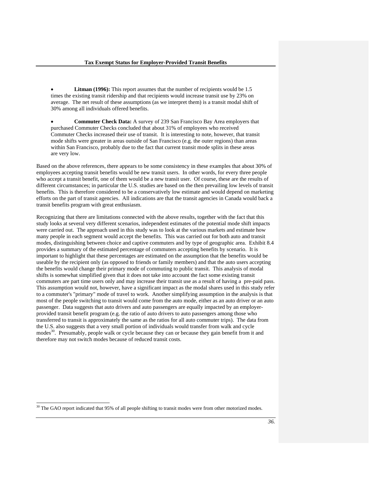- **Litman (1996):** This report assumes that the number of recipients would be 1.5 times the existing transit ridership and that recipients would increase transit use by 23% on average. The net result of these assumptions (as we interpret them) is a transit modal shift of 30% among all individuals offered benefits.
- **Commuter Check Data:** A survey of 239 San Francisco Bay Area employers that purchased Commuter Checks concluded that about 31% of employees who received Commuter Checks increased their use of transit. It is interesting to note, however, that transit mode shifts were greater in areas outside of San Francisco (e.g. the outer regions) than areas within San Francisco, probably due to the fact that current transit mode splits in these areas are very low.

Based on the above references, there appears to be some consistency in these examples that about 30% of employees accepting transit benefits would be new transit users. In other words, for every three people who accept a transit benefit, one of them would be a new transit user. Of course, these are the results of different circumstances; in particular the U.S. studies are based on the then prevailing low levels of transit benefits. This is therefore considered to be a conservatively low estimate and would depend on marketing efforts on the part of transit agencies. All indications are that the transit agencies in Canada would back a transit benefits program with great enthusiasm.

Recognizing that there are limitations connected with the above results, together with the fact that this study looks at several very different scenarios, independent estimates of the potential mode shift impacts were carried out. The approach used in this study was to look at the various markets and estimate how many people in each segment would accept the benefits. This was carried out for both auto and transit modes, distinguishing between choice and captive commuters and by type of geographic area. Exhibit 8.4 provides a summary of the estimated percentage of commuters accepting benefits by scenario. It is important to highlight that these percentages are estimated on the assumption that the benefits would be useable by the recipient only (as opposed to friends or family members) and that the auto users accepting the benefits would change their primary mode of commuting to public transit. This analysis of modal shifts is somewhat simplified given that it does not take into account the fact some existing transit commuters are part time users only and may increase their transit use as a result of having a pre-paid pass. This assumption would not, however, have a significant impact as the modal shares used in this study refer to a commuter's "primary" mode of travel to work. Another simplifying assumption in the analysis is that most of the people switching to transit would come from the auto mode, either as an auto driver or an auto passenger. Data suggests that auto drivers and auto passengers are equally impacted by an employerprovided transit benefit program (e.g. the ratio of auto drivers to auto passengers among those who transferred to transit is approximately the same as the ratios for all auto commuter trips). The data from the U.S. also suggests that a very small portion of individuals would transfer from walk and cycle modes<sup>30</sup>. Presumably, people walk or cycle because they can or because they gain benefit from it and therefore may not switch modes because of reduced transit costs.

l

<sup>&</sup>lt;sup>30</sup> The GAO report indicated that 95% of all people shifting to transit modes were from other motorized modes.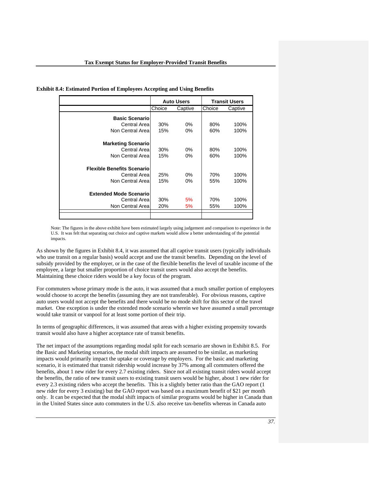| <b>Exhibit 8.4: Estimated Portion of Employees Accepting and Using Benefits</b> |  |  |
|---------------------------------------------------------------------------------|--|--|
|---------------------------------------------------------------------------------|--|--|

|                                   |        | <b>Auto Users</b> |        | <b>Transit Users</b> |
|-----------------------------------|--------|-------------------|--------|----------------------|
|                                   | Choice | Captive           | Choice | Captive              |
| <b>Basic Scenario</b>             |        |                   |        |                      |
| Central Areal                     | 30%    | $0\%$             | 80%    | 100%                 |
| Non Central Area                  | 15%    | $0\%$             | 60%    | 100%                 |
|                                   |        |                   |        |                      |
| <b>Marketing Scenario</b>         |        |                   |        |                      |
| Central Areal                     | 30%    | $0\%$             | 80%    | 100%                 |
| Non Central Areal                 | 15%    | $0\%$             | 60%    | 100%                 |
|                                   |        |                   |        |                      |
| <b>Flexible Benefits Scenario</b> |        |                   |        |                      |
| Central Areal                     | 25%    | $0\%$             | 70%    | 100%                 |
| Non Central Areal                 | 15%    | $0\%$             | 55%    | 100%                 |
|                                   |        |                   |        |                      |
| <b>Extended Mode Scenario</b>     |        |                   |        |                      |
| Central Areal                     | 30%    | 5%                | 70%    | 100%                 |
| Non Central Area                  | 20%    | 5%                | 55%    | 100%                 |
|                                   |        |                   |        |                      |

Note: The figures in the above exhibit have been estimated largely using judgement and comparison to experience in the U.S. It was felt that separating out choice and captive markets would allow a better understanding of the potential impacts.

As shown by the figures in Exhibit 8.4, it was assumed that all captive transit users (typically individuals who use transit on a regular basis) would accept and use the transit benefits. Depending on the level of subsidy provided by the employer, or in the case of the flexible benefits the level of taxable income of the employee, a large but smaller proportion of choice transit users would also accept the benefits. Maintaining these choice riders would be a key focus of the program.

For commuters whose primary mode is the auto, it was assumed that a much smaller portion of employees would choose to accept the benefits (assuming they are not transferable). For obvious reasons, captive auto users would not accept the benefits and there would be no mode shift for this sector of the travel market. One exception is under the extended mode scenario wherein we have assumed a small percentage would take transit or vanpool for at least some portion of their trip.

In terms of geographic differences, it was assumed that areas with a higher existing propensity towards transit would also have a higher acceptance rate of transit benefits.

The net impact of the assumptions regarding modal split for each scenario are shown in Exhibit 8.5. For the Basic and Marketing scenarios, the modal shift impacts are assumed to be similar, as marketing impacts would primarily impact the uptake or coverage by employers. For the basic and marketing scenario, it is estimated that transit ridership would increase by 37% among all commuters offered the benefits, about 1 new rider for every 2.7 existing riders. Since not all existing transit riders would accept the benefits, the ratio of new transit users to existing transit users would be higher, about 1 new rider for every 2.3 existing riders who accept the benefits. This is a slightly better ratio than the GAO report (1 new rider for every 3 existing) but the GAO report was based on a maximum benefit of \$21 per month only. It can be expected that the modal shift impacts of similar programs would be higher in Canada than in the United States since auto commuters in the U.S. also receive tax-benefits whereas in Canada auto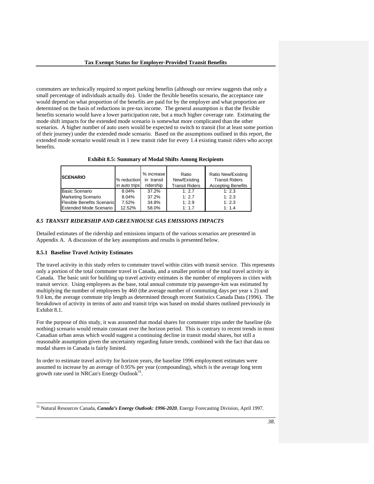commuters are technically required to report parking benefits (although our review suggests that only a small percentage of individuals actually do). Under the flexible benefits scenario, the acceptance rate would depend on what proportion of the benefits are paid for by the employer and what proportion are determined on the basis of reductions in pre-tax income. The general assumption is that the flexible benefits scenario would have a lower participation rate, but a much higher coverage rate. Estimating the mode shift impacts for the extended mode scenario is somewhat more complicated than the other scenarios. A higher number of auto users would be expected to switch to transit (for at least some portion of their journey) under the extended mode scenario. Based on the assumptions outlined in this report, the extended mode scenario would result in 1 new transit rider for every 1.4 existing transit riders who accept benefits.

| <b>SCENARIO</b>                   | % reduction<br>in auto trips | % increase<br>in transit<br>ridership | Ratio<br>New/Existing<br><b>Transit Riders</b> | Ratio New/Existing<br><b>Transit Riders</b><br><b>Accepting Benefits</b> |
|-----------------------------------|------------------------------|---------------------------------------|------------------------------------------------|--------------------------------------------------------------------------|
| <b>Basic Scenario</b>             | 8.04%                        | 37.2%                                 | 1:2.7                                          | 1:2.3                                                                    |
| <b>Marketing Scenario</b>         | 8.04%                        | 37.2%                                 | 1:2.7                                          | 1:2.3                                                                    |
| <b>Flexible Benefits Scenario</b> | 7.52%                        | 34.8%                                 | 1:2.9                                          | 1:2.3                                                                    |
| <b>Extended Mode Scenario</b>     | 12.52%                       | 58.0%                                 | 1:1.7                                          | 1:1.4                                                                    |

## *8.5 TRANSIT RIDERSHIP AND GREENHOUSE GAS EMISSIONS IMPACTS*

Detailed estimates of the ridership and emissions impacts of the various scenarios are presented in Appendix A. A discussion of the key assumptions and results is presented below.

#### **8.5.1 Baseline Travel Activity Estimates**

l

The travel activity in this study refers to commuter travel within cities with transit service. This represents only a portion of the total commuter travel in Canada, and a smaller portion of the total travel activity in Canada. The basic unit for building up travel activity estimates is the number of employees in cities with transit service. Using employees as the base, total annual commute trip passenger-km was estimated by multiplying the number of employees by 460 (the average number of commuting days per year x 2) and 9.0 km, the average commute trip length as determined through recent Statistics Canada Data (1996). The breakdown of activity in terms of auto and transit trips was based on modal shares outlined previously in Exhibit 8.1.

For the purpose of this study, it was assumed that modal shares for commuter trips under the baseline (do nothing) scenario would remain constant over the horizon period. This is contrary to recent trends in most Canadian urban areas which would suggest a continuing decline in transit modal shares, but still a reasonable assumption given the uncertainty regarding future trends, combined with the fact that data on modal shares in Canada is fairly limited.

In order to estimate travel activity for horizon years, the baseline 1996 employment estimates were assumed to increase by an average of 0.95% per year (compounding), which is the average long term growth rate used in NRCan's Energy Outlook<sup>31</sup>

<sup>31</sup> Natural Resources Canada, *Canada's Energy Outlook: 1996-2020*, Energy Forecasting Division, April 1997.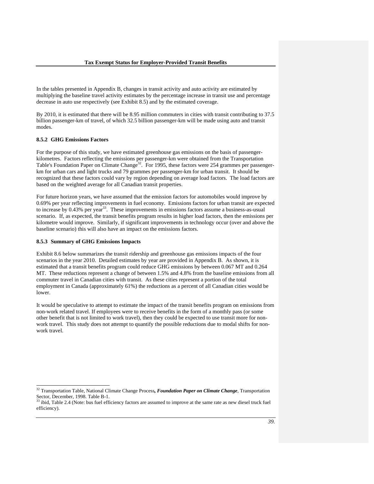In the tables presented in Appendix B, changes in transit activity and auto activity are estimated by multiplying the baseline travel activity estimates by the percentage increase in transit use and percentage decrease in auto use respectively (see Exhibit 8.5) and by the estimated coverage.

By 2010, it is estimated that there will be 8.95 million commuters in cities with transit contributing to 37.5 billion passenger-km of travel, of which 32.5 billion passenger-km will be made using auto and transit modes.

### **8.5.2 GHG Emissions Factors**

For the purpose of this study, we have estimated greenhouse gas emissions on the basis of passengerkilometres. Factors reflecting the emissions per passenger-km were obtained from the Transportation Table's Foundation Paper on Climate Change<sup>32</sup>. For 1995, these factors were 254 grammes per passengerkm for urban cars and light trucks and 79 grammes per passenger-km for urban transit. It should be recognized that these factors could vary by region depending on average load factors. The load factors are based on the weighted average for all Canadian transit properties.

For future horizon years, we have assumed that the emission factors for automobiles would improve by 0.69% per year reflecting improvements in fuel economy. Emissions factors for urban transit are expected to increase by 0.43% per year<sup>33</sup>. These improvements in emissions factors assume a business-as-usual to increase by 0.43% per year<sup>33</sup>. scenario. If, as expected, the transit benefits program results in higher load factors, then the emissions per kilometre would improve. Similarly, if significant improvements in technology occur (over and above the baseline scenario) this will also have an impact on the emissions factors.

### **8.5.3 Summary of GHG Emissions Impacts**

 $\overline{a}$ 

Exhibit 8.6 below summarizes the transit ridership and greenhouse gas emissions impacts of the four scenarios in the year 2010. Detailed estimates by year are provided in Appendix B. As shown, it is estimated that a transit benefits program could reduce GHG emissions by between 0.067 MT and 0.264 MT. These reductions represent a change of between 1.5% and 4.8% from the baseline emissions from all commuter travel in Canadian cities with transit. As these cities represent a portion of the total employment in Canada (approximately 61%) the reductions as a percent of all Canadian cities would be lower.

It would be speculative to attempt to estimate the impact of the transit benefits program on emissions from non-work related travel. If employees were to receive benefits in the form of a monthly pass (or some other benefit that is not limited to work travel), then they could be expected to use transit more for nonwork travel. This study does not attempt to quantify the possible reductions due to modal shifts for nonwork travel.

<sup>32</sup> Transportation Table, National Climate Change Process*, Foundation Paper on Climate Change*, Transportation Sector, December, 1998. Table B-1.

 $33$  ibid, Table 2.4 (Note: bus fuel efficiency factors are assumed to improve at the same rate as new diesel truck fuel efficiency).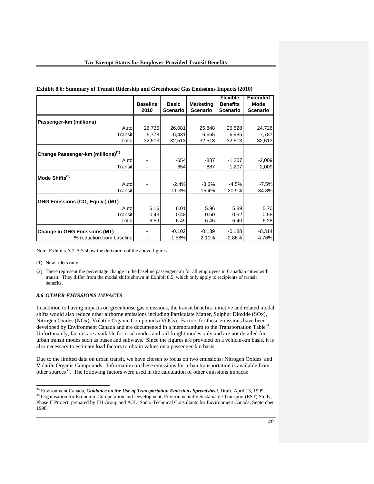|                                               | <b>Baseline</b><br>2010 | <b>Basic</b><br><b>Scenario</b> | <b>Marketing</b><br><b>Scenario</b> | <b>Flexible</b><br><b>Benefits</b><br><b>Scenario</b> | <b>Extended</b><br>Mode<br><b>Scenario</b> |
|-----------------------------------------------|-------------------------|---------------------------------|-------------------------------------|-------------------------------------------------------|--------------------------------------------|
| Passenger-km (millions)                       |                         |                                 |                                     |                                                       |                                            |
| Auto                                          | 26,735                  | 26,081                          | 25,848                              | 25,528                                                | 24,726                                     |
| Transit                                       | 5,778                   | 6,431                           | 6,665                               | 6,985                                                 | 7,787                                      |
| Total                                         | 32,513                  | 32,513                          | 32,513                              | 32,513                                                | 32,513                                     |
| Change Passenger-km (millions) <sup>(1)</sup> |                         |                                 |                                     |                                                       |                                            |
| Auto                                          |                         | $-654$                          | $-887$                              | $-1,207$                                              | $-2,009$                                   |
| Transit                                       |                         | 654                             | 887                                 | 1,207                                                 | 2,009                                      |
| Mode Shifts <sup>(2)</sup>                    |                         |                                 |                                     |                                                       |                                            |
| Auto                                          |                         | $-2.4%$                         | $-3.3%$                             | $-4.5%$                                               | $-7.5%$                                    |
| Transit                                       |                         | 11.3%                           | 15.4%                               | 20.9%                                                 | 34.8%                                      |
| GHG Emissions (CO <sub>2</sub> Equiv.) (MT)   |                         |                                 |                                     |                                                       |                                            |
| Auto                                          | 6.16                    | 6.01                            | 5.96                                | 5.89                                                  | 5.70                                       |
| Transit                                       | 0.43                    | 0.48                            | 0.50                                | 0.52                                                  | 0.58                                       |
| Total                                         | 6.59                    | 6.49                            | 6.45                                | 6.40                                                  | 6.28                                       |
| <b>Change in GHG Emissions (MT)</b>           |                         | $-0.102$                        | $-0.139$                            | $-0.188$                                              | $-0.314$                                   |
| % reduction from baseline                     |                         | $-1.58%$                        | $-2.10%$                            | $-2.86%$                                              | $-4.76%$                                   |

| Exhibit 8.6: Summary of Transit Ridership and Greenhouse Gas Emissions Impacts (2010) |  |  |  |
|---------------------------------------------------------------------------------------|--|--|--|
|                                                                                       |  |  |  |

Note: Exhibits A.2-A.5 show the derivation of the above figures.

(1) New riders only.

(2) These represent the percentage change in the baseline passenger-km for all employees in Canadian cities with transit. They differ from the modal shifts shown in Exhibit 8.5, which only apply to recipients of transit benefits.

# *8.6 OTHER EMISSIONS IMPACTS*

In addition to having impacts on greenhouse gas emissions, the transit benefits initiative and related modal shifts would also reduce other airborne emissions including Particulate Matter, Sulphur Dioxide (SOx), Nitrogen Oxides (NOx), Volatile Organic Compounds (VOCs). Factors for these emissions have been developed by Environment Canada and are documented in a memorandum to the Transportation Table<sup>34</sup>. Unfortunately, factors are available for road modes and rail freight modes only and are not detailed for urban transit modes such as buses and subways. Since the figures are provided on a vehicle-km basis, it is also necessary to estimate load factors to obtain values on a passenger-km basis.

Due to the limited data on urban transit, we have chosen to focus on two emissions: Nitrogen Oxides and Volatile Organic Compounds. Information on these emissions for urban transportation is available from other sources<sup>35</sup>. The following factors were used in the calculation of other emissions impacts:

<sup>&</sup>lt;sup>34</sup> Environment Canada, *Guidance on the Use of Transportation Emissions Spreadsheet*, Draft, April 13, 1999. <sup>35</sup> Organisation for Economic Co-operation and Development, Environmentally Sustainable Transport (EST) Study, Phase II Project, prepared by IBI Group and A.K. Socio-Technical Consultants for Environment Canada, September 1998.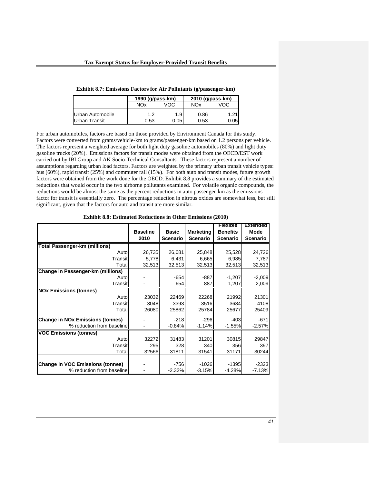|                      | 1990 (g/pass-km) |      | 2010 (g/pass-km) |      |
|----------------------|------------------|------|------------------|------|
|                      | <b>NOx</b>       | VOC  | NOx              | VOC  |
| Urban Automobile     | 1.2              | 1.9  | 0.86             | 1.21 |
| <b>Urban Transit</b> | 0.53             | 0.05 | 0.53             | 0.05 |

For urban automobiles, factors are based on those provided by Environment Canada for this study. Factors were converted from grams/vehicle-km to grams/passenger-km based on 1.2 persons per vehicle. The factors represent a weighted average for both light duty gasoline automobiles (80%) and light duty gasoline trucks (20%). Emissions factors for transit modes were obtained from the OECD/EST work carried out by IBI Group and AK Socio-Technical Consultants. These factors represent a number of assumptions regarding urban load factors. Factors are weighted by the primary urban transit vehicle types: bus (60%), rapid transit (25%) and commuter rail (15%). For both auto and transit modes, future growth factors were obtained from the work done for the OECD. Exhibit 8.8 provides a summary of the estimated reductions that would occur in the two airborne pollutants examined. For volatile organic compounds, the reductions would be almost the same as the percent reductions in auto passenger-km as the emissions factor for transit is essentially zero. The percentage reduction in nitrous oxides are somewhat less, but still significant, given that the factors for auto and transit are more similar.

|                                         |                 |                 |                  | <b>Flexible</b> | <b>Extended</b> |
|-----------------------------------------|-----------------|-----------------|------------------|-----------------|-----------------|
|                                         | <b>Baseline</b> | <b>Basic</b>    | <b>Marketing</b> | <b>Benefits</b> | Mode            |
|                                         | 2010            | <b>Scenario</b> | <b>Scenario</b>  | <b>Scenario</b> | <b>Scenario</b> |
| <b>Total Passenger-km (millions)</b>    |                 |                 |                  |                 |                 |
| Auto                                    | 26,735          | 26,081          | 25,848           | 25,528          | 24,726          |
| Transit                                 | 5,778           | 6,431           | 6,665            | 6,985           | 7,787           |
| Total                                   | 32,513          | 32,513          | 32,513           | 32,513          | 32,513          |
| Change in Passenger-km (millions)       |                 |                 |                  |                 |                 |
| Auto                                    |                 | $-654$          | $-887$           | $-1,207$        | $-2,009$        |
| Transit                                 |                 | 654             | 887              | 1,207           | 2,009           |
| <b>NOx Emissions (tonnes)</b>           |                 |                 |                  |                 |                 |
| Auto                                    | 23032           | 22469           | 22268            | 21992           | 21301           |
| Transit                                 | 3048            | 3393            | 3516             | 3684            | 4108            |
| Total                                   | 26080           | 25862           | 25784            | 25677           | 25409           |
| <b>Change in NOx Emissions (tonnes)</b> |                 | $-218$          | $-296$           | $-403$          | $-671$          |
| % reduction from baseline               |                 | $-0.84%$        | $-1.14%$         | $-1.55%$        | $-2.57%$        |
| <b>VOC Emissions (tonnes)</b>           |                 |                 |                  |                 |                 |
| Auto                                    | 32272           | 31483           | 31201            | 30815           | 29847           |
| Transit                                 | 295             | 328             | 340              | 356             | 397             |
| Total                                   | 32566           | 31811           | 31541            | 31171           | 30244           |
|                                         |                 |                 |                  |                 |                 |
| <b>Change in VOC Emissions (tonnes)</b> |                 | $-756$          | $-1026$          | $-1395$         | $-2323$         |
| % reduction from baseline               |                 | $-2.32%$        | $-3.15%$         | $-4.28%$        | $-7.13%$        |

**Exhibit 8.8: Estimated Reductions in Other Emissions (2010)**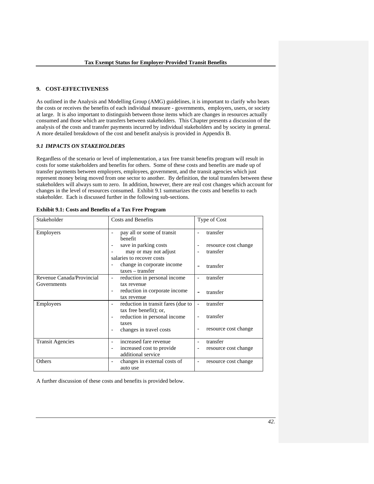#### **9. COST-EFFECTIVENESS**

As outlined in the Analysis and Modelling Group (AMG) guidelines, it is important to clarify who bears the costs or receives the benefits of each individual measure - governments, employers, users, or society at large. It is also important to distinguish between those items which are changes in resources actually consumed and those which are transfers between stakeholders. This Chapter presents a discussion of the analysis of the costs and transfer payments incurred by individual stakeholders and by society in general. A more detailed breakdown of the cost and benefit analysis is provided in Appendix B.

## *9.1 IMPACTS ON STAKEHOLDERS*

Regardless of the scenario or level of implementation, a tax free transit benefits program will result in costs for some stakeholders and benefits for others. Some of these costs and benefits are made up of transfer payments between employers, employees, government, and the transit agencies which just represent money being moved from one sector to another. By definition, the total transfers between these stakeholders will always sum to zero. In addition, however, there are real cost changes which account for changes in the level of resources consumed. Exhibit 9.1 summarizes the costs and benefits to each stakeholder. Each is discussed further in the following sub-sections.

| Stakeholder               | <b>Costs and Benefits</b>                                                   | Type of Cost                                     |
|---------------------------|-----------------------------------------------------------------------------|--------------------------------------------------|
| <b>Employers</b>          | pay all or some of transit<br>$\overline{\phantom{0}}$<br><b>benefit</b>    | transfer                                         |
|                           | save in parking costs<br>Ĭ.                                                 | resource cost change                             |
|                           | may or may not adjust                                                       | transfer                                         |
|                           | salaries to recover costs                                                   |                                                  |
|                           | change in corporate income                                                  | transfer<br>$\overline{\phantom{0}}$             |
|                           | taxes – transfer                                                            |                                                  |
| Revenue Canada/Provincial | reduction in personal income<br>$\overline{\phantom{0}}$                    | transfer                                         |
| Governments               | tax revenue                                                                 |                                                  |
|                           | reduction in corporate income<br>$\overline{\phantom{a}}$                   | transfer                                         |
|                           | tax revenue                                                                 |                                                  |
| Employees                 | reduction in transit fares (due to<br>$\overline{\phantom{0}}$              | transfer                                         |
|                           | tax free benefit); or,                                                      |                                                  |
|                           | reduction in personal income<br>$\overline{\phantom{a}}$                    | transfer<br>$\overline{a}$                       |
|                           | taxes                                                                       |                                                  |
|                           | changes in travel costs<br>$\overline{\phantom{0}}$                         | resource cost change                             |
| <b>Transit Agencies</b>   | increased fare revenue                                                      | transfer                                         |
|                           | increased cost to provide<br>$\overline{\phantom{0}}$<br>additional service | resource cost change                             |
| Others                    | changes in external costs of<br>$\qquad \qquad$<br>auto use                 | resource cost change<br>$\overline{\phantom{a}}$ |

| <b>Exhibit 9.1: Costs and Benefits of a Tax Free Program</b> |
|--------------------------------------------------------------|
|--------------------------------------------------------------|

A further discussion of these costs and benefits is provided below.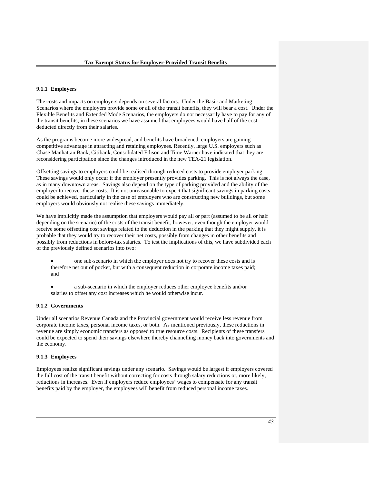## **9.1.1 Employers**

The costs and impacts on employers depends on several factors. Under the Basic and Marketing Scenarios where the employers provide some or all of the transit benefits, they will bear a cost. Under the Flexible Benefits and Extended Mode Scenarios, the employers do not necessarily have to pay for any of the transit benefits; in these scenarios we have assumed that employees would have half of the cost deducted directly from their salaries.

As the programs become more widespread, and benefits have broadened, employers are gaining competitive advantage in attracting and retaining employees. Recently, large U.S. employers such as Chase Manhattan Bank, Citibank, Consolidated Edison and Time Warner have indicated that they are reconsidering participation since the changes introduced in the new TEA-21 legislation.

Offsetting savings to employers could be realised through reduced costs to provide employer parking. These savings would only occur if the employer presently provides parking. This is not always the case, as in many downtown areas. Savings also depend on the type of parking provided and the ability of the employer to recover these costs. It is not unreasonable to expect that significant savings in parking costs could be achieved, particularly in the case of employers who are constructing new buildings, but some employers would obviously not realise these savings immediately.

We have implicitly made the assumption that employers would pay all or part (assumed to be all or half depending on the scenario) of the costs of the transit benefit; however, even though the employer would receive some offsetting cost savings related to the deduction in the parking that they might supply, it is probable that they would try to recover their net costs, possibly from changes in other benefits and possibly from reductions in before-tax salaries. To test the implications of this, we have subdivided each of the previously defined scenarios into two:

- one sub-scenario in which the employer does not try to recover these costs and is therefore net out of pocket, but with a consequent reduction in corporate income taxes paid; and
- a sub-scenario in which the employer reduces other employee benefits and/or salaries to offset any cost increases which he would otherwise incur.

## **9.1.2 Governments**

Under all scenarios Revenue Canada and the Provincial government would receive less revenue from corporate income taxes, personal income taxes, or both. As mentioned previously, these reductions in revenue are simply economic transfers as opposed to true resource costs. Recipients of these transfers could be expected to spend their savings elsewhere thereby channelling money back into governments and the economy.

## **9.1.3 Employees**

Employees realize significant savings under any scenario. Savings would be largest if employers covered the full cost of the transit benefit without correcting for costs through salary reductions or, more likely, reductions in increases. Even if employers reduce employees' wages to compensate for any transit benefits paid by the employer, the employees will benefit from reduced personal income taxes.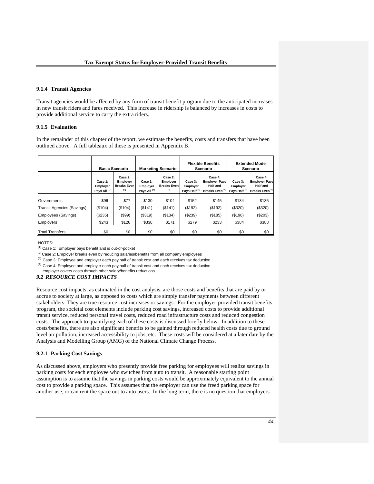### **9.1.4 Transit Agencies**

Transit agencies would be affected by any form of transit benefit program due to the anticipated increases in new transit riders and fares received. This increase in ridership is balanced by increases in costs to provide additional service to carry the extra riders.

### **9.1.5 Evaluation**

In the remainder of this chapter of the report, we estimate the benefits, costs and transfers that have been outlined above. A full tableaux of these is presented in Appendix B.

|                                   | <b>Basic Scenario</b>                          |                                                  | <b>Marketing Scenario</b>                      |                                                  | <b>Flexible Benefits</b><br>Scenario            |                                                                                  | <b>Extended Mode</b><br>Scenario                |                                                                                  |
|-----------------------------------|------------------------------------------------|--------------------------------------------------|------------------------------------------------|--------------------------------------------------|-------------------------------------------------|----------------------------------------------------------------------------------|-------------------------------------------------|----------------------------------------------------------------------------------|
|                                   | Case 1:<br>Employer<br>Pays All <sup>(1)</sup> | Case 2:<br>Employer<br><b>Breaks Even</b><br>(2) | Case 1:<br>Employer<br>Pays All <sup>(1)</sup> | Case 2:<br>Employer<br><b>Breaks Even</b><br>(2) | Case 3:<br>Employer<br>Pays Half <sup>(3)</sup> | Case 4:<br><b>Employer Pays</b><br><b>Half and</b><br>Breaks Even <sup>(4)</sup> | Case 3:<br>Employer<br>Pays Half <sup>(3)</sup> | Case 4:<br><b>Employer Pays</b><br><b>Half and</b><br>Breaks Even <sup>(4)</sup> |
| Governments                       | \$96                                           | \$77                                             | \$130                                          | \$104                                            | \$152                                           | \$145                                                                            | \$134                                           | \$135                                                                            |
| <b>Transit Agencies (Savings)</b> | (\$104)                                        | (\$104)                                          | (\$141)                                        | (\$141)                                          | (\$192)                                         | (\$192)                                                                          | (\$320)                                         | (\$320)                                                                          |
| Employees (Savings)               | (\$235)                                        | (\$99)                                           | (\$319)                                        | (\$134)                                          | (\$239)                                         | (\$185)                                                                          | (\$198)                                         | (\$203)                                                                          |
| <b>Employers</b>                  | \$243                                          | \$126                                            | \$330                                          | \$171                                            | \$279                                           | \$233                                                                            | \$384                                           | \$388                                                                            |
| <b>Total Transfers</b>            | \$0                                            | \$0                                              | \$0                                            | \$0                                              | \$0                                             | \$0                                                                              | \$0                                             | \$0                                                                              |

NOTES:

(1) Case 1: Employer pays benefit and is out-of-pocket

( $2$ ) Case 2: Employer breaks even by reducing salaries/benefits from all company employees<br>( $3$ ) Case 3: Employee and employer each pay half of transit cost and each receives tax deduction

 $(4)$  Case 4: Employee and employer each pay half of transit cost and each receives tax deduction, employer covers costs through other salary/benefits reductions.

### *9.2 RESOURCE COST IMPACTS*

Resource cost impacts, as estimated in the cost analysis, are those costs and benefits that are paid by or accrue to society at large, as opposed to costs which are simply transfer payments between different stakeholders. They are true resource cost increases or savings. For the employer-provided transit benefits program, the societal cost elements include parking cost savings, increased costs to provide additional transit service, reduced personal travel costs, reduced road infrastructure costs and reduced congestion costs. The approach to quantifying each of these costs is discussed briefly below. In addition to these costs/benefits, there are also significant benefits to be gained through reduced health costs due to ground level air pollution, increased accessibility to jobs, etc. These costs will be considered at a later date by the Analysis and Modelling Group (AMG) of the National Climate Change Process.

### **9.2.1 Parking Cost Savings**

As discussed above, employers who presently provide free parking for employees will realize savings in parking costs for each employee who switches from auto to transit. A reasonable starting point assumption is to assume that the savings in parking costs would be approximately equivalent to the annual cost to provide a parking space. This assumes that the employer can use the freed parking space for another use, or can rent the space out to auto users. In the long term, there is no question that employers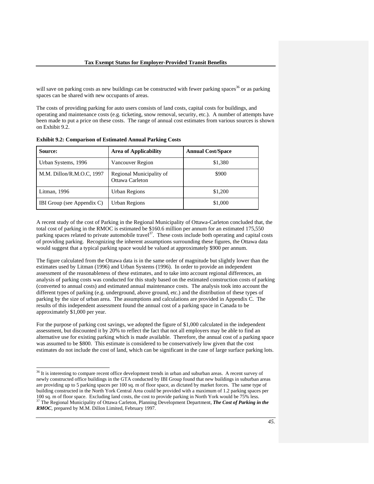will save on parking costs as new buildings can be constructed with fewer parking spaces<sup>36</sup> or as parking spaces can be shared with new occupants of areas.

The costs of providing parking for auto users consists of land costs, capital costs for buildings, and operating and maintenance costs (e.g. ticketing, snow removal, security, etc.). A number of attempts have been made to put a price on these costs. The range of annual cost estimates from various sources is shown on Exhibit 9.2.

| <b>Source:</b>             | <b>Area of Applicability</b>                | <b>Annual Cost/Space</b> |
|----------------------------|---------------------------------------------|--------------------------|
| Urban Systems, 1996        | Vancouver Region                            | \$1,380                  |
| M.M. Dillon/R.M.O.C, 1997  | Regional Municipality of<br>Ottawa Carleton | \$900                    |
| Litman, 1996               | <b>Urban Regions</b>                        | \$1,200                  |
| IBI Group (see Appendix C) | Urban Regions                               | \$1,000                  |

**Exhibit 9.2: Comparison of Estimated Annual Parking Costs** 

l

A recent study of the cost of Parking in the Regional Municipality of Ottawa-Carleton concluded that, the total cost of parking in the RMOC is estimated be \$160.6 million per annum for an estimated 175,550 parking spaces related to private automobile travel $37$ . These costs include both operating and capital costs of providing parking. Recognizing the inherent assumptions surrounding these figures, the Ottawa data would suggest that a typical parking space would be valued at approximately \$900 per annum.

The figure calculated from the Ottawa data is in the same order of magnitude but slightly lower than the estimates used by Litman (1996) and Urban Systems (1996). In order to provide an independent assessment of the reasonableness of these estimates, and to take into account regional differences, an analysis of parking costs was conducted for this study based on the estimated construction costs of parking (converted to annual costs) and estimated annual maintenance costs. The analysis took into account the different types of parking (e.g. underground, above ground, etc.) and the distribution of these types of parking by the size of urban area. The assumptions and calculations are provided in Appendix C. The results of this independent assessment found the annual cost of a parking space in Canada to be approximately \$1,000 per year.

For the purpose of parking cost savings, we adopted the figure of \$1,000 calculated in the independent assessment, but discounted it by 20% to reflect the fact that not all employers may be able to find an alternative use for existing parking which is made available. Therefore, the annual cost of a parking space was assumed to be \$800. This estimate is considered to be conservatively low given that the cost estimates do not include the cost of land, which can be significant in the case of large surface parking lots.

 $36$  It is interesting to compare recent office development trends in urban and suburban areas. A recent survey of newly constructed office buildings in the GTA conducted by IBI Group found that new buildings in suburban areas are providing up to 5 parking spaces per 100 sq. m of floor space, as dictated by market forces. The same type of building constructed in the North York Central Area could be provided with a maximum of 1.2 parking spaces per 100 sq. m of floor space. Excluding land costs, the cost to provide parking in North York would be 75% less. 37 The Regional Municipality of Ottawa Carleton, Planning Development Department, *The Cost of Parking in the RMOC*, prepared by M.M. Dillon Limited, February 1997.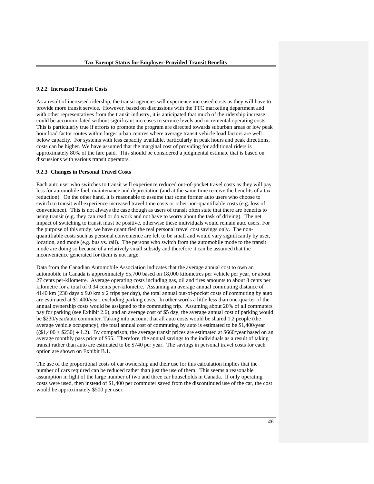### **9.2.2 Increased Transit Costs**

As a result of increased ridership, the transit agencies will experience increased costs as they will have to provide more transit service. However, based on discussions with the TTC marketing department and with other representatives from the transit industry, it is anticipated that much of the ridership increase could be accommodated without significant increases to service levels and incremental operating costs. This is particularly true if efforts to promote the program are directed towards suburban areas or low peak hour load factor routes within larger urban centres where average transit vehicle load factors are well below capacity. For systems with less capacity available, particularly in peak hours and peak directions, costs can be higher. We have assumed that the marginal cost of providing for additional riders is approximately 80% of the fare paid. This should be considered a judgmental estimate that is based on discussions with various transit operators.

#### **9.2.3 Changes in Personal Travel Costs**

Each auto user who switches to transit will experience reduced out-of-pocket travel costs as they will pay less for automobile fuel, maintenance and depreciation (and at the same time receive the benefits of a tax reduction). On the other hand, it is reasonable to assume that some former auto users who choose to switch to transit will experience increased travel time costs or other non-quantifiable costs (e.g. loss of convenience). This is not always the case though as users of transit often state that there are benefits to using transit (e.g. they can read or do work and not have to worry about the task of driving). The net impact of switching to transit must be positive, otherwise these individuals would remain auto users. For the purpose of this study, we have quantified the real personal travel cost savings only. The nonquantifiable costs such as personal convenience are felt to be small and would vary significantly by user, location, and mode (e.g. bus vs. rail). The persons who switch from the automobile mode to the transit mode are doing so because of a relatively small subsidy and therefore it can be assumed that the inconvenience generated for them is not large.

Data from the Canadian Automobile Association indicates that the average annual cost to own an automobile in Canada is approximately \$5,700 based on 18,000 kilometres per vehicle per year, or about 27 cents per-kilometre. Average operating costs including gas, oil and tires amounts to about 8 cents per kilometre for a total of 0.34 cents per-kilometre. Assuming an average annual commuting distance of 4140 km (230 days x 9.0 km x 2 trips per day), the total annual out-of-pocket costs of commuting by auto are estimated at \$1,400/year, excluding parking costs. In other words a little less than one-quarter of the annual ownership costs would be assigned to the commuting trip. Assuming about 20% of all commuters pay for parking (see Exhibit 2.6), and an average cost of \$5 day, the average annual cost of parking would be \$230/year/auto commuter. Taking into account that all auto costs would be shared 1.2 people (the average vehicle occupancy), the total annual cost of commuting by auto is estimated to be \$1,400/year  $((\$1,400 + \$230) \div 1.2)$ . By comparison, the average transit prices are estimated at  $\$660$ /year based on an average monthly pass price of \$55. Therefore, the annual savings to the individuals as a result of taking transit rather than auto are estimated to be \$740 per year. The savings in personal travel costs for each option are shown on Exhibit B.1.

The use of the proportional costs of car ownership and their use for this calculation implies that the number of cars required can be reduced rather than just the use of them. This seems a reasonable assumption in light of the large number of two and three car households in Canada. If only operating costs were used, then instead of \$1,400 per commuter saved from the discontinued use of the car, the cost would be approximately \$500 per user.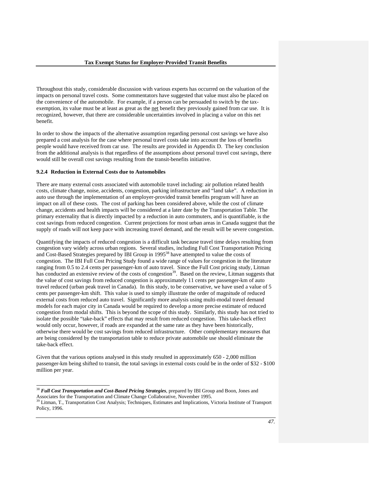Throughout this study, considerable discussion with various experts has occurred on the valuation of the impacts on personal travel costs. Some commentators have suggested that value must also be placed on the convenience of the automobile. For example, if a person can be persuaded to switch by the taxexemption, its value must be at least as great as the net benefit they previously gained from car use. It is recognized, however, that there are considerable uncertainties involved in placing a value on this net benefit.

In order to show the impacts of the alternative assumption regarding personal cost savings we have also prepared a cost analysis for the case where personal travel costs take into account the loss of benefits people would have received from car use. The results are provided in Appendix D. The key conclusion from the additional analysis is that regardless of the assumptions about personal travel cost savings, there would still be overall cost savings resulting from the transit-benefits initiative.

#### **9.2.4 Reduction in External Costs due to Automobiles**

 $\overline{a}$ 

There are many external costs associated with automobile travel including: air pollution related health costs, climate change, noise, accidents, congestion, parking infrastructure and "land take". A reduction in auto use through the implementation of an employer-provided transit benefits program will have an impact on all of these costs. The cost of parking has been considered above, while the cost of climate change, accidents and health impacts will be considered at a later date by the Transportation Table. The primary externality that is directly impacted by a reduction in auto commuters, and is quantifiable, is the cost savings from reduced congestion. Current projections for most urban areas in Canada suggest that the supply of roads will not keep pace with increasing travel demand, and the result will be severe congestion.

Quantifying the impacts of reduced congestion is a difficult task because travel time delays resulting from congestion vary widely across urban regions. Several studies, including Full Cost Transportation Pricing and Cost-Based Strategies prepared by IBI Group in 1995<sup>38</sup> have attempted to value the costs of congestion. The IBI Full Cost Pricing Study found a wide range of values for congestion in the literature ranging from 0.5 to 2.4 cents per passenger-km of auto travel. Since the Full Cost pricing study, Litman has conducted an extensive review of the costs of congestion<sup>39</sup>. Based on the review, Litman suggests that the value of cost savings from reduced congestion is approximately 11 cents per passenger-km of auto travel reduced (urban peak travel in Canada). In this study, to be conservative, we have used a value of 5 cents per passenger-km shift. This value is used to simply illustrate the order of magnitude of reduced external costs from reduced auto travel. Significantly more analysis using multi-modal travel demand models for each major city in Canada would be required to develop a more precise estimate of reduced congestion from modal shifts. This is beyond the scope of this study. Similarly, this study has not tried to isolate the possible "take-back" effects that may result from reduced congestion. This take-back effect would only occur, however, if roads are expanded at the same rate as they have been historically, otherwise there would be cost savings from reduced infrastructure. Other complementary measures that are being considered by the transportation table to reduce private automobile use should eliminate the take-back effect.

Given that the various options analysed in this study resulted in approximately 650 - 2,000 million passenger-km being shifted to transit, the total savings in external costs could be in the order of \$32 - \$100 million per year.

<sup>38</sup> *Full Cost Transportation and Cost-Based Pricing Strategies*, prepared by IBI Group and Boon, Jones and Associates for the Transportation and Climate Change Collaborative, November 1995.

<sup>&</sup>lt;sup>39</sup> Litman, T., Transportation Cost Analysis; Techniques, Estimates and Implications, Victoria Institute of Transport Policy, 1996.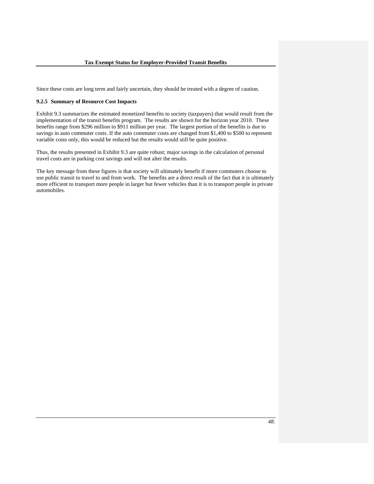Since these costs are long term and fairly uncertain, they should be treated with a degree of caution.

#### **9.2.5 Summary of Resource Cost Impacts**

Exhibit 9.3 summarizes the estimated monetized benefits to society (taxpayers) that would result from the implementation of the transit benefits program. The results are shown for the horizon year 2010. These benefits range from \$296 million to \$911 million per year. The largest portion of the benefits is due to savings in auto commuter costs. If the auto commuter costs are changed from \$1,400 to \$500 to represent variable costs only, this would be reduced but the results would still be quite positive.

Thus, the results presented in Exhibit 9.3 are quite robust; major savings in the calculation of personal travel costs are in parking cost savings and will not alter the results.

The key message from these figures is that society will ultimately benefit if more commuters choose to use public transit to travel to and from work. The benefits are a direct result of the fact that it is ultimately more efficient to transport more people in larger but fewer vehicles than it is to transport people in private automobiles.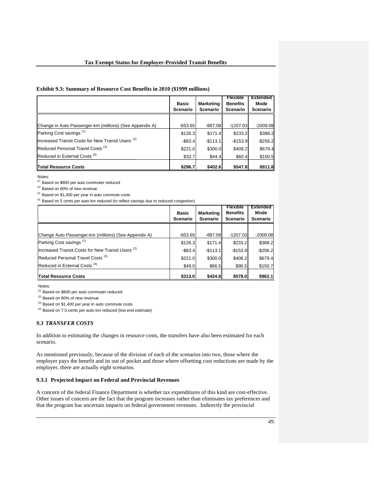## **Exhibit 9.3: Summary of Resource Cost Benefits in 2010 (\$1999 millions)**

|                                                         | <b>Basic</b><br><b>Scenario</b> | <b>Marketing</b><br><b>Scenario</b> | <b>Flexible</b><br><b>Benefits</b><br><b>Scenario</b> | <b>Extended</b><br>Mode<br><b>Scenario</b> |
|---------------------------------------------------------|---------------------------------|-------------------------------------|-------------------------------------------------------|--------------------------------------------|
|                                                         |                                 |                                     |                                                       |                                            |
| Change in Auto Passenger-km (millions) (See Appendix A) | $-653.65$                       | $-887.08$                           | $-1207.03$                                            | $-2009.08$                                 |
| Parking Cost savings <sup>(1)</sup>                     | \$126.3                         | \$171.4                             | \$233.2                                               | \$388.2                                    |
| Increased Transit Costs for New Transit Users (2)       | $-$83.4$                        | $-$113.1$                           | $-$153.9$                                             | $-$256.2$                                  |
| Reduced Personal Travel Costs <sup>(3)</sup>            | \$221.0                         | \$300.0                             | \$408.2                                               | \$679.4                                    |
| Reduced in External Costs <sup>(4)</sup>                | \$32.7                          | \$44.4                              | \$60.4                                                | \$100.5                                    |
| <b>Total Resource Costs</b>                             | \$296.7                         | \$402.6                             | \$547.8                                               | \$911.8                                    |

Notes:

(1) Based on \$800 per auto commuter reduced

(2) Based on 80% of new revenue

(3) Based on \$1,400 per year in auto commute costs

 $(4)$  Based on 5 cents per auto km reduced (to reflect savings due to reduced congestion)

|                                                      | <b>Basic</b><br><b>Scenario</b> | <b>Marketing</b><br><b>Scenario</b> | <b>Flexible</b><br><b>Benefits</b><br><b>Scenario</b> | <b>Extended</b><br>Mode<br><b>Scenario</b> |
|------------------------------------------------------|---------------------------------|-------------------------------------|-------------------------------------------------------|--------------------------------------------|
|                                                      |                                 |                                     |                                                       |                                            |
| Change Auto Passenger-km (millions) (See Appendix A) | $-653.65$                       | $-887.08$                           | $-1207.03$                                            | $-2009.08$                                 |
| Parking Cost savings <sup>(1)</sup>                  | \$126.3                         | \$171.4                             | \$233.2                                               | \$388.2                                    |
| Increased Transit Costs for New Transit Users (2)    | $-$83.4$                        | $-$113.1$                           | $-$153.9$                                             | $-$256.2$                                  |
| Reduced Personal Travel Costs <sup>(3)</sup>         | \$221.0                         | \$300.0                             | \$408.2                                               | \$679.4                                    |
| Reduced in External Costs <sup>(4)</sup>             | \$49.0                          | \$66.5                              | \$90.5                                                | \$150.7                                    |
| <b>Total Resource Costs</b>                          | \$313.0                         | \$424.8                             | \$578.0                                               | \$962.1                                    |

Notes:

 $(1)$  Based on \$800 per auto commuter reduced

 $(2)$  Based on 80% of new revenue

 $^{(3)}$  Based on \$1,400 per year in auto commute costs

(4) Based on 7.5 cents per auto km reduced (low end estimate)

# *9.3 TRANSFER COSTS*

In addition to estimating the changes in resource costs, the transfers have also been estimated for each scenario.

As mentioned previously, because of the division of each of the scenarios into two, those where the employer pays the benefit and its out of pocket and those where offsetting cost reductions are made by the employer, there are actually eight scenarios.

## **9.3.1 Projected Impact on Federal and Provincial Revenues**

A concern of the federal Finance Department is whether tax expenditures of this kind are cost-effective. Other issues of concern are the fact that the program increases rather than eliminates tax preferences and that the program has uncertain impacts on federal government revenues. Indirectly the provincial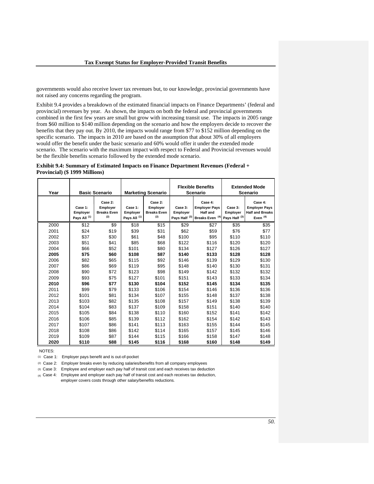governments would also receive lower tax revenues but, to our knowledge, provincial governments have not raised any concerns regarding the program.

Exhibit 9.4 provides a breakdown of the estimated financial impacts on Finance Departments' (federal and provincial) revenues by year. As shown, the impacts on both the federal and provincial governments combined in the first few years are small but grow with increasing transit use. The impacts in 2005 range from \$60 million to \$140 million depending on the scenario and how the employers decide to recover the benefits that they pay out. By 2010, the impacts would range from \$77 to \$152 million depending on the specific scenario. The impacts in 2010 are based on the assumption that about 30% of all employers would offer the benefit under the basic scenario and 60% would offer it under the extended mode scenario. The scenario with the maximum impact with respect to Federal and Provincial revenues would be the flexible benefits scenario followed by the extended mode scenario.

### **Exhibit 9.4: Summary of Estimated Impacts on Finance Department Revenues (Federal + Provincial) (\$ 1999 Millions)**

| Year | <b>Basic Scenario</b>                          |                                                  | <b>Marketing Scenario</b>                      |                                                  |                                                 | <b>Flexible Benefits</b><br><b>Scenario</b>                                      |                                                 | <b>Extended Mode</b><br><b>Scenario</b>                                 |
|------|------------------------------------------------|--------------------------------------------------|------------------------------------------------|--------------------------------------------------|-------------------------------------------------|----------------------------------------------------------------------------------|-------------------------------------------------|-------------------------------------------------------------------------|
|      | Case 1:<br>Employer<br>Pays All <sup>(1)</sup> | Case 2:<br>Employer<br><b>Breaks Even</b><br>(2) | Case 1:<br>Employer<br>Pays All <sup>(1)</sup> | Case 2:<br>Employer<br><b>Breaks Even</b><br>(2) | Case 3:<br>Employer<br>Pays Half <sup>(3)</sup> | Case 4:<br><b>Employer Pays</b><br><b>Half and</b><br>Breaks Even <sup>(4)</sup> | Case 3:<br>Employer<br>Pays Half <sup>(3)</sup> | Case 4:<br><b>Employer Pays</b><br><b>Half and Breaks</b><br>Even $(4)$ |
| 2000 | \$12                                           | \$9                                              | \$18                                           | \$15                                             | \$29                                            | \$27                                                                             | \$35                                            | \$35                                                                    |
| 2001 | \$24                                           | \$19                                             | \$39                                           | \$31                                             | \$62                                            | \$59                                                                             | \$76                                            | \$77                                                                    |
| 2002 | \$37                                           | \$30                                             | \$61                                           | \$48                                             | \$100                                           | \$95                                                                             | \$110                                           | \$110                                                                   |
| 2003 | \$51                                           | \$41                                             | \$85                                           | \$68                                             | \$122                                           | \$116                                                                            | \$120                                           | \$120                                                                   |
| 2004 | \$66                                           | \$52                                             | \$101                                          | \$80                                             | \$134                                           | \$127                                                                            | \$126                                           | \$127                                                                   |
| 2005 | \$75                                           | \$60                                             | \$108                                          | \$87                                             | \$140                                           | \$133                                                                            | \$128                                           | \$128                                                                   |
| 2006 | \$82                                           | \$65                                             | \$115                                          | \$92                                             | \$146                                           | \$139                                                                            | \$129                                           | \$130                                                                   |
| 2007 | \$86                                           | \$69                                             | \$119                                          | \$95                                             | \$148                                           | \$140                                                                            | \$130                                           | \$131                                                                   |
| 2008 | \$90                                           | \$72                                             | \$123                                          | \$98                                             | \$149                                           | \$142                                                                            | \$132                                           | \$132                                                                   |
| 2009 | \$93                                           | \$75                                             | \$127                                          | \$101                                            | \$151                                           | \$143                                                                            | \$133                                           | \$134                                                                   |
| 2010 | \$96                                           | \$77                                             | \$130                                          | \$104                                            | \$152                                           | \$145                                                                            | \$134                                           | \$135                                                                   |
| 2011 | \$99                                           | \$79                                             | \$133                                          | \$106                                            | \$154                                           | \$146                                                                            | \$136                                           | \$136                                                                   |
| 2012 | \$101                                          | \$81                                             | \$134                                          | \$107                                            | \$155                                           | \$148                                                                            | \$137                                           | \$138                                                                   |
| 2013 | \$103                                          | \$82                                             | \$135                                          | \$108                                            | \$157                                           | \$149                                                                            | \$138                                           | \$139                                                                   |
| 2014 | \$104                                          | \$83                                             | \$137                                          | \$109                                            | \$158                                           | \$151                                                                            | \$140                                           | \$140                                                                   |
| 2015 | \$105                                          | \$84                                             | \$138                                          | \$110                                            | \$160                                           | \$152                                                                            | \$141                                           | \$142                                                                   |
| 2016 | \$106                                          | \$85                                             | \$139                                          | \$112                                            | \$162                                           | \$154                                                                            | \$142                                           | \$143                                                                   |
| 2017 | \$107                                          | \$86                                             | \$141                                          | \$113                                            | \$163                                           | \$155                                                                            | \$144                                           | \$145                                                                   |
| 2018 | \$108                                          | \$86                                             | \$142                                          | \$114                                            | \$165                                           | \$157                                                                            | \$145                                           | \$146                                                                   |
| 2019 | \$109                                          | \$87                                             | \$144                                          | \$115                                            | \$166                                           | \$158                                                                            | \$147                                           | \$148                                                                   |
| 2020 | \$110                                          | \$88                                             | \$145                                          | \$116                                            | \$168                                           | \$160                                                                            | \$148                                           | \$149                                                                   |

NOTES:

(1) Case 1: Employer pays benefit and is out-of-pocket

(2) Case 2: Employer breaks even by reducing salaries/benefits from all company employees

(3) Case 3: Employee and employer each pay half of transit cost and each receives tax deduction

(4) Case 4: Employee and employer each pay half of transit cost and each receives tax deduction, employer covers costs through other salary/benefits reductions.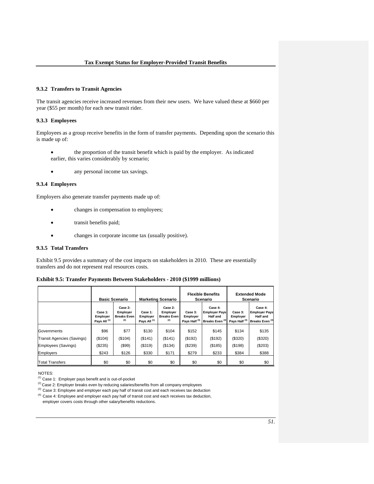#### **9.3.2 Transfers to Transit Agencies**

The transit agencies receive increased revenues from their new users. We have valued these at \$660 per year (\$55 per month) for each new transit rider.

### **9.3.3 Employees**

Employees as a group receive benefits in the form of transfer payments. Depending upon the scenario this is made up of:

- the proportion of the transit benefit which is paid by the employer. As indicated earlier, this varies considerably by scenario;
- any personal income tax savings.

#### **9.3.4 Employers**

Employers also generate transfer payments made up of:

- changes in compensation to employees;
- transit benefits paid;
- changes in corporate income tax (usually positive).

## **9.3.5 Total Transfers**

Exhibit 9.5 provides a summary of the cost impacts on stakeholders in 2010. These are essentially transfers and do not represent real resources costs.

| Exhibit 9.5: Transfer Payments Between Stakeholders - 2010 (\$1999 millions) |  |  |  |  |  |  |
|------------------------------------------------------------------------------|--|--|--|--|--|--|
|------------------------------------------------------------------------------|--|--|--|--|--|--|

|                                   |                                                | <b>Basic Scenario</b>                            | <b>Marketing Scenario</b>                      |                                                  | <b>Flexible Benefits</b><br>Scenario            |                                                                                  | <b>Extended Mode</b><br>Scenario                |                                                                                  |
|-----------------------------------|------------------------------------------------|--------------------------------------------------|------------------------------------------------|--------------------------------------------------|-------------------------------------------------|----------------------------------------------------------------------------------|-------------------------------------------------|----------------------------------------------------------------------------------|
|                                   | Case 1:<br>Employer<br>Pays All <sup>(1)</sup> | Case 2:<br>Employer<br><b>Breaks Even</b><br>(2) | Case 1:<br>Employer<br>Pays All <sup>(1)</sup> | Case 2:<br>Employer<br><b>Breaks Even</b><br>(2) | Case 3:<br>Employer<br>Pays Half <sup>(3)</sup> | Case 4:<br><b>Employer Pays</b><br><b>Half and</b><br>Breaks Even <sup>(4)</sup> | Case 3:<br>Employer<br>Pays Half <sup>(3)</sup> | Case 4:<br><b>Employer Pays</b><br><b>Half and</b><br>Breaks Even <sup>(4)</sup> |
| Governments                       | \$96                                           | \$77                                             | \$130                                          | \$104                                            | \$152                                           | \$145                                                                            | \$134                                           | \$135                                                                            |
|                                   |                                                |                                                  |                                                |                                                  |                                                 |                                                                                  |                                                 |                                                                                  |
| <b>Transit Agencies (Savings)</b> | (\$104)                                        | (\$104)                                          | $($ \$141)                                     | (\$141)                                          | (\$192)                                         | (\$192)                                                                          | (\$320)                                         | (\$320)                                                                          |
| Employees (Savings)               | (\$235)                                        | (\$99)                                           | (\$319)                                        | (\$134)                                          | (\$239)                                         | (\$185)                                                                          | (\$198)                                         | (\$203)                                                                          |
| <b>Employers</b>                  | \$243                                          | \$126                                            | \$330                                          | \$171                                            | \$279                                           | \$233                                                                            | \$384                                           | \$388                                                                            |
| <b>Total Transfers</b>            | \$0                                            | \$0                                              | \$0                                            | \$0                                              | \$0                                             | \$0                                                                              | \$0                                             | \$0                                                                              |

NOTES:

 $(4)$  Case 4: Employee and employer each pay half of transit cost and each receives tax deduction, employer covers costs through other salary/benefits reductions.

<sup>(1)</sup> Case 1: Employer pays benefit and is out-of-pocket

<sup>(</sup> $2$ ) Case 2: Employer breaks even by reducing salaries/benefits from all company employees<br>( $3$ ) Case 3: Employee and employer each pay half of transit cost and each receives tax deduction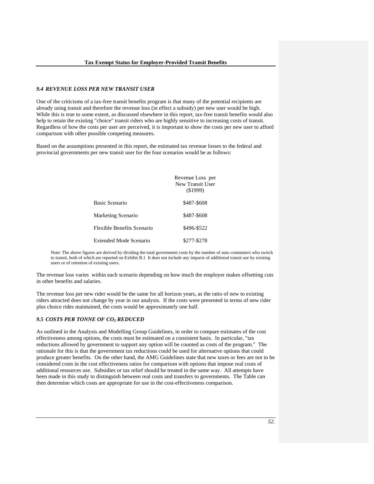### *9.4 REVENUE LOSS PER NEW TRANSIT USER*

One of the criticisms of a tax-free transit benefits program is that many of the potential recipients are already using transit and therefore the revenue loss (in effect a subsidy) per new user would be high. While this is true to some extent, as discussed elsewhere in this report, tax-free transit benefits would also help to retain the existing "choice" transit riders who are highly sensitive to increasing costs of transit. Regardless of how the costs per user are perceived, it is important to show the costs per new user to afford comparison with other possible competing measures.

Based on the assumptions presented in this report, the estimated tax revenue losses to the federal and provincial governments per new transit user for the four scenarios would be as follows:

|                               | Revenue Loss per<br>New Transit User<br>$($ \$1999) |
|-------------------------------|-----------------------------------------------------|
| Basic Scenario                | \$487-\$608                                         |
| Marketing Scenario            | \$487-\$608                                         |
| Flexible Benefits Scenario    | \$496-\$522                                         |
| <b>Extended Mode Scenario</b> | \$277-\$278                                         |

Note: The above figures are derived by dividing the total government costs by the number of auto commuters who switch to transit, both of which are reported on Exhibit B.1 It does not include any impacts of additional transit use by existing users or of retention of existing users.

The revenue loss varies within each scenario depending on how much the employer makes offsetting cuts in other benefits and salaries.

The revenue loss per new rider would be the same for all horizon years, as the ratio of new to existing riders attracted does not change by year in our analysis. If the costs were presented in terms of new rider plus choice rides maintained, the costs would be approximately one half.

### *9.5 COSTS PER TONNE OF CO2 REDUCED*

As outlined in the Analysis and Modelling Group Guidelines, in order to compare estimates of the cost effectiveness among options, the costs must be estimated on a consistent basis. In particular, "tax reductions allowed by government to support any option will be counted as costs of the program." The rationale for this is that the government tax reductions could be used for alternative options that could produce greater benefits. On the other hand, the AMG Guidelines state that new taxes or fees are not to be considered costs in the cost effectiveness ratios for comparison with options that impose real costs of additional resources use. Subsidies or tax relief should be treated in the same way. All attempts have been made in this study to distinguish between real costs and transfers to governments. The Table can then determine which costs are appropriate for use in the cost-effectiveness comparison.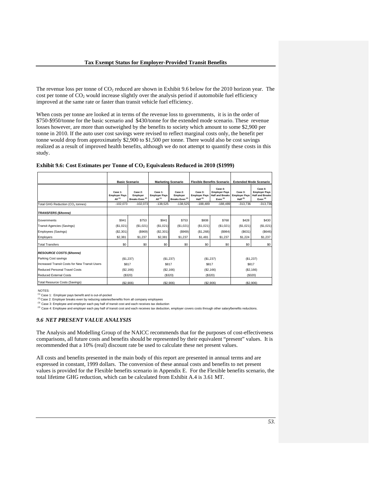The revenue loss per tonne of  $CO<sub>2</sub>$  reduced are shown in Exhibit 9.6 below for the 2010 horizon year. The cost per tonne of  $CO<sub>2</sub>$  would increase slightly over the analysis period if automobile fuel efficiency improved at the same rate or faster than transit vehicle fuel efficiency.

When costs per tonne are looked at in terms of the revenue loss to governments, it is in the order of \$750-\$950/tonne for the basic scenario and \$430/tonne for the extended mode scenario. These revenue losses however, are more than outweighed by the benefits to society which amount to some \$2,900 per tonne in 2010. If the auto user cost savings were revised to reflect marginal costs only, the benefit per tonne would drop from approximately \$2,900 to \$1,500 per tonne. There would also be cost savings realized as a result of improved health benefits, although we do not attempt to quantify these costs in this study.

|                                               | <b>Basic Scenario</b>                        |                                                   | <b>Marketing Scenario</b>                       |                                                   |                                               |                                                                                  | Flexible Benefits Scenario   Extended Mode Scenario |                                                                         |
|-----------------------------------------------|----------------------------------------------|---------------------------------------------------|-------------------------------------------------|---------------------------------------------------|-----------------------------------------------|----------------------------------------------------------------------------------|-----------------------------------------------------|-------------------------------------------------------------------------|
|                                               | Case 1:<br><b>Employer Pays</b><br>All $(1)$ | Case 2:<br>Employer<br>Breaks Even <sup>(2)</sup> | Case 1:<br><b>Employer Pays</b><br>All $^{(1)}$ | Case 2:<br>Employer<br>Breaks Even <sup>(2)</sup> | Case 3:<br><b>Employer Pays</b><br>Half $(3)$ | Case 4:<br><b>Employer Pays</b><br><b>Half and Breaks</b><br>Even <sup>(4)</sup> | Case 3:<br><b>Employer Pays</b><br>Half $^{(3)}$    | Case 4:<br><b>Employer Pays</b><br><b>Half and Breaks</b><br>Even $(4)$ |
| Total GHG Reduction (CO <sub>2</sub> tonnes)  | $-102.073$                                   | $-102,073$                                        | $-138.525$                                      | $-138.525$                                        | $-188.489$                                    | $-188.489$                                                                       | $-313.736$                                          | $-313.736$                                                              |
| <b>TRANSFERS (\$/tonne)</b>                   |                                              |                                                   |                                                 |                                                   |                                               |                                                                                  |                                                     |                                                                         |
| Governments                                   | \$941                                        | \$753                                             | \$941                                           | \$753                                             | \$808                                         | \$768                                                                            | \$428                                               | \$430                                                                   |
| Transit Agencies (Savings)                    | (\$1,021)                                    | (\$1,021)                                         | (\$1,021)                                       | (\$1,021)                                         | (\$1,021)                                     | (\$1,021)                                                                        | (\$1,021)                                           | (\$1,021)                                                               |
| Employees (Savings)                           | (\$2,301)                                    | $($ \$969)                                        | (S2, 301)                                       | (S969)                                            | (\$1,268)                                     | ( \$984)                                                                         | (S631)                                              | (S646)                                                                  |
| Employers                                     | \$2,381                                      | \$1,237                                           | \$2,381                                         | \$1,237                                           | \$1,481                                       | \$1,237                                                                          | \$1,224                                             | \$1,237                                                                 |
| <b>Total Transfers</b>                        | \$0                                          | \$0                                               | \$0                                             | \$0                                               | \$0                                           | \$0                                                                              | \$0                                                 | \$0                                                                     |
| <b>RESOURCE COSTS (\$/tonne)</b>              |                                              |                                                   |                                                 |                                                   |                                               |                                                                                  |                                                     |                                                                         |
| Parking Cost savings                          | (S1, 237)                                    |                                                   | (\$1,237)                                       |                                                   | (\$1,237)                                     |                                                                                  | (\$1,237)                                           |                                                                         |
| Increased Transit Costs for New Transit Users | \$817                                        |                                                   | \$817                                           |                                                   | \$817                                         |                                                                                  | \$817                                               |                                                                         |
| Reduced Personal Travel Costs                 | (S2, 166)                                    |                                                   | (\$2,166)                                       |                                                   | (\$2,166)                                     |                                                                                  | (\$2,166)                                           |                                                                         |
| <b>Reduced External Costs</b>                 | (\$320)                                      |                                                   | (S320)                                          |                                                   | (\$320)                                       |                                                                                  | (\$320)                                             |                                                                         |
| <b>Total Resource Costs (Savings)</b>         | (S2.906)                                     |                                                   | (S2.906)                                        |                                                   | (S2.906)                                      |                                                                                  | (S2.906)                                            |                                                                         |

NOTES:

(1) Case 1: Employer pays benefit and is out-of-pocket

<sup>(2)</sup> Case 2: Employer breaks even by reducing salaries/benefits from all company employees

(3) Case 3: Employee and employer each pay half of transit cost and each receives tax deduction<br>(4) Case 4: Employee and employer each pay half of transit cost and each receives tax deduction, employer covers costs through

### *9.6 NET PRESENT VALUE ANALYSIS*

The Analysis and Modelling Group of the NAICC recommends that for the purposes of cost-effectiveness comparisons, all future costs and benefits should be represented by their equivalent "present" values. It is recommended that a 10% (real) discount rate be used to calculate these net present values.

All costs and benefits presented in the main body of this report are presented in annual terms and are expressed in constant, 1999 dollars. The conversion of these annual costs and benefits to net present values is provided for the Flexible benefits scenario in Appendix E. For the Flexible benefits scenario, the total lifetime GHG reduction, which can be calculated from Exhibit A.4 is 3.61 MT.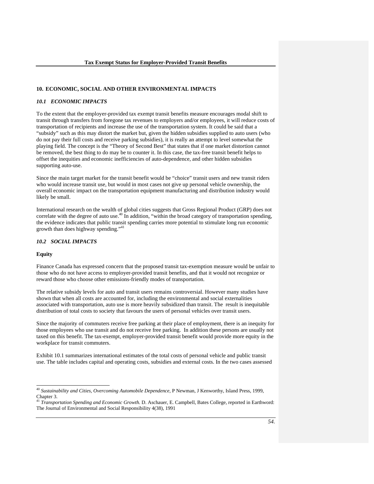#### **10. ECONOMIC, SOCIAL AND OTHER ENVIRONMENTAL IMPACTS**

### *10.1 ECONOMIC IMPACTS*

To the extent that the employer-provided tax exempt transit benefits measure encourages modal shift to transit through transfers from foregone tax revenues to employers and/or employees, it will reduce costs of transportation of recipients and increase the use of the transportation system. It could be said that a "subsidy" such as this may distort the market but, given the hidden subsidies supplied to auto users (who do not pay their full costs and receive parking subsidies), it is really an attempt to level somewhat the playing field. The concept is the "Theory of Second Best" that states that if one market distortion cannot be removed, the best thing to do may be to counter it. In this case, the tax-free transit benefit helps to offset the inequities and economic inefficiencies of auto-dependence, and other hidden subsidies supporting auto-use.

Since the main target market for the transit benefit would be "choice" transit users and new transit riders who would increase transit use, but would in most cases not give up personal vehicle ownership, the overall economic impact on the transportation equipment manufacturing and distribution industry would likely be small.

International research on the wealth of global cities suggests that Gross Regional Product (GRP) does not correlate with the degree of auto use.<sup>40</sup> In addition, "within the broad category of transportation spending, the evidence indicates that public transit spending carries more potential to stimulate long run economic growth than does highway spending."<sup>41</sup>

## *10.2 SOCIAL IMPACTS*

#### **Equity**

 $\overline{a}$ 

Finance Canada has expressed concern that the proposed transit tax-exemption measure would be unfair to those who do not have access to employer-provided transit benefits, and that it would not recognize or reward those who choose other emissions-friendly modes of transportation.

The relative subsidy levels for auto and transit users remains controversial. However many studies have shown that when all costs are accounted for, including the environmental and social externalities associated with transportation, auto use is more heavily subsidized than transit. The result is inequitable distribution of total costs to society that favours the users of personal vehicles over transit users.

Since the majority of commuters receive free parking at their place of employment, there is an inequity for those employees who use transit and do not receive free parking. In addition these persons are usually not taxed on this benefit. The tax-exempt, employer-provided transit benefit would provide more equity in the workplace for transit commuters.

Exhibit 10.1 summarizes international estimates of the total costs of personal vehicle and public transit use. The table includes capital and operating costs, subsidies and external costs. In the two cases assessed

<sup>40</sup> *Sustainability and Cities, Overcoming Automobile Dependence,* P Newman, J Kenworthy, Island Press, 1999, Chapter 3.

<sup>&</sup>lt;sup>41</sup> Transportation Spending and Economic Growth. D. Aschauer, E. Campbell, Bates College, reported in Earthword: The Journal of Environmental and Social Responsibility 4(38), 1991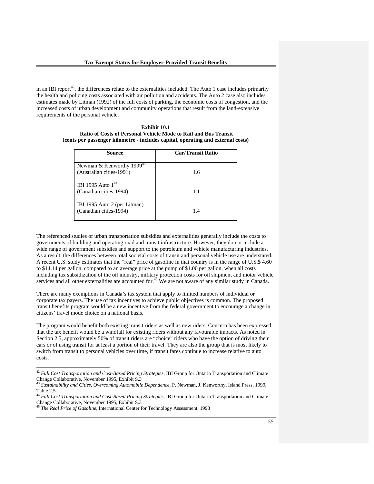in an IBI report<sup>42</sup>, the differences relate to the externalities included. The Auto 1 case includes primarily the health and policing costs associated with air pollution and accidents. The Auto 2 case also includes estimates made by Litman (1992) of the full costs of parking, the economic costs of congestion, and the increased costs of urban development and community operations that result from the land-extensive requirements of the personal vehicle.

| <b>Exhibit 10.1</b>                                                              |
|----------------------------------------------------------------------------------|
| <b>Ratio of Costs of Personal Vehicle Mode to Rail and Bus Transit</b>           |
| (cents per passenger kilometre - includes capital, operating and external costs) |

| Source                                                            | <b>Car/Transit Ratio</b> |
|-------------------------------------------------------------------|--------------------------|
| Newman & Kenworthy 1999 <sup>43</sup><br>(Australian cities-1991) | 1.6                      |
| IBI 1995 Auto 1 <sup>44</sup><br>(Canadian cities-1994)           | 1.1                      |
| IBI 1995 Auto 2 (per Litman)<br>(Canadian cities-1994)            | 1.4                      |

The referenced studies of urban transportation subsidies and externalities generally include the costs to governments of building and operating road and transit infrastructure. However, they do not include a wide range of government subsidies and support to the petroleum and vehicle manufacturing industries. As a result, the differences between total societal costs of transit and personal vehicle use are understated. A recent U.S. study estimates that the "real" price of gasoline in that country is in the range of U.S.\$ 4.60 to \$14.14 per gallon, compared to an average price at the pump of \$1.00 per gallon, when all costs including tax subsidization of the oil industry, military protection costs for oil shipment and motor vehicle services and all other externalities are accounted for.<sup>45</sup> We are not aware of any similar study in Canada.

There are many exemptions in Canada's tax system that apply to limited numbers of individual or corporate tax payers. The use of tax incentives to achieve public objectives is common. The proposed transit benefits program would be a new incentive from the federal government to encourage a change in citizens' travel mode choice on a national basis.

The program would benefit both existing transit riders as well as new riders. Concern has been expressed that the tax benefit would be a windfall for existing riders without any favourable impacts. As noted in Section 2.5, approximately 50% of transit riders are "choice" riders who have the option of driving their cars or of using transit for at least a portion of their travel. They are also the group that is most likely to switch from transit to personal vehicles over time, if transit fares continue to increase relative to auto costs.

l

<sup>42</sup> *Full Cost Transportation and Cost-Based Pricing Strategies,* IBI Group for Ontario Transportation and Climate Change Collaborative, November 1995, Exhibit S.3

<sup>43</sup> *Sustainability and Cities, Overcoming Automobile Dependence,* P. Newman, J. Kenworthy, Island Press, 1999, Table 2.5

<sup>44</sup> *Full Cost Transportation and Cost-Based Pricing Strategies,* IBI Group for Ontario Transportation and Climate Change Collaborative, November 1995, Exhibit S.3

<sup>45</sup> *The Real Price of Gasoline,* International Center for Technology Assessment, 1998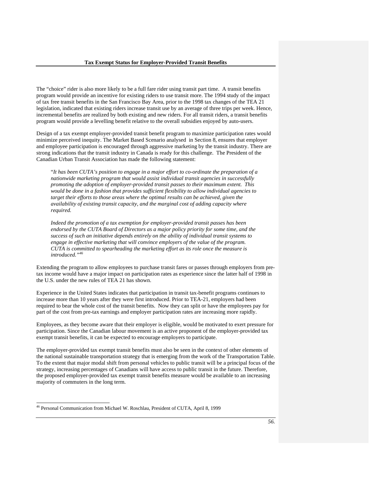The "choice" rider is also more likely to be a full fare rider using transit part time. A transit benefits program would provide an incentive for existing riders to use transit more. The 1994 study of the impact of tax free transit benefits in the San Francisco Bay Area, prior to the 1998 tax changes of the TEA 21 legislation, indicated that existing riders increase transit use by an average of three trips per week. Hence, incremental benefits are realized by both existing and new riders. For all transit riders, a transit benefits program would provide a levelling benefit relative to the overall subsidies enjoyed by auto-users.

Design of a tax exempt employer-provided transit benefit program to maximize participation rates would minimize perceived inequity. The Market Based Scenario analysed in Section 8, ensures that employer and employee participation is encouraged through aggressive marketing by the transit industry. There are strong indications that the transit industry in Canada is ready for this challenge. The President of the Canadian Urban Transit Association has made the following statement:

"*It has been CUTA's position to engage in a major effort to co-ordinate the preparation of a nationwide marketing program that would assist individual transit agencies in successfully promoting the adoption of employer-provided transit passes to their maximum extent. This would be done in a fashion that provides sufficient flexibility to allow individual agencies to target their efforts to those areas where the optimal results can be achieved, given the availability of existing transit capacity, and the marginal cost of adding capacity where required.* 

*Indeed the promotion of a tax exemption for employer-provided transit passes has been endorsed by the CUTA Board of Directors as a major policy priority for some time, and the success of such an initiative depends entirely on the ability of individual transit systems to engage in effective marketing that will convince employers of the value of the program. CUTA is committed to spearheading the marketing effort as its role once the measure is introduced."<sup>46</sup>*

Extending the program to allow employees to purchase transit fares or passes through employers from pretax income would have a major impact on participation rates as experience since the latter half of 1998 in the U.S. under the new rules of TEA 21 has shown.

Experience in the United States indicates that participation in transit tax-benefit programs continues to increase more than 10 years after they were first introduced. Prior to TEA-21, employers had been required to bear the whole cost of the transit benefits. Now they can split or have the employees pay for part of the cost from pre-tax earnings and employer participation rates are increasing more rapidly.

Employees, as they become aware that their employer is eligible, would be motivated to exert pressure for participation. Since the Canadian labour movement is an active proponent of the employer-provided tax exempt transit benefits, it can be expected to encourage employers to participate.

The employer-provided tax exempt transit benefits must also be seen in the context of other elements of the national sustainable transportation strategy that is emerging from the work of the Transportation Table. To the extent that major modal shift from personal vehicles to public transit will be a principal focus of the strategy, increasing percentages of Canadians will have access to public transit in the future. Therefore, the proposed employer-provided tax exempt transit benefits measure would be available to an increasing majority of commuters in the long term.

l

<sup>46</sup> Personal Communication from Michael W. Roschlau, President of CUTA, April 8, 1999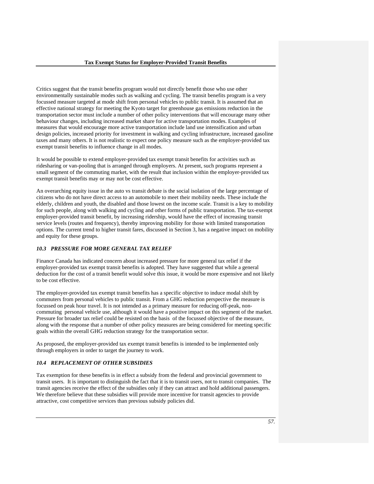Critics suggest that the transit benefits program would not directly benefit those who use other environmentally sustainable modes such as walking and cycling. The transit benefits program is a very focussed measure targeted at mode shift from personal vehicles to public transit. It is assumed that an effective national strategy for meeting the Kyoto target for greenhouse gas emissions reduction in the transportation sector must include a number of other policy interventions that will encourage many other behaviour changes, including increased market share for active transportation modes. Examples of measures that would encourage more active transportation include land use intensification and urban design policies, increased priority for investment in walking and cycling infrastructure, increased gasoline taxes and many others. It is not realistic to expect one policy measure such as the employer-provided tax exempt transit benefits to influence change in all modes.

It would be possible to extend employer-provided tax exempt transit benefits for activities such as ridesharing or van-pooling that is arranged through employers. At present, such programs represent a small segment of the commuting market, with the result that inclusion within the employer-provided tax exempt transit benefits may or may not be cost effective.

An overarching equity issue in the auto vs transit debate is the social isolation of the large percentage of citizens who do not have direct access to an automobile to meet their mobility needs. These include the elderly, children and youth, the disabled and those lowest on the income scale. Transit is a key to mobility for such people, along with walking and cycling and other forms of public transportation. The tax-exempt employer-provided transit benefit, by increasing ridership, would have the effect of increasing transit service levels (routes and frequency), thereby improving mobility for those with limited transportation options. The current trend to higher transit fares, discussed in Section 3, has a negative impact on mobility and equity for these groups.

# *10.3 PRESSURE FOR MORE GENERAL TAX RELIEF*

Finance Canada has indicated concern about increased pressure for more general tax relief if the employer-provided tax exempt transit benefits is adopted. They have suggested that while a general deduction for the cost of a transit benefit would solve this issue, it would be more expensive and not likely to be cost effective.

The employer-provided tax exempt transit benefits has a specific objective to induce modal shift by commuters from personal vehicles to public transit. From a GHG reduction perspective the measure is focussed on peak hour travel. It is not intended as a primary measure for reducing off-peak, noncommuting personal vehicle use, although it would have a positive impact on this segment of the market. Pressure for broader tax relief could be resisted on the basis of the focussed objective of the measure, along with the response that a number of other policy measures are being considered for meeting specific goals within the overall GHG reduction strategy for the transportation sector.

As proposed, the employer-provided tax exempt transit benefits is intended to be implemented only through employers in order to target the journey to work.

### *10.4 REPLACEMENT OF OTHER SUBSIDIES*

Tax exemption for these benefits is in effect a subsidy from the federal and provincial government to transit users. It is important to distinguish the fact that it is to transit users, not to transit companies. The transit agencies receive the effect of the subsidies only if they can attract and hold additional passengers. We therefore believe that these subsidies will provide more incentive for transit agencies to provide attractive, cost competitive services than previous subsidy policies did.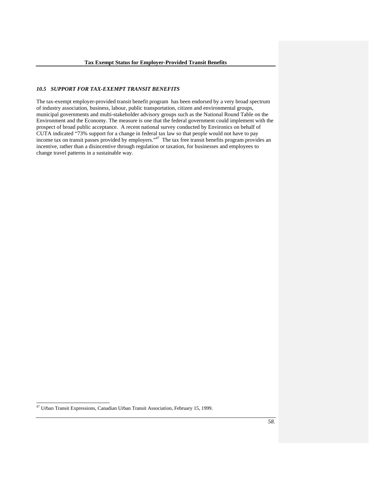### *10.5 SUPPORT FOR TAX-EXEMPT TRANSIT BENEFITS*

The tax-exempt employer-provided transit benefit program has been endorsed by a very broad spectrum of industry association, business, labour, public transportation, citizen and environmental groups, municipal governments and multi-stakeholder advisory groups such as the National Round Table on the Environment and the Economy. The measure is one that the federal government could implement with the prospect of broad public acceptance. A recent national survey conducted by Environics on behalf of CUTA indicated "73% support for a change in federal tax law so that people would not have to pay income tax on transit passes provided by employers."<sup>47</sup> The tax free transit benefits program provides an incentive, rather than a disincentive through regulation or taxation, for businesses and employees to change travel patterns in a sustainable way.

l

<sup>47</sup> Urban Transit Expressions, Canadian Urban Transit Association, February 15, 1999.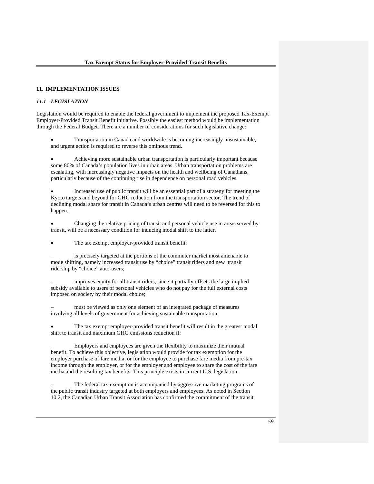#### **11. IMPLEMENTATION ISSUES**

### *11.1 LEGISLATION*

Legislation would be required to enable the federal government to implement the proposed Tax-Exempt Employer-Provided Transit Benefit initiative. Possibly the easiest method would be implementation through the Federal Budget. There are a number of considerations for such legislative change:

• Transportation in Canada and worldwide is becoming increasingly unsustainable, and urgent action is required to reverse this ominous trend.

• Achieving more sustainable urban transportation is particularly important because some 80% of Canada's population lives in urban areas. Urban transportation problems are escalating, with increasingly negative impacts on the health and wellbeing of Canadians, particularly because of the continuing rise in dependence on personal road vehicles.

• Increased use of public transit will be an essential part of a strategy for meeting the Kyoto targets and beyond for GHG reduction from the transportation sector. The trend of declining modal share for transit in Canada's urban centres will need to be reversed for this to happen.

• Changing the relative pricing of transit and personal vehicle use in areas served by transit, will be a necessary condition for inducing modal shift to the latter.

The tax exempt employer-provided transit benefit:

is precisely targeted at the portions of the commuter market most amenable to mode shifting, namely increased transit use by "choice" transit riders and new transit ridership by "choice" auto-users;

improves equity for all transit riders, since it partially offsets the large implied subsidy available to users of personal vehicles who do not pay for the full external costs imposed on society by their modal choice;

must be viewed as only one element of an integrated package of measures involving all levels of government for achieving sustainable transportation.

The tax exempt employer-provided transit benefit will result in the greatest modal shift to transit and maximum GHG emissions reduction if:

Employers and employees are given the flexibility to maximize their mutual benefit. To achieve this objective, legislation would provide for tax exemption for the employer purchase of fare media, or for the employee to purchase fare media from pre-tax income through the employer, or for the employer and employee to share the cost of the fare media and the resulting tax benefits. This principle exists in current U.S. legislation.

The federal tax-exemption is accompanied by aggressive marketing programs of the public transit industry targeted at both employers and employees. As noted in Section 10.2, the Canadian Urban Transit Association has confirmed the commitment of the transit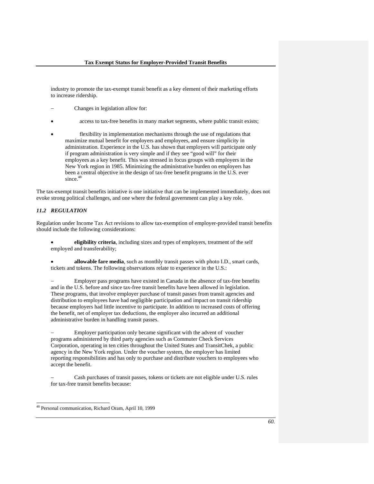industry to promote the tax-exempt transit benefit as a key element of their marketing efforts to increase ridership.

- − Changes in legislation allow for:
- access to tax-free benefits in many market segments, where public transit exists;
- flexibility in implementation mechanisms through the use of regulations that maximize mutual benefit for employers and employees, and ensure simplicity in administration. Experience in the U.S. has shown that employers will participate only if program administration is very simple and if they see "good will" for their employees as a key benefit. This was stressed in focus groups with employers in the New York region in 1985. Minimizing the administrative burden on employers has been a central objective in the design of tax-free benefit programs in the U.S. ever since.<sup>4</sup>

The tax-exempt transit benefits initiative is one initiative that can be implemented immediately, does not evoke strong political challenges, and one where the federal government can play a key role.

# *11.2 REGULATION*

Regulation under Income Tax Act revisions to allow tax-exemption of employer-provided transit benefits should include the following considerations:

- **eligibility criteria**, including sizes and types of employers, treatment of the self employed and transferability;
- **allowable fare media**, such as monthly transit passes with photo I.D., smart cards, tickets and tokens. The following observations relate to experience in the U.S.:

Employer pass programs have existed in Canada in the absence of tax-free benefits and in the U.S. before and since tax-free transit benefits have been allowed in legislation. These programs, that involve employer purchase of transit passes from transit agencies and distribution to employees have had negligible participation and impact on transit ridership because employers had little incentive to participate. In addition to increased costs of offering the benefit, net of employer tax deductions, the employer also incurred an additional administrative burden in handling transit passes.

Employer participation only became significant with the advent of voucher programs administered by third party agencies such as Commuter Check Services Corporation, operating in ten cities throughout the United States and TransitChek, a public agency in the New York region. Under the voucher system, the employer has limited reporting responsibilities and has only to purchase and distribute vouchers to employees who accept the benefit.

Cash purchases of transit passes, tokens or tickets are not eligible under U.S. rules for tax-free transit benefits because:

l

<sup>48</sup> Personal communication, Richard Oram, April 10, 1999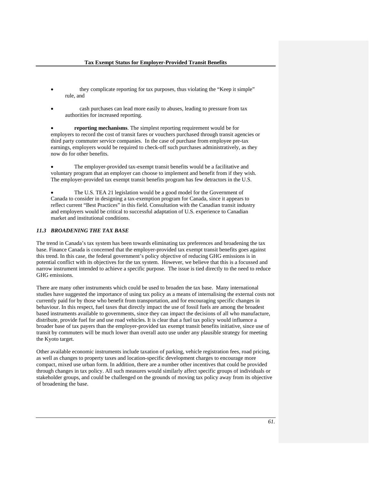- they complicate reporting for tax purposes, thus violating the "Keep it simple" rule, and
- cash purchases can lead more easily to abuses, leading to pressure from tax authorities for increased reporting.

• **reporting mechanisms**. The simplest reporting requirement would be for employers to record the cost of transit fares or vouchers purchased through transit agencies or third party commuter service companies. In the case of purchase from employee pre-tax earnings, employers would be required to check-off such purchases administratively, as they now do for other benefits.

The employer-provided tax-exempt transit benefits would be a facilitative and voluntary program that an employer can choose to implement and benefit from if they wish. The employer-provided tax exempt transit benefits program has few detractors in the U.S.

The U.S. TEA 21 legislation would be a good model for the Government of Canada to consider in designing a tax-exemption program for Canada, since it appears to reflect current "Best Practices" in this field. Consultation with the Canadian transit industry and employers would be critical to successful adaptation of U.S. experience to Canadian market and institutional conditions.

### *11.3 BROADENING THE TAX BASE*

The trend in Canada's tax system has been towards eliminating tax preferences and broadening the tax base. Finance Canada is concerned that the employer-provided tax exempt transit benefits goes against this trend. In this case, the federal government's policy objective of reducing GHG emissions is in potential conflict with its objectives for the tax system. However, we believe that this is a focussed and narrow instrument intended to achieve a specific purpose. The issue is tied directly to the need to reduce GHG emissions.

There are many other instruments which could be used to broaden the tax base. Many international studies have suggested the importance of using tax policy as a means of internalising the external costs not currently paid for by those who benefit from transportation, and for encouraging specific changes in behaviour. In this respect, fuel taxes that directly impact the use of fossil fuels are among the broadest based instruments available to governments, since they can impact the decisions of all who manufacture, distribute, provide fuel for and use road vehicles. It is clear that a fuel tax policy would influence a broader base of tax payers than the employer-provided tax exempt transit benefits initiative, since use of transit by commuters will be much lower than overall auto use under any plausible strategy for meeting the Kyoto target.

Other available economic instruments include taxation of parking, vehicle registration fees, road pricing, as well as changes to property taxes and location-specific development charges to encourage more compact, mixed use urban form. In addition, there are a number other incentives that could be provided through changes in tax policy. All such measures would similarly affect specific groups of individuals or stakeholder groups, and could be challenged on the grounds of moving tax policy away from its objective of broadening the base.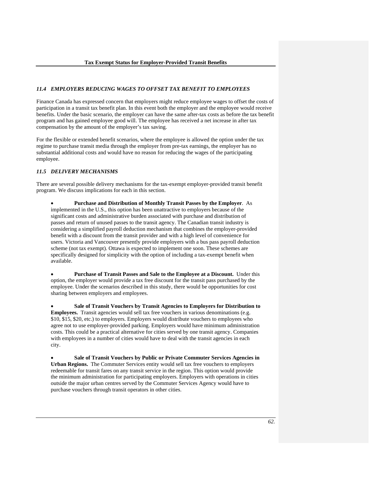## *11.4 EMPLOYERS REDUCING WAGES TO OFFSET TAX BENEFIT TO EMPLOYEES*

Finance Canada has expressed concern that employers might reduce employee wages to offset the costs of participation in a transit tax benefit plan. In this event both the employer and the employee would receive benefits. Under the basic scenario, the employer can have the same after-tax costs as before the tax benefit program and has gained employee good will. The employee has received a net increase in after tax compensation by the amount of the employer's tax saving.

For the flexible or extended benefit scenarios, where the employee is allowed the option under the tax regime to purchase transit media through the employer from pre-tax earnings, the employer has no substantial additional costs and would have no reason for reducing the wages of the participating employee.

# *11.5 DELIVERY MECHANISMS*

There are several possible delivery mechanisms for the tax-exempt employer-provided transit benefit program. We discuss implications for each in this section.

• **Purchase and Distribution of Monthly Transit Passes by the Employer**. As implemented in the U.S., this option has been unattractive to employers because of the significant costs and administrative burden associated with purchase and distribution of passes and return of unused passes to the transit agency. The Canadian transit industry is considering a simplified payroll deduction mechanism that combines the employer-provided benefit with a discount from the transit provider and with a high level of convenience for users. Victoria and Vancouver presently provide employers with a bus pass payroll deduction scheme (not tax exempt). Ottawa is expected to implement one soon. These schemes are specifically designed for simplicity with the option of including a tax-exempt benefit when available.

• **Purchase of Transit Passes and Sale to the Employee at a Discount.** Under this option, the employer would provide a tax free discount for the transit pass purchased by the employee. Under the scenarios described in this study, there would be opportunities for cost sharing between employers and employees.

• **Sale of Transit Vouchers by Transit Agencies to Employers for Distribution to Employees.** Transit agencies would sell tax free vouchers in various denominations (e.g. \$10, \$15, \$20, etc.) to employers. Employers would distribute vouchers to employees who agree not to use employer-provided parking. Employers would have minimum administration costs. This could be a practical alternative for cities served by one transit agency. Companies with employees in a number of cities would have to deal with the transit agencies in each city.

• **Sale of Transit Vouchers by Public or Private Commuter Services Agencies in Urban Regions.** The Commuter Services entity would sell tax free vouchers to employers redeemable for transit fares on any transit service in the region. This option would provide the minimum administration for participating employers. Employers with operations in cities outside the major urban centres served by the Commuter Services Agency would have to purchase vouchers through transit operators in other cities.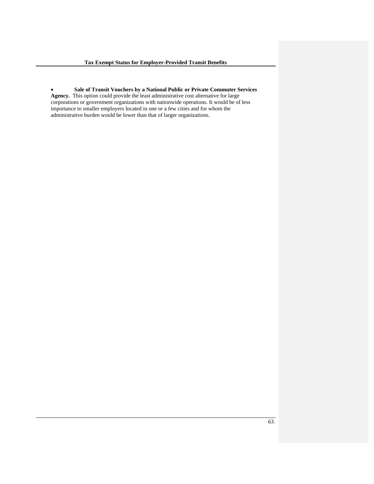• **Sale of Transit Vouchers by a National Public or Private Commuter Services Agency.** This option could provide the least administrative cost alternative for large corporations or government organizations with nationwide operations. It would be of less importance to smaller employers located in one or a few cities and for whom the administrative burden would be lower than that of larger organizations.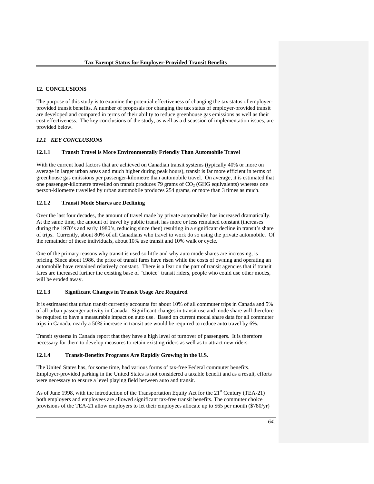## **12. CONCLUSIONS**

The purpose of this study is to examine the potential effectiveness of changing the tax status of employerprovided transit benefits. A number of proposals for changing the tax status of employer-provided transit are developed and compared in terms of their ability to reduce greenhouse gas emissions as well as their cost effectiveness. The key conclusions of the study, as well as a discussion of implementation issues, are provided below.

# *12.1 KEY CONCLUSIONS*

### **12.1.1 Transit Travel is More Environmentally Friendly Than Automobile Travel**

With the current load factors that are achieved on Canadian transit systems (typically 40% or more on average in larger urban areas and much higher during peak hours), transit is far more efficient in terms of greenhouse gas emissions per passenger-kilometre than automobile travel. On average, it is estimated that one passenger-kilometre travelled on transit produces 79 grams of  $CO<sub>2</sub>$  (GHG equivalents) whereas one person-kilometre travelled by urban automobile produces 254 grams, or more than 3 times as much.

#### **12.1.2 Transit Mode Shares are Declining**

Over the last four decades, the amount of travel made by private automobiles has increased dramatically. At the same time, the amount of travel by public transit has more or less remained constant (increases during the 1970's and early 1980's, reducing since then) resulting in a significant decline in transit's share of trips. Currently, about 80% of all Canadians who travel to work do so using the private automobile. Of the remainder of these individuals, about 10% use transit and 10% walk or cycle.

One of the primary reasons why transit is used so little and why auto mode shares are increasing, is pricing. Since about 1986, the price of transit fares have risen while the costs of owning and operating an automobile have remained relatively constant. There is a fear on the part of transit agencies that if transit fares are increased further the existing base of "choice" transit riders, people who could use other modes, will be eroded away.

### **12.1.3 Significant Changes in Transit Usage Are Required**

It is estimated that urban transit currently accounts for about 10% of all commuter trips in Canada and 5% of all urban passenger activity in Canada. Significant changes in transit use and mode share will therefore be required to have a measurable impact on auto use. Based on current modal share data for all commuter trips in Canada, nearly a 50% increase in transit use would be required to reduce auto travel by 6%.

Transit systems in Canada report that they have a high level of turnover of passengers. It is therefore necessary for them to develop measures to retain existing riders as well as to attract new riders.

# **12.1.4 Transit-Benefits Programs Are Rapidly Growing in the U.S.**

The United States has, for some time, had various forms of tax-free Federal commuter benefits. Employer-provided parking in the United States is not considered a taxable benefit and as a result, efforts were necessary to ensure a level playing field between auto and transit.

As of June 1998, with the introduction of the Transportation Equity Act for the 21<sup>st</sup> Century (TEA-21) both employers and employees are allowed significant tax-free transit benefits. The commuter choice provisions of the TEA-21 allow employers to let their employees allocate up to \$65 per month (\$780/yr)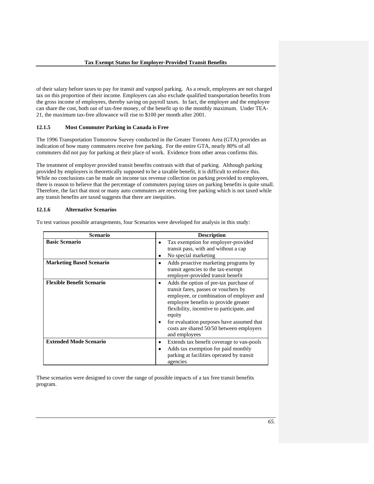of their salary before taxes to pay for transit and vanpool parking. As a result, employees are not charged tax on this proportion of their income. Employers can also exclude qualified transportation benefits from the gross income of employees, thereby saving on payroll taxes. In fact, the employer and the employee can share the cost, both out of tax-free money, of the benefit up to the monthly maximum. Under TEA-21, the maximum tax-free allowance will rise to \$100 per month after 2001.

## **12.1.5 Most Commuter Parking in Canada is Free**

The 1996 Transportation Tomorrow Survey conducted in the Greater Toronto Area (GTA) provides an indication of how many commuters receive free parking. For the entire GTA, nearly 80% of all commuters did not pay for parking at their place of work. Evidence from other areas confirms this.

The treatment of employer provided transit benefits contrasts with that of parking. Although parking provided by employers is theoretically supposed to be a taxable benefit, it is difficult to enforce this. While no conclusions can be made on income tax revenue collection on parking provided to employees, there is reason to believe that the percentage of commuters paying taxes on parking benefits is quite small. Therefore, the fact that most or many auto commuters are receiving free parking which is not taxed while any transit benefits are taxed suggests that there are inequities.

## **12.1.6 Alternative Scenarios**

To test various possible arrangements, four Scenarios were developed for analysis in this study:

| <b>Scenario</b>                  | <b>Description</b>                                                                                                                                                                                                                                                                                                                   |
|----------------------------------|--------------------------------------------------------------------------------------------------------------------------------------------------------------------------------------------------------------------------------------------------------------------------------------------------------------------------------------|
| <b>Basic Scenario</b>            | Tax exemption for employer-provided<br>transit pass, with and without a cap<br>No special marketing<br>٠                                                                                                                                                                                                                             |
| <b>Marketing Based Scenario</b>  | Adds proactive marketing programs by<br>٠<br>transit agencies to the tax-exempt<br>employer-provided transit benefit                                                                                                                                                                                                                 |
| <b>Flexible Benefit Scenario</b> | Adds the option of pre-tax purchase of<br>transit fares, passes or vouchers by<br>employee, or combination of employer and<br>employee benefits to provide greater<br>flexibility, incentive to participate, and<br>equity<br>for evaluation purposes have assumed that<br>costs are shared 50/50 between employers<br>and employees |
| <b>Extended Mode Scenario</b>    | Extends tax benefit coverage to van-pools<br>٠<br>Adds tax exemption for paid monthly<br>parking at facilities operated by transit<br>agencies                                                                                                                                                                                       |

These scenarios were designed to cover the range of possible impacts of a tax free transit benefits program.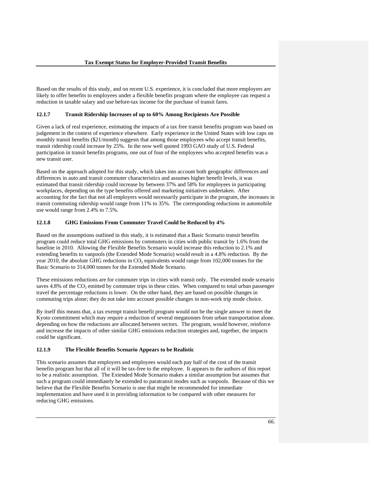Based on the results of this study, and on recent U.S. experience, it is concluded that more employers are likely to offer benefits to employees under a flexible benefits program where the employee can request a reduction in taxable salary and use before-tax income for the purchase of transit fares.

## **12.1.7 Transit Ridership Increases of up to 60% Among Recipients Are Possible**

Given a lack of real experience, estimating the impacts of a tax free transit benefits program was based on judgement in the context of experience elsewhere. Early experience in the United States with low caps on monthly transit benefits (\$21/month) suggests that among those employees who accept transit benefits, transit ridership could increase by 25%. In the now well quoted 1993 GAO study of U.S. Federal participation in transit benefits programs, one out of four of the employees who accepted benefits was a new transit user.

Based on the approach adopted for this study, which takes into account both geographic differences and differences in auto and transit commuter characteristics and assumes higher benefit levels, it was estimated that transit ridership could increase by between 37% and 58% for employees in participating workplaces, depending on the type benefits offered and marketing initiatives undertaken. After accounting for the fact that not all employers would necessarily participate in the program, the increases in transit commuting ridership would range from 11% to 35%. The corresponding reductions in automobile use would range from 2.4% to 7.5%.

## **12.1.8 GHG Emissions From Commuter Travel Could be Reduced by 4%**

Based on the assumptions outlined in this study, it is estimated that a Basic Scenario transit benefits program could reduce total GHG emissions by commuters in cities with public transit by 1.6% from the baseline in 2010. Allowing the Flexible Benefits Scenario would increase this reduction to 2.1% and extending benefits to vanpools (the Extended Mode Scenario) would result in a 4.8% reduction. By the year 2010, the absolute GHG reductions in  $CO<sub>2</sub>$  equivalents would range from 102,000 tonnes for the Basic Scenario to 314,000 tonnes for the Extended Mode Scenario.

These emissions reductions are for commuter trips in cities with transit only. The extended mode scenario saves  $4.8\%$  of the CO<sub>2</sub> emitted by commuter trips in these cities. When compared to total urban passenger travel the percentage reductions is lower. On the other hand, they are based on possible changes in commuting trips alone; they do not take into account possible changes in non-work trip mode choice.

By itself this means that, a tax exempt transit benefit program would not be the single answer to meet the Kyoto commitment which may require a reduction of several megatonnes from urban transportation alone. depending on how the reductions are allocated between sectors. The program, would however, reinforce and increase the impacts of other similar GHG emissions reduction strategies and, together, the impacts could be significant.

#### **12.1.9 The Flexible Benefits Scenario Appears to be Realistic**

This scenario assumes that employers and employees would each pay half of the cost of the transit benefits program but that all of it will be tax-free to the employee. It appears to the authors of this report to be a realistic assumption. The Extended Mode Scenario makes a similar assumption but assumes that such a program could immediately be extended to paratransit modes such as vanpools. Because of this we believe that the Flexible Benefits Scenario is one that might be recommended for immediate implementation and have used it in providing information to be compared with other measures for reducing GHG emissions.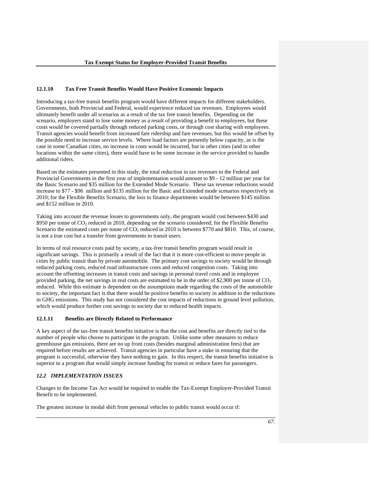#### **12.1.10 Tax Free Transit Benefits Would Have Positive Economic Impacts**

Introducing a tax-free transit benefits program would have different impacts for different stakeholders. Governments, both Provincial and Federal, would experience reduced tax revenues. Employees would ultimately benefit under all scenarios as a result of the tax free transit benefits. Depending on the scenario, employers stand to lose some money as a result of providing a benefit to employees, but these costs would be covered partially through reduced parking costs, or through cost sharing with employees. Transit agencies would benefit from increased fare ridership and fare revenues, but this would be offset by the possible need to increase service levels. Where load factors are presently below capacity, as is the case in some Canadian cities, no increase in costs would be incurred, but in other cities (and in other locations within the same cities), there would have to be some increase in the service provided to handle additional riders.

Based on the estimates presented in this study, the total reduction in tax revenues to the Federal and Provincial Governments in the first year of implementation would amount to \$9 - 12 million per year for the Basic Scenario and \$35 million for the Extended Mode Scenario. These tax revenue reductions would increase to \$77 - \$96 million and \$135 million for the Basic and Extended mode scenarios respectively in 2010; for the Flexible Benefits Scenario, the loss to finance departments would be between \$145 million and \$152 million in 2010.

Taking into account the revenue losses to governments only, the program would cost between \$430 and  $$950$  per tonne of CO<sub>2</sub> reduced in 2010, depending on the scenario considered; for the Flexible Benefits Scenario the estimated costs per tonne of  $CO<sub>2</sub>$  reduced in 2010 is between \$770 and \$810. This, of course, is not a true cost but a transfer from governments to transit users.

In terms of real resource costs paid by society, a tax-free transit benefits program would result in significant savings. This is primarily a result of the fact that it is more cost-efficient to move people in cities by public transit than by private automobile. The primary cost savings to society would be through reduced parking costs, reduced road infrastructure costs and reduced congestion costs. Taking into account the offsetting increases in transit costs and savings in personal travel costs and in employee provided parking, the net savings in real costs are estimated to be in the order of \$2,900 per tonne of  $CO<sub>2</sub>$ reduced. While this estimate is dependent on the assumptions made regarding the costs of the automobile to society, the important fact is that there would be positive benefits to society in addition to the reductions in GHG emissions. This study has not considered the cost impacts of reductions in ground level pollution, which would produce further cost savings to society due to reduced health impacts.

## **12.1.11 Benefits are Directly Related to Performance**

A key aspect of the tax-free transit benefits initiative is that the cost and benefits are directly tied to the number of people who choose to participate in the program. Unlike some other measures to reduce greenhouse gas emissions, there are no up front costs (besides marginal administration fees) that are required before results are achieved. Transit agencies in particular have a stake in ensuring that the program is successful, otherwise they have nothing to gain. In this respect, the transit benefits initiative is superior to a program that would simply increase funding for transit or reduce fares for passengers.

## *12.2 IMPLEMENTATION ISSUES*

Changes to the Income Tax Act would be required to enable the Tax-Exempt Employer-Provided Transit Benefit to be implemented.

The greatest increase in modal shift from personal vehicles to public transit would occur if: